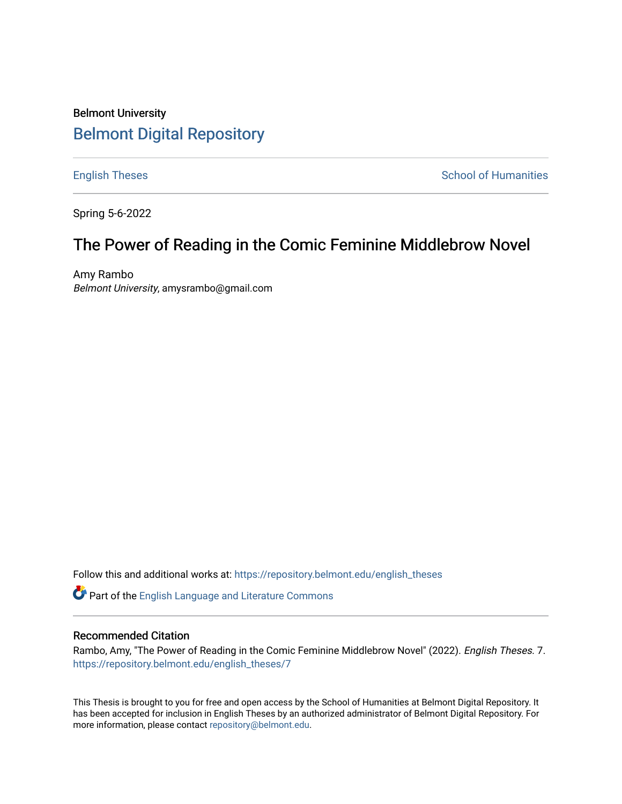# Belmont University [Belmont Digital Repository](https://repository.belmont.edu/)

[English Theses](https://repository.belmont.edu/english_theses) [School of Humanities](https://repository.belmont.edu/humanities) School of Humanities

Spring 5-6-2022

# The Power of Reading in the Comic Feminine Middlebrow Novel

Amy Rambo Belmont University, amysrambo@gmail.com

Follow this and additional works at: [https://repository.belmont.edu/english\\_theses](https://repository.belmont.edu/english_theses?utm_source=repository.belmont.edu%2Fenglish_theses%2F7&utm_medium=PDF&utm_campaign=PDFCoverPages) 

Part of the [English Language and Literature Commons](http://network.bepress.com/hgg/discipline/455?utm_source=repository.belmont.edu%2Fenglish_theses%2F7&utm_medium=PDF&utm_campaign=PDFCoverPages)

### Recommended Citation

Rambo, Amy, "The Power of Reading in the Comic Feminine Middlebrow Novel" (2022). English Theses. 7. [https://repository.belmont.edu/english\\_theses/7](https://repository.belmont.edu/english_theses/7?utm_source=repository.belmont.edu%2Fenglish_theses%2F7&utm_medium=PDF&utm_campaign=PDFCoverPages) 

This Thesis is brought to you for free and open access by the School of Humanities at Belmont Digital Repository. It has been accepted for inclusion in English Theses by an authorized administrator of Belmont Digital Repository. For more information, please contact [repository@belmont.edu.](mailto:repository@belmont.edu)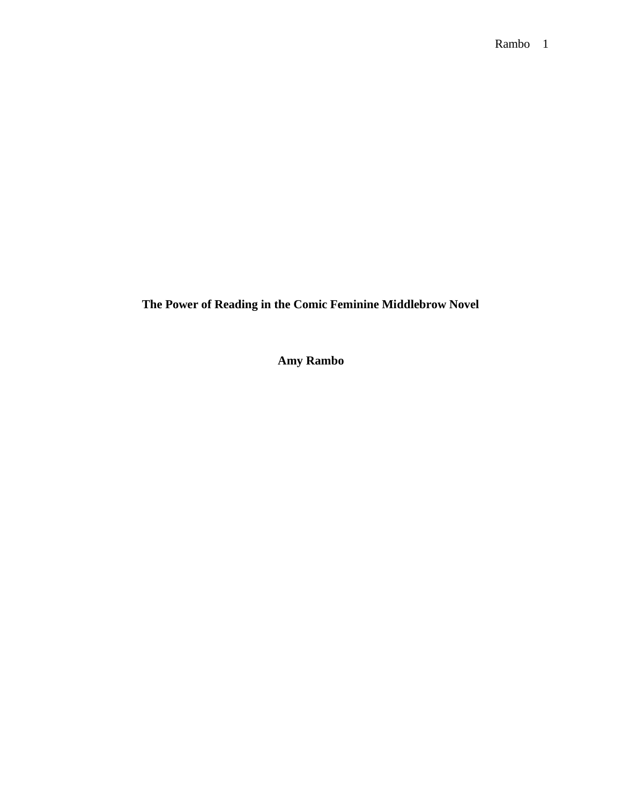**The Power of Reading in the Comic Feminine Middlebrow Novel**

**Amy Rambo**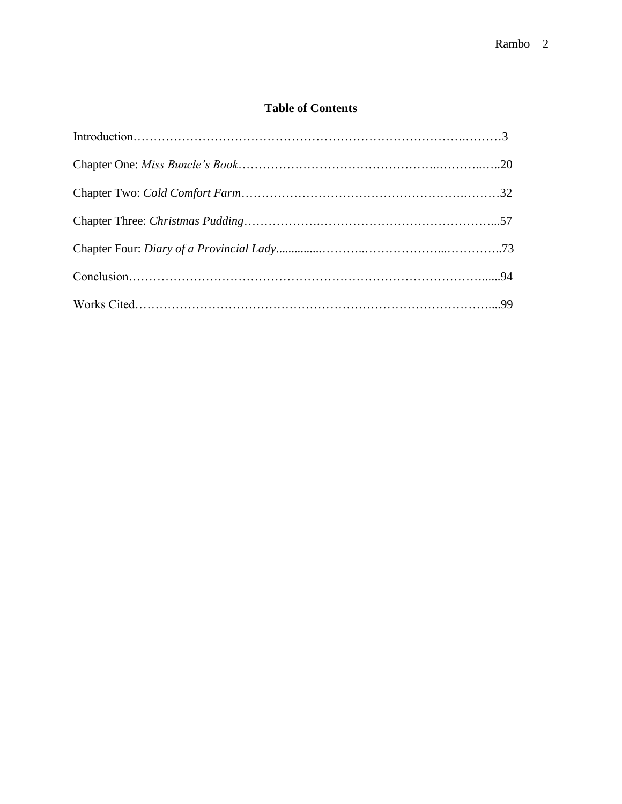## **Table of Contents**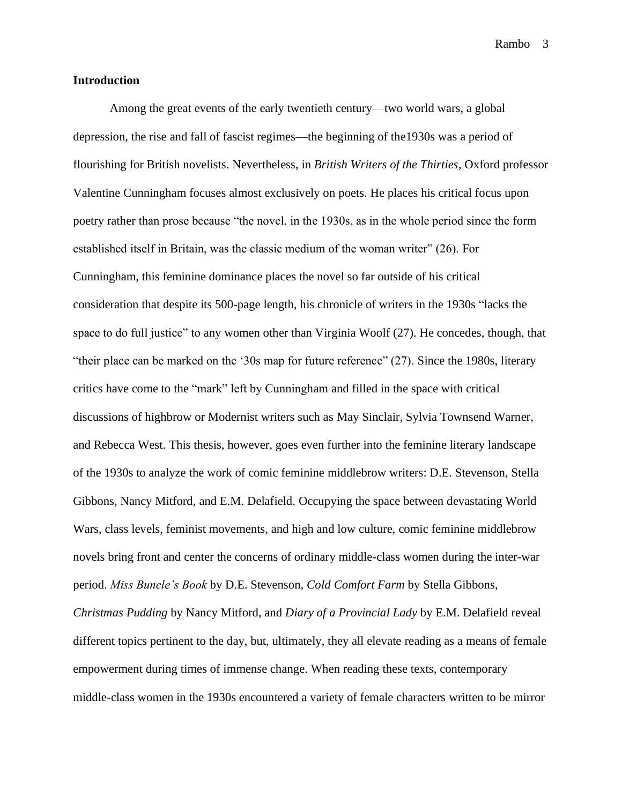#### **Introduction**

Among the great events of the early twentieth century—two world wars, a global depression, the rise and fall of fascist regimes—the beginning of the1930s was a period of flourishing for British novelists. Nevertheless, in *British Writers of the Thirties*, Oxford professor Valentine Cunningham focuses almost exclusively on poets. He places his critical focus upon poetry rather than prose because "the novel, in the 1930s, as in the whole period since the form established itself in Britain, was the classic medium of the woman writer" (26). For Cunningham, this feminine dominance places the novel so far outside of his critical consideration that despite its 500-page length, his chronicle of writers in the 1930s "lacks the space to do full justice" to any women other than Virginia Woolf (27). He concedes, though, that "their place can be marked on the '30s map for future reference" (27). Since the 1980s, literary critics have come to the "mark" left by Cunningham and filled in the space with critical discussions of highbrow or Modernist writers such as May Sinclair, Sylvia Townsend Warner, and Rebecca West. This thesis, however, goes even further into the feminine literary landscape of the 1930s to analyze the work of comic feminine middlebrow writers: D.E. Stevenson, Stella Gibbons, Nancy Mitford, and E.M. Delafield. Occupying the space between devastating World Wars, class levels, feminist movements, and high and low culture, comic feminine middlebrow novels bring front and center the concerns of ordinary middle-class women during the inter-war period. *Miss Buncle's Book* by D.E. Stevenson, *Cold Comfort Farm* by Stella Gibbons, *Christmas Pudding* by Nancy Mitford, and *Diary of a Provincial Lady* by E.M. Delafield reveal different topics pertinent to the day, but, ultimately, they all elevate reading as a means of female empowerment during times of immense change. When reading these texts, contemporary middle-class women in the 1930s encountered a variety of female characters written to be mirror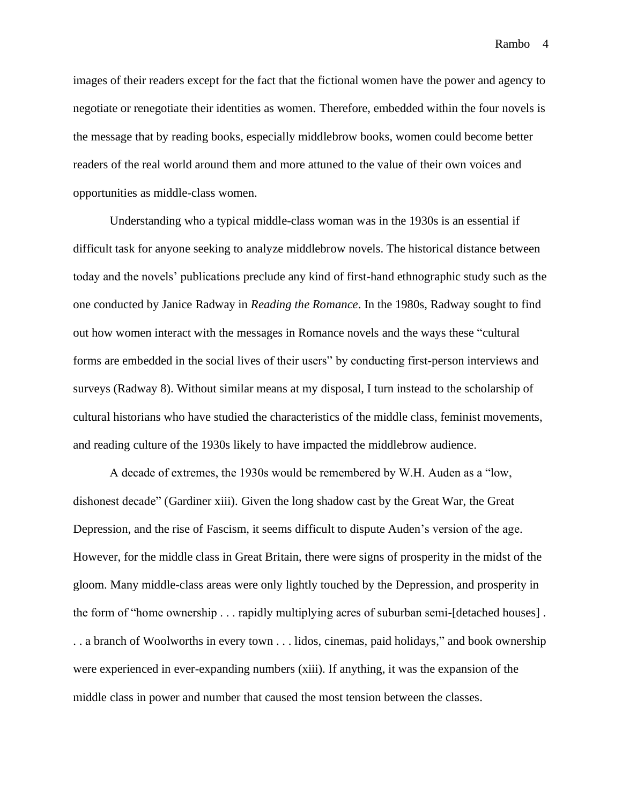images of their readers except for the fact that the fictional women have the power and agency to negotiate or renegotiate their identities as women. Therefore, embedded within the four novels is the message that by reading books, especially middlebrow books, women could become better readers of the real world around them and more attuned to the value of their own voices and opportunities as middle-class women.

Understanding who a typical middle-class woman was in the 1930s is an essential if difficult task for anyone seeking to analyze middlebrow novels. The historical distance between today and the novels' publications preclude any kind of first-hand ethnographic study such as the one conducted by Janice Radway in *Reading the Romance*. In the 1980s, Radway sought to find out how women interact with the messages in Romance novels and the ways these "cultural forms are embedded in the social lives of their users" by conducting first-person interviews and surveys (Radway 8). Without similar means at my disposal, I turn instead to the scholarship of cultural historians who have studied the characteristics of the middle class, feminist movements, and reading culture of the 1930s likely to have impacted the middlebrow audience.

A decade of extremes, the 1930s would be remembered by W.H. Auden as a "low, dishonest decade" (Gardiner xiii). Given the long shadow cast by the Great War, the Great Depression, and the rise of Fascism, it seems difficult to dispute Auden's version of the age. However, for the middle class in Great Britain, there were signs of prosperity in the midst of the gloom. Many middle-class areas were only lightly touched by the Depression, and prosperity in the form of "home ownership . . . rapidly multiplying acres of suburban semi-[detached houses] . . . a branch of Woolworths in every town . . . lidos, cinemas, paid holidays," and book ownership were experienced in ever-expanding numbers (xiii). If anything, it was the expansion of the middle class in power and number that caused the most tension between the classes.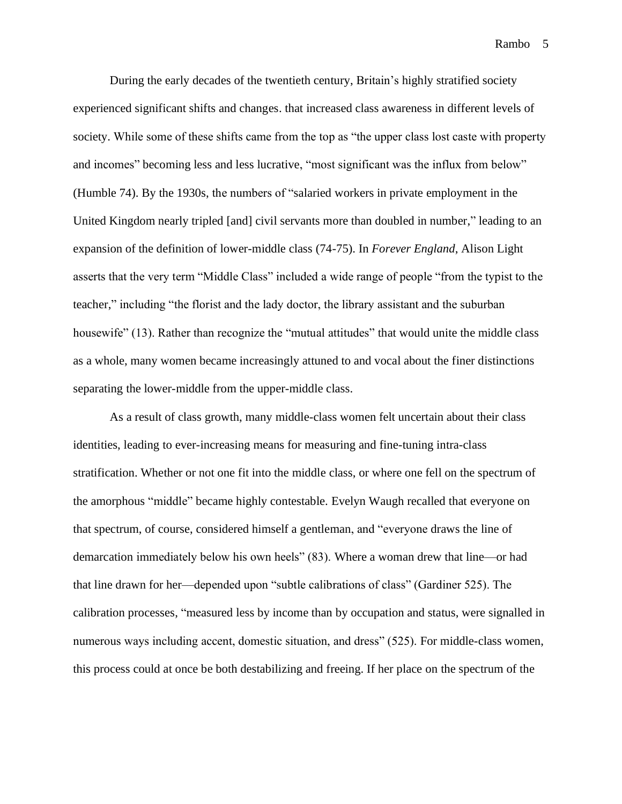During the early decades of the twentieth century, Britain's highly stratified society experienced significant shifts and changes. that increased class awareness in different levels of society. While some of these shifts came from the top as "the upper class lost caste with property and incomes" becoming less and less lucrative, "most significant was the influx from below" (Humble 74). By the 1930s, the numbers of "salaried workers in private employment in the United Kingdom nearly tripled [and] civil servants more than doubled in number," leading to an expansion of the definition of lower-middle class (74-75). In *Forever England*, Alison Light asserts that the very term "Middle Class" included a wide range of people "from the typist to the teacher," including "the florist and the lady doctor, the library assistant and the suburban housewife" (13). Rather than recognize the "mutual attitudes" that would unite the middle class as a whole, many women became increasingly attuned to and vocal about the finer distinctions separating the lower-middle from the upper-middle class.

As a result of class growth, many middle-class women felt uncertain about their class identities, leading to ever-increasing means for measuring and fine-tuning intra-class stratification. Whether or not one fit into the middle class, or where one fell on the spectrum of the amorphous "middle" became highly contestable. Evelyn Waugh recalled that everyone on that spectrum, of course, considered himself a gentleman, and "everyone draws the line of demarcation immediately below his own heels" (83). Where a woman drew that line—or had that line drawn for her—depended upon "subtle calibrations of class" (Gardiner 525). The calibration processes, "measured less by income than by occupation and status, were signalled in numerous ways including accent, domestic situation, and dress" (525). For middle-class women, this process could at once be both destabilizing and freeing. If her place on the spectrum of the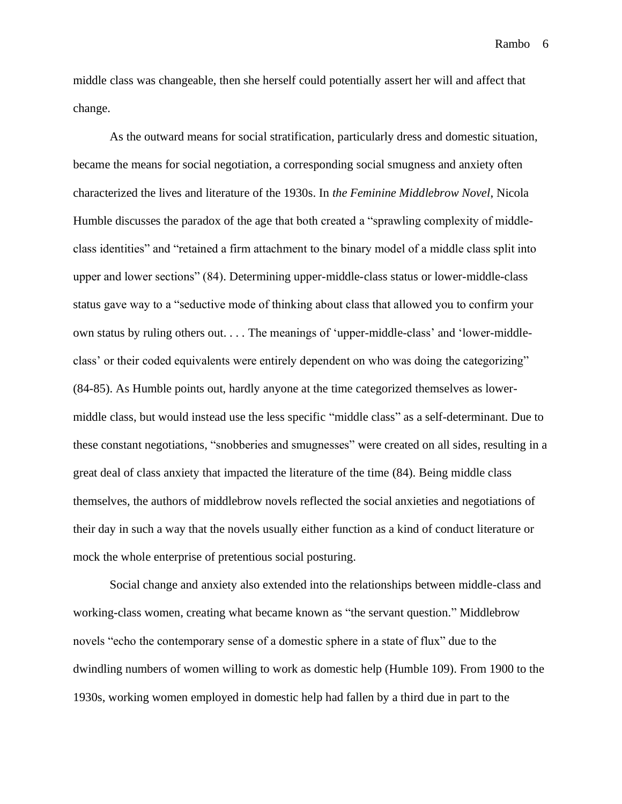middle class was changeable, then she herself could potentially assert her will and affect that change.

As the outward means for social stratification, particularly dress and domestic situation, became the means for social negotiation, a corresponding social smugness and anxiety often characterized the lives and literature of the 1930s. In *the Feminine Middlebrow Novel*, Nicola Humble discusses the paradox of the age that both created a "sprawling complexity of middleclass identities" and "retained a firm attachment to the binary model of a middle class split into upper and lower sections" (84). Determining upper-middle-class status or lower-middle-class status gave way to a "seductive mode of thinking about class that allowed you to confirm your own status by ruling others out. . . . The meanings of 'upper-middle-class' and 'lower-middleclass' or their coded equivalents were entirely dependent on who was doing the categorizing" (84-85). As Humble points out, hardly anyone at the time categorized themselves as lowermiddle class, but would instead use the less specific "middle class" as a self-determinant. Due to these constant negotiations, "snobberies and smugnesses" were created on all sides, resulting in a great deal of class anxiety that impacted the literature of the time (84). Being middle class themselves, the authors of middlebrow novels reflected the social anxieties and negotiations of their day in such a way that the novels usually either function as a kind of conduct literature or mock the whole enterprise of pretentious social posturing.

Social change and anxiety also extended into the relationships between middle-class and working-class women, creating what became known as "the servant question." Middlebrow novels "echo the contemporary sense of a domestic sphere in a state of flux" due to the dwindling numbers of women willing to work as domestic help (Humble 109). From 1900 to the 1930s, working women employed in domestic help had fallen by a third due in part to the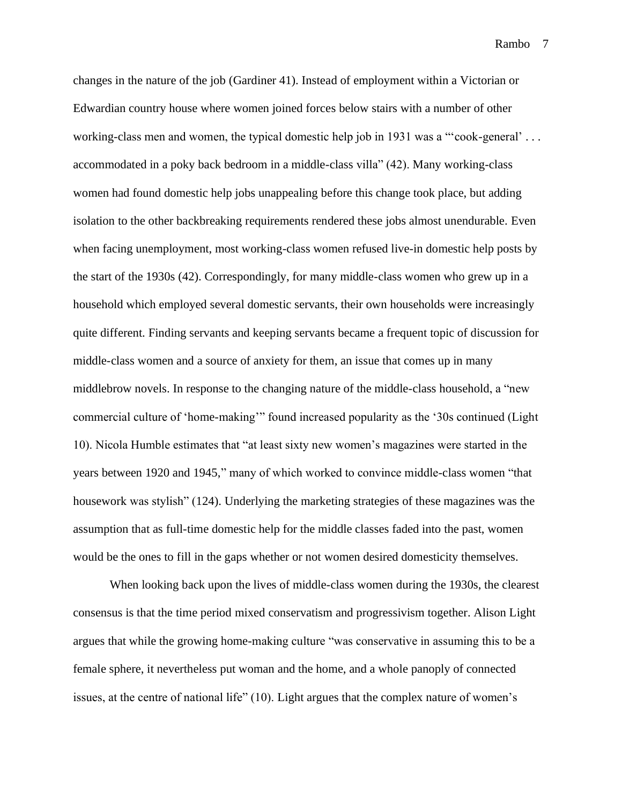changes in the nature of the job (Gardiner 41). Instead of employment within a Victorian or Edwardian country house where women joined forces below stairs with a number of other working-class men and women, the typical domestic help job in 1931 was a "'cook-general'... accommodated in a poky back bedroom in a middle-class villa" (42). Many working-class women had found domestic help jobs unappealing before this change took place, but adding isolation to the other backbreaking requirements rendered these jobs almost unendurable. Even when facing unemployment, most working-class women refused live-in domestic help posts by the start of the 1930s (42). Correspondingly, for many middle-class women who grew up in a household which employed several domestic servants, their own households were increasingly quite different. Finding servants and keeping servants became a frequent topic of discussion for middle-class women and a source of anxiety for them, an issue that comes up in many middlebrow novels. In response to the changing nature of the middle-class household, a "new commercial culture of 'home-making'" found increased popularity as the '30s continued (Light 10). Nicola Humble estimates that "at least sixty new women's magazines were started in the years between 1920 and 1945," many of which worked to convince middle-class women "that housework was stylish" (124). Underlying the marketing strategies of these magazines was the assumption that as full-time domestic help for the middle classes faded into the past, women would be the ones to fill in the gaps whether or not women desired domesticity themselves.

When looking back upon the lives of middle-class women during the 1930s, the clearest consensus is that the time period mixed conservatism and progressivism together. Alison Light argues that while the growing home-making culture "was conservative in assuming this to be a female sphere, it nevertheless put woman and the home, and a whole panoply of connected issues, at the centre of national life" (10). Light argues that the complex nature of women's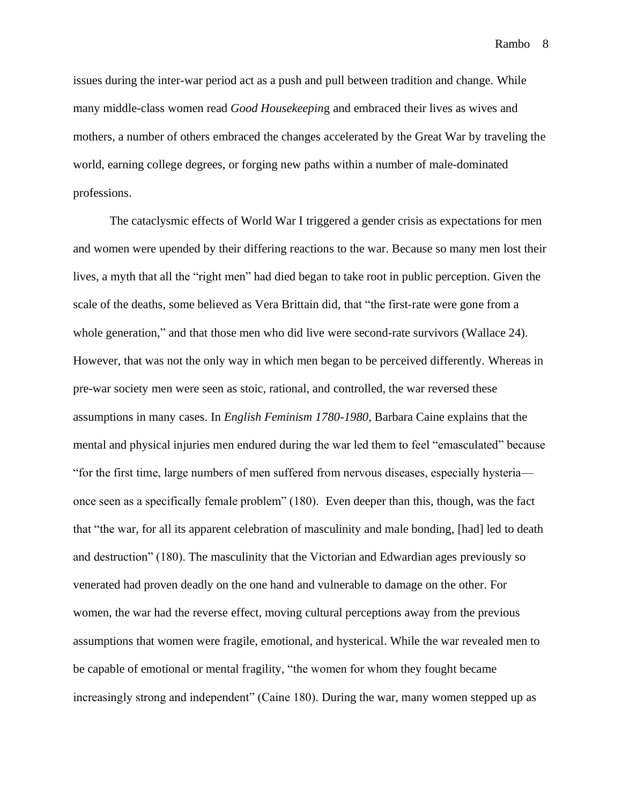issues during the inter-war period act as a push and pull between tradition and change. While many middle-class women read *Good Housekeepin*g and embraced their lives as wives and mothers, a number of others embraced the changes accelerated by the Great War by traveling the world, earning college degrees, or forging new paths within a number of male-dominated professions.

The cataclysmic effects of World War I triggered a gender crisis as expectations for men and women were upended by their differing reactions to the war. Because so many men lost their lives, a myth that all the "right men" had died began to take root in public perception. Given the scale of the deaths, some believed as Vera Brittain did, that "the first-rate were gone from a whole generation," and that those men who did live were second-rate survivors (Wallace 24). However, that was not the only way in which men began to be perceived differently. Whereas in pre-war society men were seen as stoic, rational, and controlled, the war reversed these assumptions in many cases. In *English Feminism 1780-1980*, Barbara Caine explains that the mental and physical injuries men endured during the war led them to feel "emasculated" because "for the first time, large numbers of men suffered from nervous diseases, especially hysteria once seen as a specifically female problem" (180). Even deeper than this, though, was the fact that "the war, for all its apparent celebration of masculinity and male bonding, [had] led to death and destruction" (180). The masculinity that the Victorian and Edwardian ages previously so venerated had proven deadly on the one hand and vulnerable to damage on the other. For women, the war had the reverse effect, moving cultural perceptions away from the previous assumptions that women were fragile, emotional, and hysterical. While the war revealed men to be capable of emotional or mental fragility, "the women for whom they fought became increasingly strong and independent" (Caine 180). During the war, many women stepped up as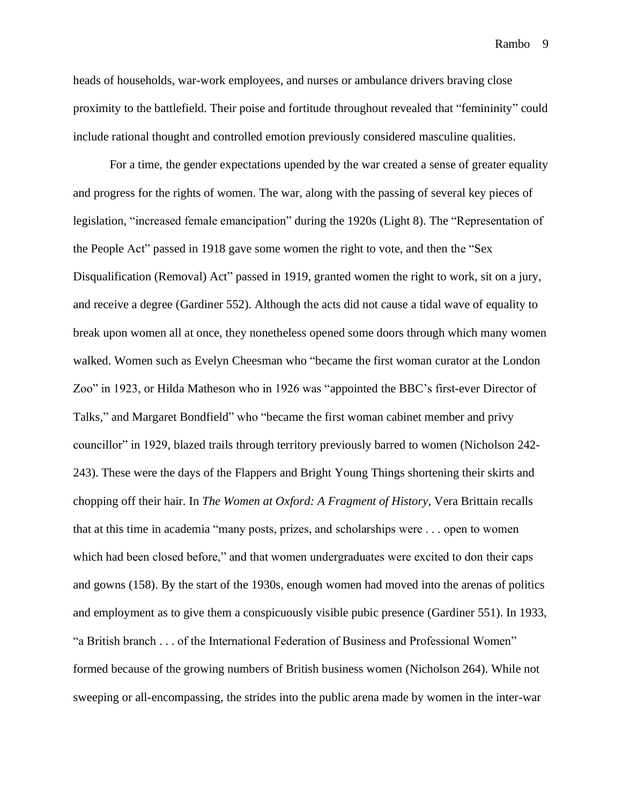heads of households, war-work employees, and nurses or ambulance drivers braving close proximity to the battlefield. Their poise and fortitude throughout revealed that "femininity" could include rational thought and controlled emotion previously considered masculine qualities.

For a time, the gender expectations upended by the war created a sense of greater equality and progress for the rights of women. The war, along with the passing of several key pieces of legislation, "increased female emancipation" during the 1920s (Light 8). The "Representation of the People Act" passed in 1918 gave some women the right to vote, and then the "Sex Disqualification (Removal) Act" passed in 1919, granted women the right to work, sit on a jury, and receive a degree (Gardiner 552). Although the acts did not cause a tidal wave of equality to break upon women all at once, they nonetheless opened some doors through which many women walked. Women such as Evelyn Cheesman who "became the first woman curator at the London Zoo" in 1923, or Hilda Matheson who in 1926 was "appointed the BBC's first-ever Director of Talks," and Margaret Bondfield" who "became the first woman cabinet member and privy councillor" in 1929, blazed trails through territory previously barred to women (Nicholson 242- 243). These were the days of the Flappers and Bright Young Things shortening their skirts and chopping off their hair. In *The Women at Oxford: A Fragment of History*, Vera Brittain recalls that at this time in academia "many posts, prizes, and scholarships were . . . open to women which had been closed before," and that women undergraduates were excited to don their caps and gowns (158). By the start of the 1930s, enough women had moved into the arenas of politics and employment as to give them a conspicuously visible pubic presence (Gardiner 551). In 1933, "a British branch . . . of the International Federation of Business and Professional Women" formed because of the growing numbers of British business women (Nicholson 264). While not sweeping or all-encompassing, the strides into the public arena made by women in the inter-war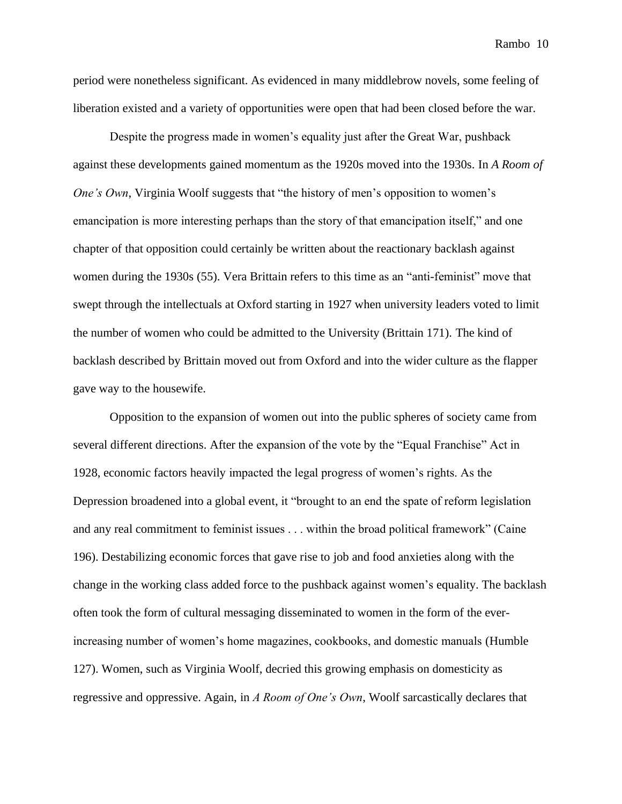period were nonetheless significant. As evidenced in many middlebrow novels, some feeling of liberation existed and a variety of opportunities were open that had been closed before the war.

Despite the progress made in women's equality just after the Great War, pushback against these developments gained momentum as the 1920s moved into the 1930s. In *A Room of One's Own*, Virginia Woolf suggests that "the history of men's opposition to women's emancipation is more interesting perhaps than the story of that emancipation itself," and one chapter of that opposition could certainly be written about the reactionary backlash against women during the 1930s (55). Vera Brittain refers to this time as an "anti-feminist" move that swept through the intellectuals at Oxford starting in 1927 when university leaders voted to limit the number of women who could be admitted to the University (Brittain 171). The kind of backlash described by Brittain moved out from Oxford and into the wider culture as the flapper gave way to the housewife.

Opposition to the expansion of women out into the public spheres of society came from several different directions. After the expansion of the vote by the "Equal Franchise" Act in 1928, economic factors heavily impacted the legal progress of women's rights. As the Depression broadened into a global event, it "brought to an end the spate of reform legislation and any real commitment to feminist issues . . . within the broad political framework" (Caine 196). Destabilizing economic forces that gave rise to job and food anxieties along with the change in the working class added force to the pushback against women's equality. The backlash often took the form of cultural messaging disseminated to women in the form of the everincreasing number of women's home magazines, cookbooks, and domestic manuals (Humble 127). Women, such as Virginia Woolf, decried this growing emphasis on domesticity as regressive and oppressive. Again, in *A Room of One's Own*, Woolf sarcastically declares that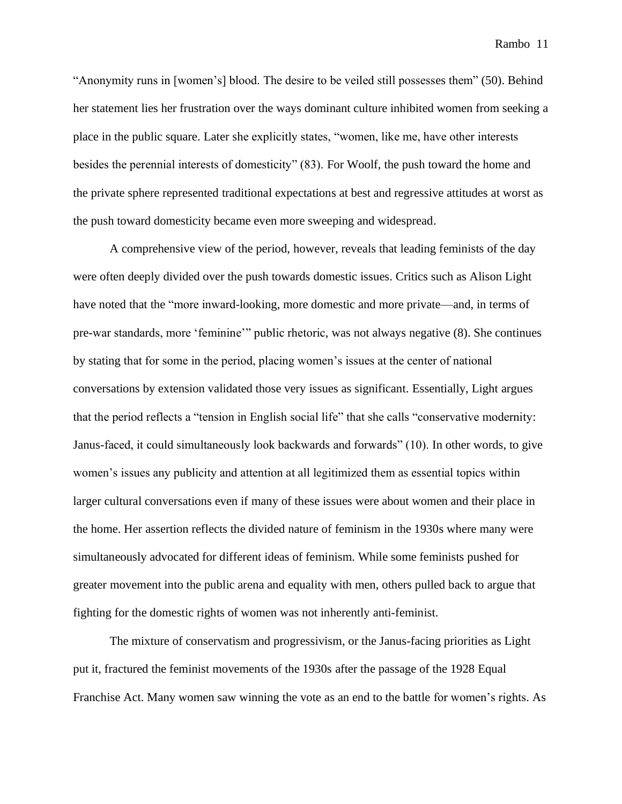"Anonymity runs in [women's] blood. The desire to be veiled still possesses them" (50). Behind her statement lies her frustration over the ways dominant culture inhibited women from seeking a place in the public square. Later she explicitly states, "women, like me, have other interests besides the perennial interests of domesticity" (83). For Woolf, the push toward the home and the private sphere represented traditional expectations at best and regressive attitudes at worst as the push toward domesticity became even more sweeping and widespread.

A comprehensive view of the period, however, reveals that leading feminists of the day were often deeply divided over the push towards domestic issues. Critics such as Alison Light have noted that the "more inward-looking, more domestic and more private—and, in terms of pre-war standards, more 'feminine'" public rhetoric, was not always negative (8). She continues by stating that for some in the period, placing women's issues at the center of national conversations by extension validated those very issues as significant. Essentially, Light argues that the period reflects a "tension in English social life" that she calls "conservative modernity: Janus-faced, it could simultaneously look backwards and forwards" (10). In other words, to give women's issues any publicity and attention at all legitimized them as essential topics within larger cultural conversations even if many of these issues were about women and their place in the home. Her assertion reflects the divided nature of feminism in the 1930s where many were simultaneously advocated for different ideas of feminism. While some feminists pushed for greater movement into the public arena and equality with men, others pulled back to argue that fighting for the domestic rights of women was not inherently anti-feminist.

The mixture of conservatism and progressivism, or the Janus-facing priorities as Light put it, fractured the feminist movements of the 1930s after the passage of the 1928 Equal Franchise Act. Many women saw winning the vote as an end to the battle for women's rights. As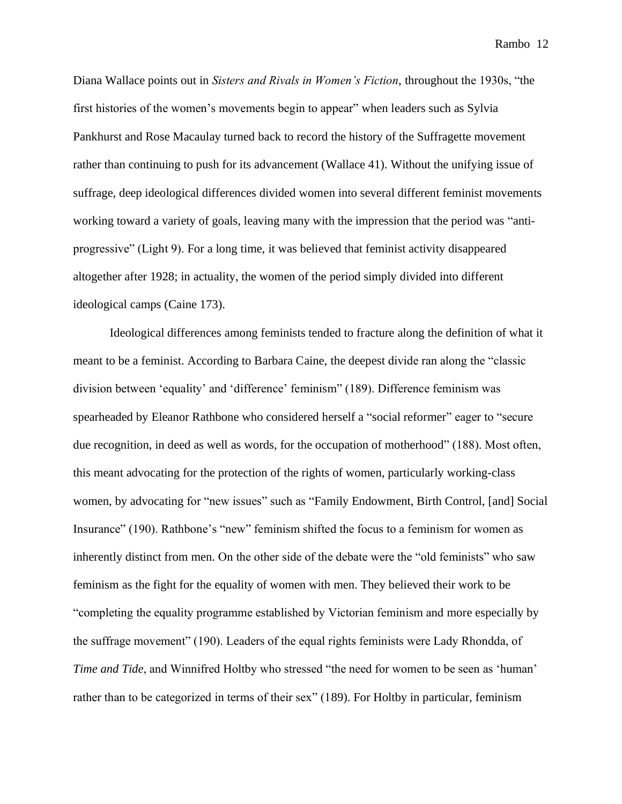Diana Wallace points out in *Sisters and Rivals in Women's Fiction*, throughout the 1930s, "the first histories of the women's movements begin to appear" when leaders such as Sylvia Pankhurst and Rose Macaulay turned back to record the history of the Suffragette movement rather than continuing to push for its advancement (Wallace 41). Without the unifying issue of suffrage, deep ideological differences divided women into several different feminist movements working toward a variety of goals, leaving many with the impression that the period was "antiprogressive" (Light 9). For a long time, it was believed that feminist activity disappeared altogether after 1928; in actuality, the women of the period simply divided into different ideological camps (Caine 173).

Ideological differences among feminists tended to fracture along the definition of what it meant to be a feminist. According to Barbara Caine, the deepest divide ran along the "classic division between 'equality' and 'difference' feminism" (189). Difference feminism was spearheaded by Eleanor Rathbone who considered herself a "social reformer" eager to "secure due recognition, in deed as well as words, for the occupation of motherhood" (188). Most often, this meant advocating for the protection of the rights of women, particularly working-class women, by advocating for "new issues" such as "Family Endowment, Birth Control, [and] Social Insurance" (190). Rathbone's "new" feminism shifted the focus to a feminism for women as inherently distinct from men. On the other side of the debate were the "old feminists" who saw feminism as the fight for the equality of women with men. They believed their work to be "completing the equality programme established by Victorian feminism and more especially by the suffrage movement" (190). Leaders of the equal rights feminists were Lady Rhondda, of *Time and Tide*, and Winnifred Holtby who stressed "the need for women to be seen as 'human' rather than to be categorized in terms of their sex" (189). For Holtby in particular, feminism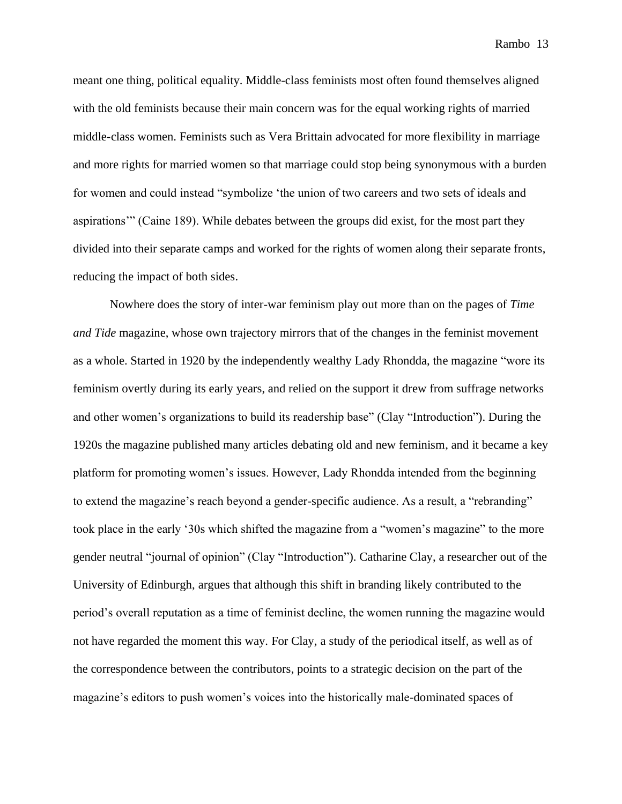meant one thing, political equality. Middle-class feminists most often found themselves aligned with the old feminists because their main concern was for the equal working rights of married middle-class women. Feminists such as Vera Brittain advocated for more flexibility in marriage and more rights for married women so that marriage could stop being synonymous with a burden for women and could instead "symbolize 'the union of two careers and two sets of ideals and aspirations'" (Caine 189). While debates between the groups did exist, for the most part they divided into their separate camps and worked for the rights of women along their separate fronts, reducing the impact of both sides.

Nowhere does the story of inter-war feminism play out more than on the pages of *Time and Tide* magazine, whose own trajectory mirrors that of the changes in the feminist movement as a whole. Started in 1920 by the independently wealthy Lady Rhondda, the magazine "wore its feminism overtly during its early years, and relied on the support it drew from suffrage networks and other women's organizations to build its readership base" (Clay "Introduction"). During the 1920s the magazine published many articles debating old and new feminism, and it became a key platform for promoting women's issues. However, Lady Rhondda intended from the beginning to extend the magazine's reach beyond a gender-specific audience. As a result, a "rebranding" took place in the early '30s which shifted the magazine from a "women's magazine" to the more gender neutral "journal of opinion" (Clay "Introduction"). Catharine Clay, a researcher out of the University of Edinburgh, argues that although this shift in branding likely contributed to the period's overall reputation as a time of feminist decline, the women running the magazine would not have regarded the moment this way. For Clay, a study of the periodical itself, as well as of the correspondence between the contributors, points to a strategic decision on the part of the magazine's editors to push women's voices into the historically male-dominated spaces of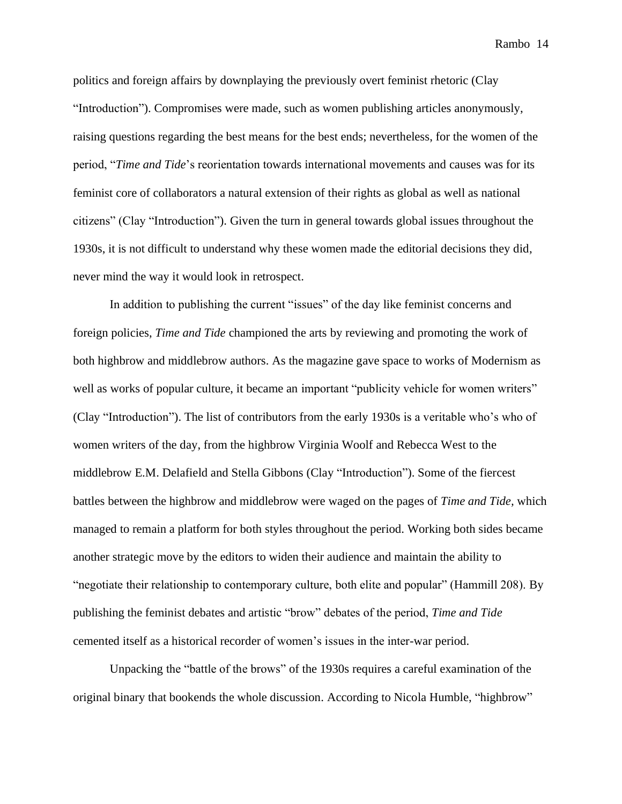politics and foreign affairs by downplaying the previously overt feminist rhetoric (Clay "Introduction"). Compromises were made, such as women publishing articles anonymously, raising questions regarding the best means for the best ends; nevertheless, for the women of the period, "*Time and Tide*'s reorientation towards international movements and causes was for its feminist core of collaborators a natural extension of their rights as global as well as national citizens" (Clay "Introduction"). Given the turn in general towards global issues throughout the 1930s, it is not difficult to understand why these women made the editorial decisions they did, never mind the way it would look in retrospect.

In addition to publishing the current "issues" of the day like feminist concerns and foreign policies, *Time and Tide* championed the arts by reviewing and promoting the work of both highbrow and middlebrow authors. As the magazine gave space to works of Modernism as well as works of popular culture, it became an important "publicity vehicle for women writers" (Clay "Introduction"). The list of contributors from the early 1930s is a veritable who's who of women writers of the day, from the highbrow Virginia Woolf and Rebecca West to the middlebrow E.M. Delafield and Stella Gibbons (Clay "Introduction"). Some of the fiercest battles between the highbrow and middlebrow were waged on the pages of *Time and Tide,* which managed to remain a platform for both styles throughout the period. Working both sides became another strategic move by the editors to widen their audience and maintain the ability to "negotiate their relationship to contemporary culture, both elite and popular" (Hammill 208). By publishing the feminist debates and artistic "brow" debates of the period, *Time and Tide* cemented itself as a historical recorder of women's issues in the inter-war period.

Unpacking the "battle of the brows" of the 1930s requires a careful examination of the original binary that bookends the whole discussion. According to Nicola Humble, "highbrow"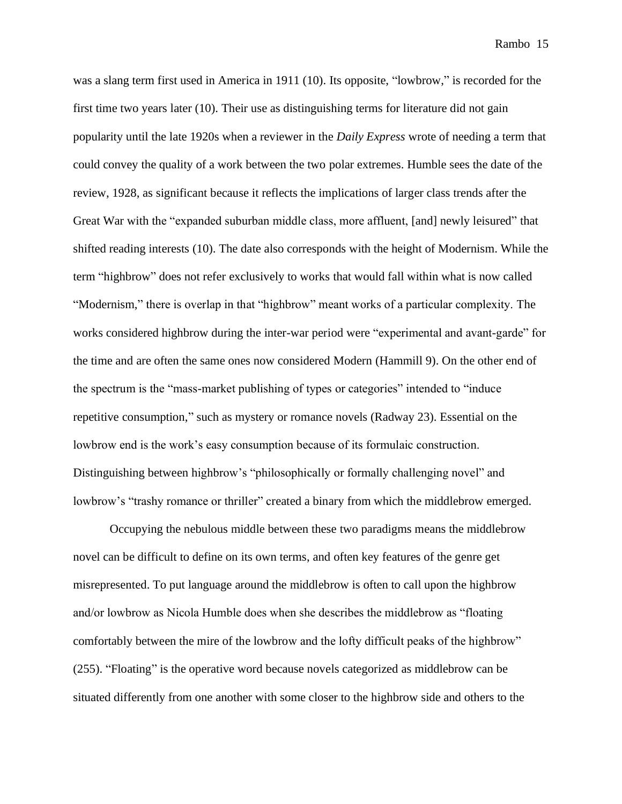was a slang term first used in America in 1911 (10). Its opposite, "lowbrow," is recorded for the first time two years later (10). Their use as distinguishing terms for literature did not gain popularity until the late 1920s when a reviewer in the *Daily Express* wrote of needing a term that could convey the quality of a work between the two polar extremes. Humble sees the date of the review, 1928, as significant because it reflects the implications of larger class trends after the Great War with the "expanded suburban middle class, more affluent, [and] newly leisured" that shifted reading interests (10). The date also corresponds with the height of Modernism. While the term "highbrow" does not refer exclusively to works that would fall within what is now called "Modernism," there is overlap in that "highbrow" meant works of a particular complexity. The works considered highbrow during the inter-war period were "experimental and avant-garde" for the time and are often the same ones now considered Modern (Hammill 9). On the other end of the spectrum is the "mass-market publishing of types or categories" intended to "induce repetitive consumption," such as mystery or romance novels (Radway 23). Essential on the lowbrow end is the work's easy consumption because of its formulaic construction. Distinguishing between highbrow's "philosophically or formally challenging novel" and lowbrow's "trashy romance or thriller" created a binary from which the middlebrow emerged.

Occupying the nebulous middle between these two paradigms means the middlebrow novel can be difficult to define on its own terms, and often key features of the genre get misrepresented. To put language around the middlebrow is often to call upon the highbrow and/or lowbrow as Nicola Humble does when she describes the middlebrow as "floating comfortably between the mire of the lowbrow and the lofty difficult peaks of the highbrow" (255). "Floating" is the operative word because novels categorized as middlebrow can be situated differently from one another with some closer to the highbrow side and others to the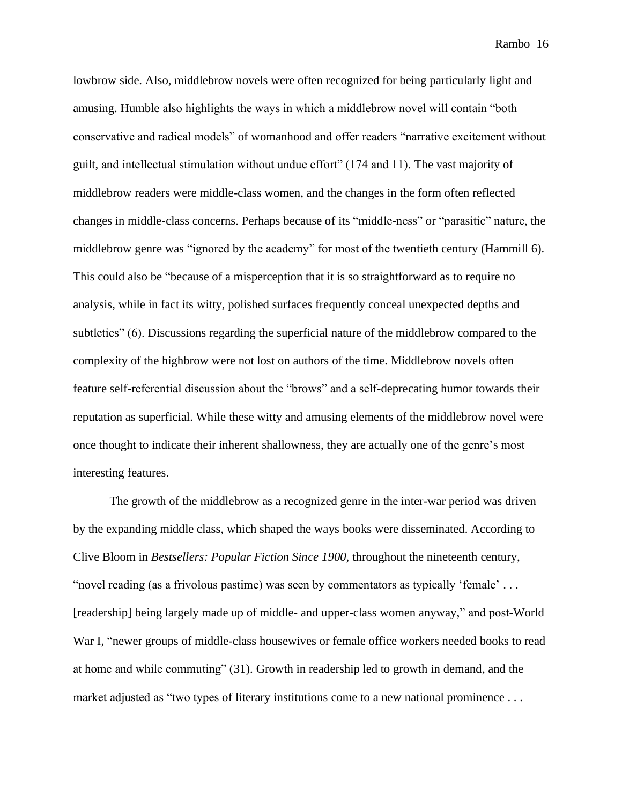lowbrow side. Also, middlebrow novels were often recognized for being particularly light and amusing. Humble also highlights the ways in which a middlebrow novel will contain "both conservative and radical models" of womanhood and offer readers "narrative excitement without guilt, and intellectual stimulation without undue effort" (174 and 11). The vast majority of middlebrow readers were middle-class women, and the changes in the form often reflected changes in middle-class concerns. Perhaps because of its "middle-ness" or "parasitic" nature, the middlebrow genre was "ignored by the academy" for most of the twentieth century (Hammill 6). This could also be "because of a misperception that it is so straightforward as to require no analysis, while in fact its witty, polished surfaces frequently conceal unexpected depths and subtleties" (6). Discussions regarding the superficial nature of the middlebrow compared to the complexity of the highbrow were not lost on authors of the time. Middlebrow novels often feature self-referential discussion about the "brows" and a self-deprecating humor towards their reputation as superficial. While these witty and amusing elements of the middlebrow novel were once thought to indicate their inherent shallowness, they are actually one of the genre's most interesting features.

The growth of the middlebrow as a recognized genre in the inter-war period was driven by the expanding middle class, which shaped the ways books were disseminated. According to Clive Bloom in *Bestsellers: Popular Fiction Since 1900,* throughout the nineteenth century, "novel reading (as a frivolous pastime) was seen by commentators as typically 'female' . . . [readership] being largely made up of middle- and upper-class women anyway," and post-World War I, "newer groups of middle-class housewives or female office workers needed books to read at home and while commuting" (31). Growth in readership led to growth in demand, and the market adjusted as "two types of literary institutions come to a new national prominence . . .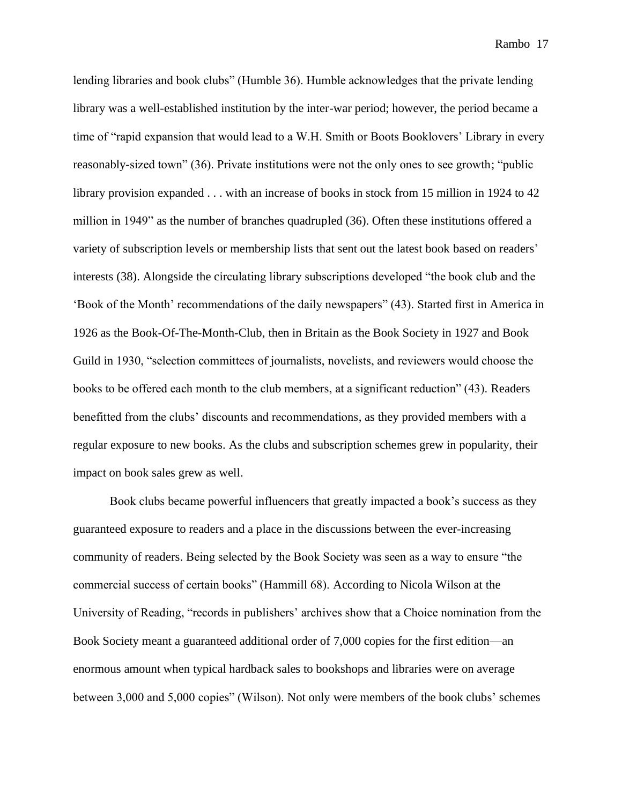lending libraries and book clubs" (Humble 36). Humble acknowledges that the private lending library was a well-established institution by the inter-war period; however, the period became a time of "rapid expansion that would lead to a W.H. Smith or Boots Booklovers' Library in every reasonably-sized town" (36). Private institutions were not the only ones to see growth; "public library provision expanded . . . with an increase of books in stock from 15 million in 1924 to 42 million in 1949" as the number of branches quadrupled (36). Often these institutions offered a variety of subscription levels or membership lists that sent out the latest book based on readers' interests (38). Alongside the circulating library subscriptions developed "the book club and the 'Book of the Month' recommendations of the daily newspapers" (43). Started first in America in 1926 as the Book-Of-The-Month-Club, then in Britain as the Book Society in 1927 and Book Guild in 1930, "selection committees of journalists, novelists, and reviewers would choose the books to be offered each month to the club members, at a significant reduction" (43). Readers benefitted from the clubs' discounts and recommendations, as they provided members with a regular exposure to new books. As the clubs and subscription schemes grew in popularity, their impact on book sales grew as well.

Book clubs became powerful influencers that greatly impacted a book's success as they guaranteed exposure to readers and a place in the discussions between the ever-increasing community of readers. Being selected by the Book Society was seen as a way to ensure "the commercial success of certain books" (Hammill 68). According to Nicola Wilson at the University of Reading, "records in publishers' archives show that a Choice nomination from the Book Society meant a guaranteed additional order of 7,000 copies for the first edition—an enormous amount when typical hardback sales to bookshops and libraries were on average between 3,000 and 5,000 copies" (Wilson). Not only were members of the book clubs' schemes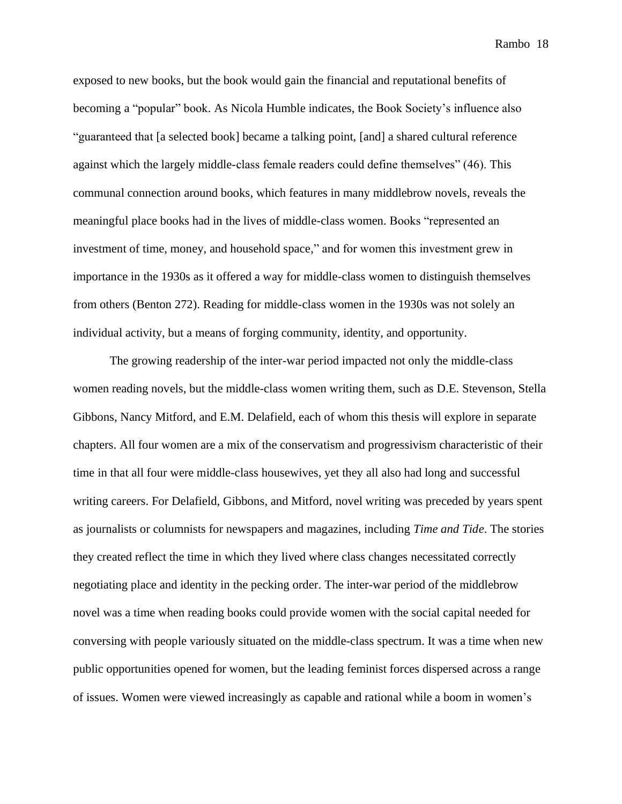exposed to new books, but the book would gain the financial and reputational benefits of becoming a "popular" book. As Nicola Humble indicates, the Book Society's influence also "guaranteed that [a selected book] became a talking point, [and] a shared cultural reference against which the largely middle-class female readers could define themselves" (46). This communal connection around books, which features in many middlebrow novels, reveals the meaningful place books had in the lives of middle-class women. Books "represented an investment of time, money, and household space," and for women this investment grew in importance in the 1930s as it offered a way for middle-class women to distinguish themselves from others (Benton 272). Reading for middle-class women in the 1930s was not solely an individual activity, but a means of forging community, identity, and opportunity.

The growing readership of the inter-war period impacted not only the middle-class women reading novels, but the middle-class women writing them, such as D.E. Stevenson, Stella Gibbons, Nancy Mitford, and E.M. Delafield, each of whom this thesis will explore in separate chapters. All four women are a mix of the conservatism and progressivism characteristic of their time in that all four were middle-class housewives, yet they all also had long and successful writing careers. For Delafield, Gibbons, and Mitford, novel writing was preceded by years spent as journalists or columnists for newspapers and magazines, including *Time and Tide*. The stories they created reflect the time in which they lived where class changes necessitated correctly negotiating place and identity in the pecking order. The inter-war period of the middlebrow novel was a time when reading books could provide women with the social capital needed for conversing with people variously situated on the middle-class spectrum. It was a time when new public opportunities opened for women, but the leading feminist forces dispersed across a range of issues. Women were viewed increasingly as capable and rational while a boom in women's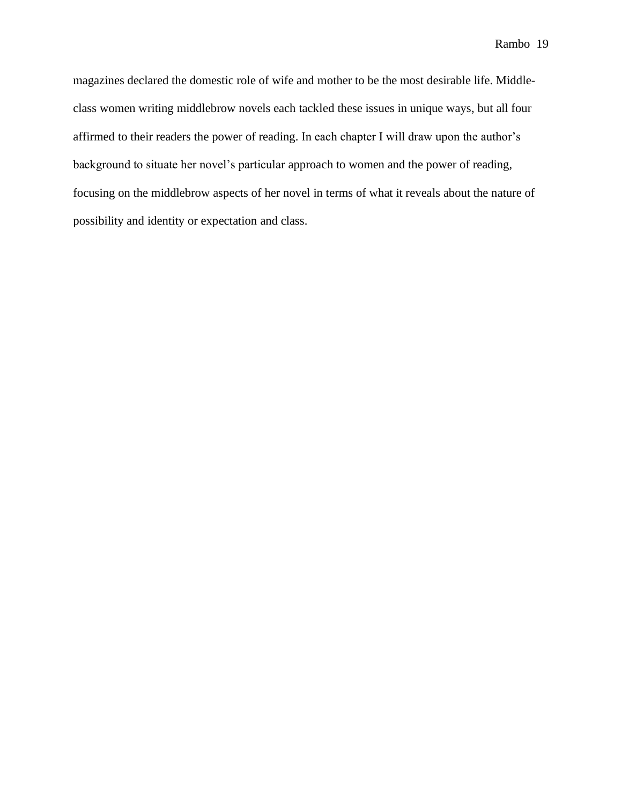magazines declared the domestic role of wife and mother to be the most desirable life. Middleclass women writing middlebrow novels each tackled these issues in unique ways, but all four affirmed to their readers the power of reading. In each chapter I will draw upon the author's background to situate her novel's particular approach to women and the power of reading, focusing on the middlebrow aspects of her novel in terms of what it reveals about the nature of possibility and identity or expectation and class.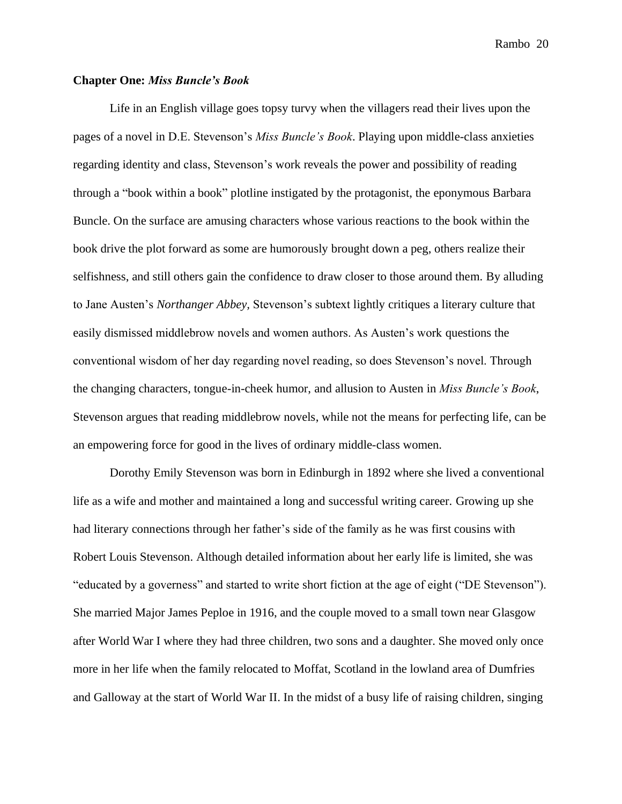### **Chapter One:** *Miss Buncle's Book*

Life in an English village goes topsy turvy when the villagers read their lives upon the pages of a novel in D.E. Stevenson's *Miss Buncle's Book*. Playing upon middle-class anxieties regarding identity and class, Stevenson's work reveals the power and possibility of reading through a "book within a book" plotline instigated by the protagonist, the eponymous Barbara Buncle. On the surface are amusing characters whose various reactions to the book within the book drive the plot forward as some are humorously brought down a peg, others realize their selfishness, and still others gain the confidence to draw closer to those around them. By alluding to Jane Austen's *Northanger Abbey,* Stevenson's subtext lightly critiques a literary culture that easily dismissed middlebrow novels and women authors. As Austen's work questions the conventional wisdom of her day regarding novel reading, so does Stevenson's novel. Through the changing characters, tongue-in-cheek humor, and allusion to Austen in *Miss Buncle's Book*, Stevenson argues that reading middlebrow novels, while not the means for perfecting life, can be an empowering force for good in the lives of ordinary middle-class women.

Dorothy Emily Stevenson was born in Edinburgh in 1892 where she lived a conventional life as a wife and mother and maintained a long and successful writing career. Growing up she had literary connections through her father's side of the family as he was first cousins with Robert Louis Stevenson. Although detailed information about her early life is limited, she was "educated by a governess" and started to write short fiction at the age of eight ("DE Stevenson"). She married Major James Peploe in 1916, and the couple moved to a small town near Glasgow after World War I where they had three children, two sons and a daughter. She moved only once more in her life when the family relocated to Moffat, Scotland in the lowland area of Dumfries and Galloway at the start of World War II. In the midst of a busy life of raising children, singing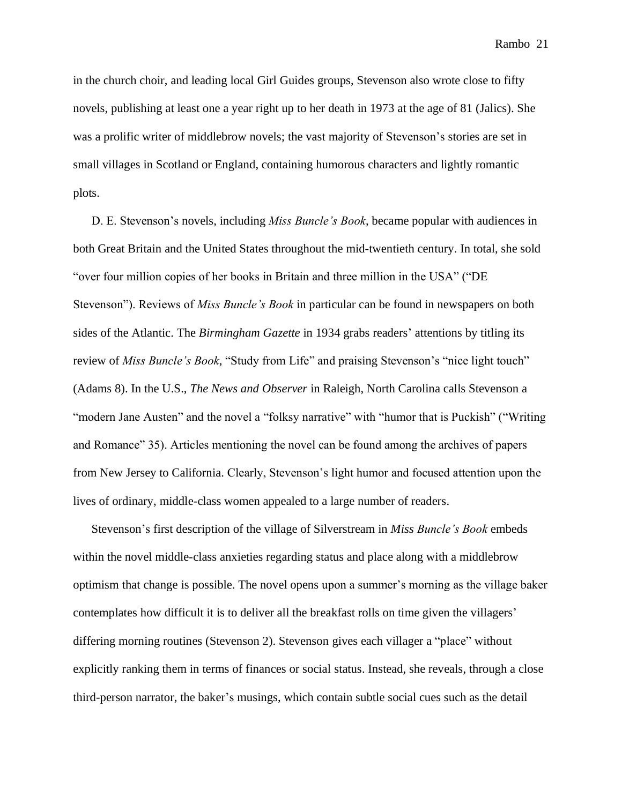in the church choir, and leading local Girl Guides groups, Stevenson also wrote close to fifty novels, publishing at least one a year right up to her death in 1973 at the age of 81 (Jalics). She was a prolific writer of middlebrow novels; the vast majority of Stevenson's stories are set in small villages in Scotland or England, containing humorous characters and lightly romantic plots.

D. E. Stevenson's novels, including *Miss Buncle's Book*, became popular with audiences in both Great Britain and the United States throughout the mid-twentieth century. In total, she sold "over four million copies of her books in Britain and three million in the USA" ("DE Stevenson"). Reviews of *Miss Buncle's Book* in particular can be found in newspapers on both sides of the Atlantic. The *Birmingham Gazette* in 1934 grabs readers' attentions by titling its review of *Miss Buncle's Book*, "Study from Life" and praising Stevenson's "nice light touch" (Adams 8). In the U.S., *The News and Observer* in Raleigh, North Carolina calls Stevenson a "modern Jane Austen" and the novel a "folksy narrative" with "humor that is Puckish" ("Writing and Romance" 35). Articles mentioning the novel can be found among the archives of papers from New Jersey to California. Clearly, Stevenson's light humor and focused attention upon the lives of ordinary, middle-class women appealed to a large number of readers.

Stevenson's first description of the village of Silverstream in *Miss Buncle's Book* embeds within the novel middle-class anxieties regarding status and place along with a middlebrow optimism that change is possible. The novel opens upon a summer's morning as the village baker contemplates how difficult it is to deliver all the breakfast rolls on time given the villagers' differing morning routines (Stevenson 2). Stevenson gives each villager a "place" without explicitly ranking them in terms of finances or social status. Instead, she reveals, through a close third-person narrator, the baker's musings, which contain subtle social cues such as the detail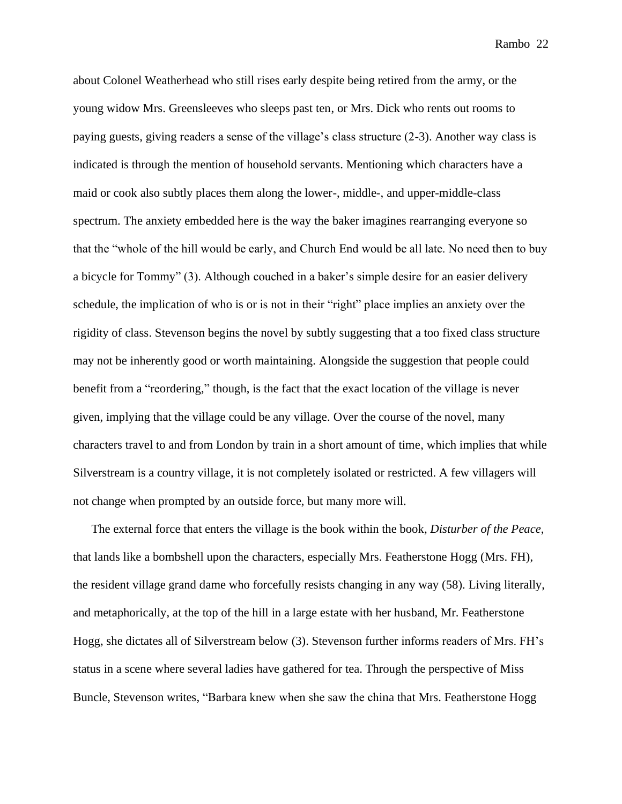about Colonel Weatherhead who still rises early despite being retired from the army, or the young widow Mrs. Greensleeves who sleeps past ten, or Mrs. Dick who rents out rooms to paying guests, giving readers a sense of the village's class structure (2-3). Another way class is indicated is through the mention of household servants. Mentioning which characters have a maid or cook also subtly places them along the lower-, middle-, and upper-middle-class spectrum. The anxiety embedded here is the way the baker imagines rearranging everyone so that the "whole of the hill would be early, and Church End would be all late. No need then to buy a bicycle for Tommy" (3). Although couched in a baker's simple desire for an easier delivery schedule, the implication of who is or is not in their "right" place implies an anxiety over the rigidity of class. Stevenson begins the novel by subtly suggesting that a too fixed class structure may not be inherently good or worth maintaining. Alongside the suggestion that people could benefit from a "reordering," though, is the fact that the exact location of the village is never given, implying that the village could be any village. Over the course of the novel, many characters travel to and from London by train in a short amount of time, which implies that while Silverstream is a country village, it is not completely isolated or restricted. A few villagers will not change when prompted by an outside force, but many more will.

The external force that enters the village is the book within the book, *Disturber of the Peace*, that lands like a bombshell upon the characters, especially Mrs. Featherstone Hogg (Mrs. FH), the resident village grand dame who forcefully resists changing in any way (58). Living literally, and metaphorically, at the top of the hill in a large estate with her husband, Mr. Featherstone Hogg, she dictates all of Silverstream below (3). Stevenson further informs readers of Mrs. FH's status in a scene where several ladies have gathered for tea. Through the perspective of Miss Buncle, Stevenson writes, "Barbara knew when she saw the china that Mrs. Featherstone Hogg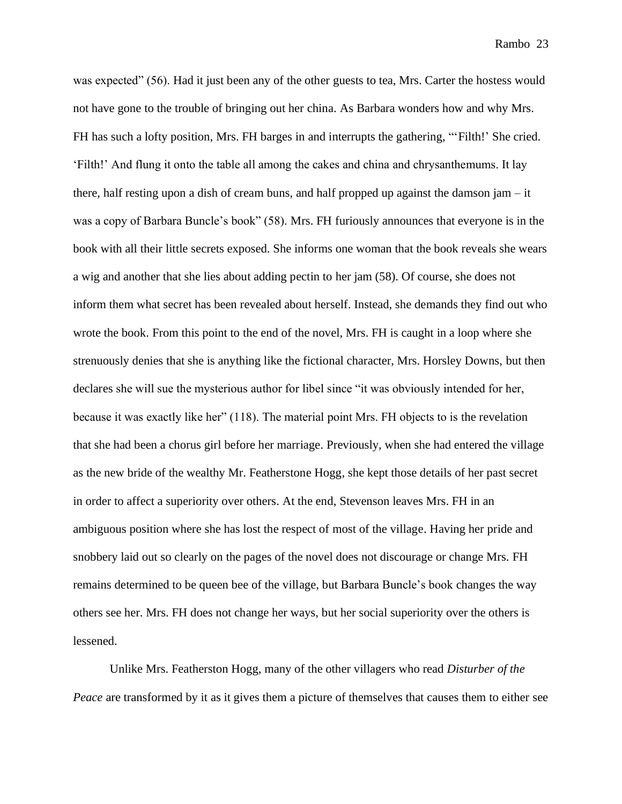was expected" (56). Had it just been any of the other guests to tea, Mrs. Carter the hostess would not have gone to the trouble of bringing out her china. As Barbara wonders how and why Mrs. FH has such a lofty position, Mrs. FH barges in and interrupts the gathering, "'Filth!' She cried. 'Filth!' And flung it onto the table all among the cakes and china and chrysanthemums. It lay there, half resting upon a dish of cream buns, and half propped up against the damson jam  $-$  it was a copy of Barbara Buncle's book" (58). Mrs. FH furiously announces that everyone is in the book with all their little secrets exposed. She informs one woman that the book reveals she wears a wig and another that she lies about adding pectin to her jam (58). Of course, she does not inform them what secret has been revealed about herself. Instead, she demands they find out who wrote the book. From this point to the end of the novel, Mrs. FH is caught in a loop where she strenuously denies that she is anything like the fictional character, Mrs. Horsley Downs, but then declares she will sue the mysterious author for libel since "it was obviously intended for her, because it was exactly like her" (118). The material point Mrs. FH objects to is the revelation that she had been a chorus girl before her marriage. Previously, when she had entered the village as the new bride of the wealthy Mr. Featherstone Hogg, she kept those details of her past secret in order to affect a superiority over others. At the end, Stevenson leaves Mrs. FH in an ambiguous position where she has lost the respect of most of the village. Having her pride and snobbery laid out so clearly on the pages of the novel does not discourage or change Mrs. FH remains determined to be queen bee of the village, but Barbara Buncle's book changes the way others see her. Mrs. FH does not change her ways, but her social superiority over the others is lessened.

Unlike Mrs. Featherston Hogg, many of the other villagers who read *Disturber of the Peace* are transformed by it as it gives them a picture of themselves that causes them to either see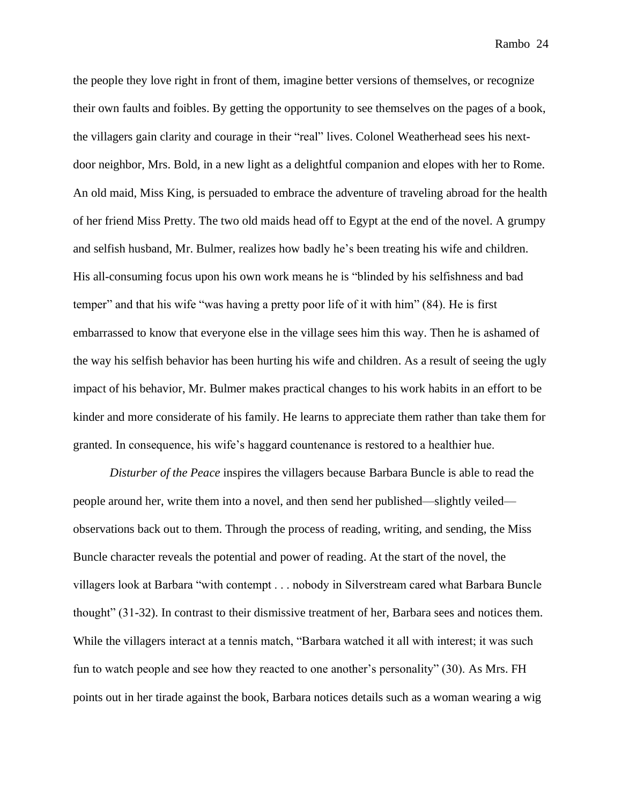the people they love right in front of them, imagine better versions of themselves, or recognize their own faults and foibles. By getting the opportunity to see themselves on the pages of a book, the villagers gain clarity and courage in their "real" lives. Colonel Weatherhead sees his nextdoor neighbor, Mrs. Bold, in a new light as a delightful companion and elopes with her to Rome. An old maid, Miss King, is persuaded to embrace the adventure of traveling abroad for the health of her friend Miss Pretty. The two old maids head off to Egypt at the end of the novel. A grumpy and selfish husband, Mr. Bulmer, realizes how badly he's been treating his wife and children. His all-consuming focus upon his own work means he is "blinded by his selfishness and bad temper" and that his wife "was having a pretty poor life of it with him" (84). He is first embarrassed to know that everyone else in the village sees him this way. Then he is ashamed of the way his selfish behavior has been hurting his wife and children. As a result of seeing the ugly impact of his behavior, Mr. Bulmer makes practical changes to his work habits in an effort to be kinder and more considerate of his family. He learns to appreciate them rather than take them for granted. In consequence, his wife's haggard countenance is restored to a healthier hue.

*Disturber of the Peace* inspires the villagers because Barbara Buncle is able to read the people around her, write them into a novel, and then send her published—slightly veiled observations back out to them. Through the process of reading, writing, and sending, the Miss Buncle character reveals the potential and power of reading. At the start of the novel, the villagers look at Barbara "with contempt . . . nobody in Silverstream cared what Barbara Buncle thought" (31-32). In contrast to their dismissive treatment of her, Barbara sees and notices them. While the villagers interact at a tennis match, "Barbara watched it all with interest; it was such fun to watch people and see how they reacted to one another's personality" (30). As Mrs. FH points out in her tirade against the book, Barbara notices details such as a woman wearing a wig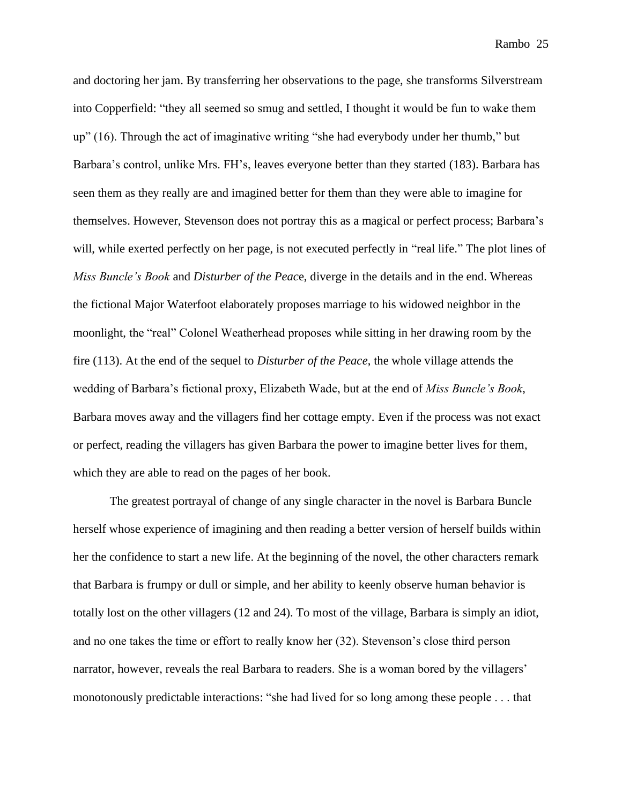and doctoring her jam. By transferring her observations to the page, she transforms Silverstream into Copperfield: "they all seemed so smug and settled, I thought it would be fun to wake them up" (16). Through the act of imaginative writing "she had everybody under her thumb," but Barbara's control, unlike Mrs. FH's, leaves everyone better than they started (183). Barbara has seen them as they really are and imagined better for them than they were able to imagine for themselves. However, Stevenson does not portray this as a magical or perfect process; Barbara's will, while exerted perfectly on her page, is not executed perfectly in "real life." The plot lines of *Miss Buncle's Book* and *Disturber of the Peac*e, diverge in the details and in the end. Whereas the fictional Major Waterfoot elaborately proposes marriage to his widowed neighbor in the moonlight, the "real" Colonel Weatherhead proposes while sitting in her drawing room by the fire (113). At the end of the sequel to *Disturber of the Peace*, the whole village attends the wedding of Barbara's fictional proxy, Elizabeth Wade, but at the end of *Miss Buncle's Book*, Barbara moves away and the villagers find her cottage empty. Even if the process was not exact or perfect, reading the villagers has given Barbara the power to imagine better lives for them, which they are able to read on the pages of her book.

The greatest portrayal of change of any single character in the novel is Barbara Buncle herself whose experience of imagining and then reading a better version of herself builds within her the confidence to start a new life. At the beginning of the novel, the other characters remark that Barbara is frumpy or dull or simple, and her ability to keenly observe human behavior is totally lost on the other villagers (12 and 24). To most of the village, Barbara is simply an idiot, and no one takes the time or effort to really know her (32). Stevenson's close third person narrator, however, reveals the real Barbara to readers. She is a woman bored by the villagers' monotonously predictable interactions: "she had lived for so long among these people . . . that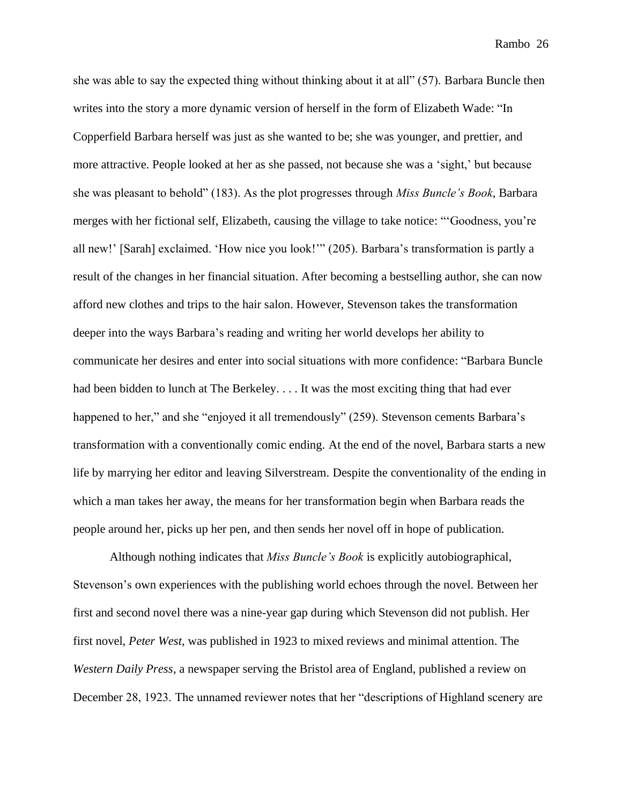she was able to say the expected thing without thinking about it at all" (57). Barbara Buncle then writes into the story a more dynamic version of herself in the form of Elizabeth Wade: "In Copperfield Barbara herself was just as she wanted to be; she was younger, and prettier, and more attractive. People looked at her as she passed, not because she was a 'sight,' but because she was pleasant to behold" (183). As the plot progresses through *Miss Buncle's Book*, Barbara merges with her fictional self, Elizabeth, causing the village to take notice: "'Goodness, you're all new!' [Sarah] exclaimed. 'How nice you look!'" (205). Barbara's transformation is partly a result of the changes in her financial situation. After becoming a bestselling author, she can now afford new clothes and trips to the hair salon. However, Stevenson takes the transformation deeper into the ways Barbara's reading and writing her world develops her ability to communicate her desires and enter into social situations with more confidence: "Barbara Buncle had been bidden to lunch at The Berkeley. . . . It was the most exciting thing that had ever happened to her," and she "enjoyed it all tremendously" (259). Stevenson cements Barbara's transformation with a conventionally comic ending. At the end of the novel, Barbara starts a new life by marrying her editor and leaving Silverstream. Despite the conventionality of the ending in which a man takes her away, the means for her transformation begin when Barbara reads the people around her, picks up her pen, and then sends her novel off in hope of publication.

Although nothing indicates that *Miss Buncle's Book* is explicitly autobiographical, Stevenson's own experiences with the publishing world echoes through the novel. Between her first and second novel there was a nine-year gap during which Stevenson did not publish. Her first novel, *Peter West*, was published in 1923 to mixed reviews and minimal attention. The *Western Daily Press*, a newspaper serving the Bristol area of England, published a review on December 28, 1923. The unnamed reviewer notes that her "descriptions of Highland scenery are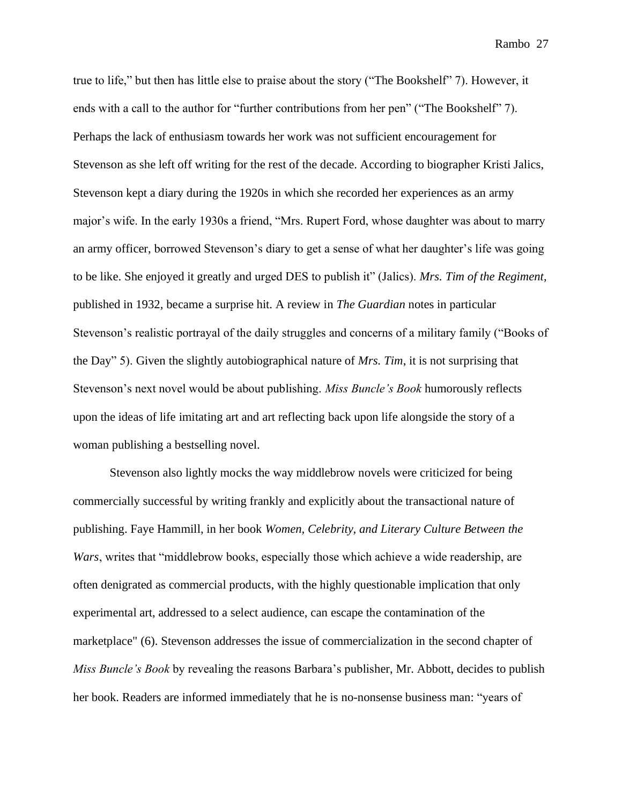true to life," but then has little else to praise about the story ("The Bookshelf" 7). However, it ends with a call to the author for "further contributions from her pen" ("The Bookshelf" 7). Perhaps the lack of enthusiasm towards her work was not sufficient encouragement for Stevenson as she left off writing for the rest of the decade. According to biographer Kristi Jalics, Stevenson kept a diary during the 1920s in which she recorded her experiences as an army major's wife. In the early 1930s a friend, "Mrs. Rupert Ford, whose daughter was about to marry an army officer, borrowed Stevenson's diary to get a sense of what her daughter's life was going to be like. She enjoyed it greatly and urged DES to publish it" (Jalics). *Mrs. Tim of the Regiment*, published in 1932, became a surprise hit. A review in *The Guardian* notes in particular Stevenson's realistic portrayal of the daily struggles and concerns of a military family ("Books of the Day" 5). Given the slightly autobiographical nature of *Mrs. Tim*, it is not surprising that Stevenson's next novel would be about publishing. *Miss Buncle's Book* humorously reflects upon the ideas of life imitating art and art reflecting back upon life alongside the story of a woman publishing a bestselling novel.

Stevenson also lightly mocks the way middlebrow novels were criticized for being commercially successful by writing frankly and explicitly about the transactional nature of publishing. Faye Hammill, in her book *Women, Celebrity, and Literary Culture Between the Wars*, writes that "middlebrow books, especially those which achieve a wide readership, are often denigrated as commercial products, with the highly questionable implication that only experimental art, addressed to a select audience, can escape the contamination of the marketplace" (6). Stevenson addresses the issue of commercialization in the second chapter of *Miss Buncle's Book* by revealing the reasons Barbara's publisher, Mr. Abbott, decides to publish her book. Readers are informed immediately that he is no-nonsense business man: "years of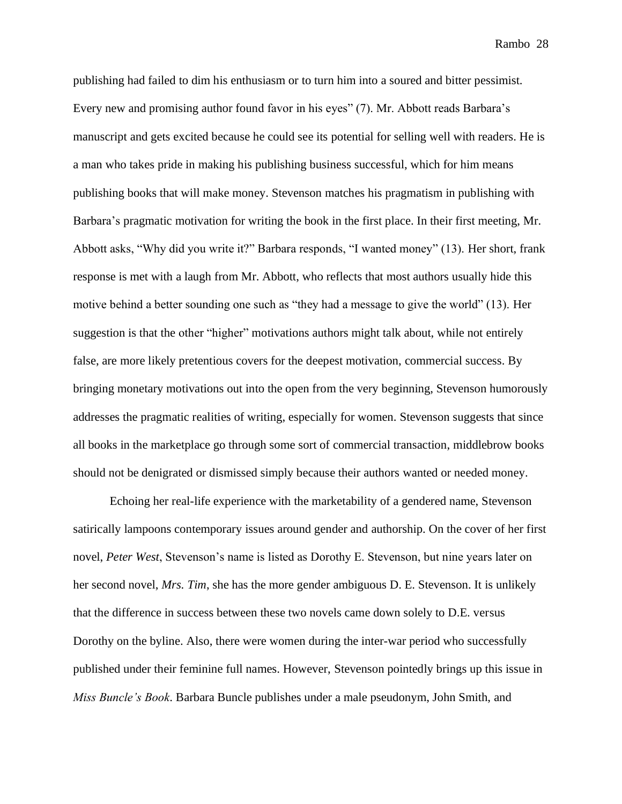publishing had failed to dim his enthusiasm or to turn him into a soured and bitter pessimist. Every new and promising author found favor in his eyes" (7). Mr. Abbott reads Barbara's manuscript and gets excited because he could see its potential for selling well with readers. He is a man who takes pride in making his publishing business successful, which for him means publishing books that will make money. Stevenson matches his pragmatism in publishing with Barbara's pragmatic motivation for writing the book in the first place. In their first meeting, Mr. Abbott asks, "Why did you write it?" Barbara responds, "I wanted money" (13). Her short, frank response is met with a laugh from Mr. Abbott, who reflects that most authors usually hide this motive behind a better sounding one such as "they had a message to give the world" (13). Her suggestion is that the other "higher" motivations authors might talk about, while not entirely false, are more likely pretentious covers for the deepest motivation, commercial success. By bringing monetary motivations out into the open from the very beginning, Stevenson humorously addresses the pragmatic realities of writing, especially for women. Stevenson suggests that since all books in the marketplace go through some sort of commercial transaction, middlebrow books should not be denigrated or dismissed simply because their authors wanted or needed money.

Echoing her real-life experience with the marketability of a gendered name, Stevenson satirically lampoons contemporary issues around gender and authorship. On the cover of her first novel, *Peter West*, Stevenson's name is listed as Dorothy E. Stevenson, but nine years later on her second novel, *Mrs. Tim*, she has the more gender ambiguous D. E. Stevenson. It is unlikely that the difference in success between these two novels came down solely to D.E. versus Dorothy on the byline. Also, there were women during the inter-war period who successfully published under their feminine full names. However, Stevenson pointedly brings up this issue in *Miss Buncle's Book*. Barbara Buncle publishes under a male pseudonym, John Smith, and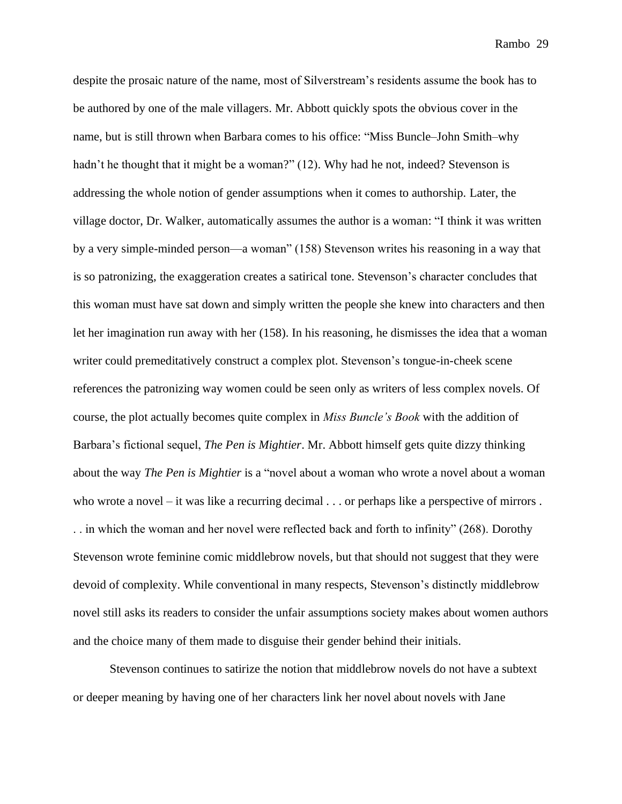despite the prosaic nature of the name, most of Silverstream's residents assume the book has to be authored by one of the male villagers. Mr. Abbott quickly spots the obvious cover in the name, but is still thrown when Barbara comes to his office: "Miss Buncle–John Smith–why hadn't he thought that it might be a woman?" (12). Why had he not, indeed? Stevenson is addressing the whole notion of gender assumptions when it comes to authorship. Later, the village doctor, Dr. Walker, automatically assumes the author is a woman: "I think it was written by a very simple-minded person—a woman" (158) Stevenson writes his reasoning in a way that is so patronizing, the exaggeration creates a satirical tone. Stevenson's character concludes that this woman must have sat down and simply written the people she knew into characters and then let her imagination run away with her (158). In his reasoning, he dismisses the idea that a woman writer could premeditatively construct a complex plot. Stevenson's tongue-in-cheek scene references the patronizing way women could be seen only as writers of less complex novels. Of course, the plot actually becomes quite complex in *Miss Buncle's Book* with the addition of Barbara's fictional sequel, *The Pen is Mightier*. Mr. Abbott himself gets quite dizzy thinking about the way *The Pen is Mightier* is a "novel about a woman who wrote a novel about a woman who wrote a novel – it was like a recurring decimal . . . or perhaps like a perspective of mirrors . . . in which the woman and her novel were reflected back and forth to infinity" (268). Dorothy Stevenson wrote feminine comic middlebrow novels, but that should not suggest that they were devoid of complexity. While conventional in many respects, Stevenson's distinctly middlebrow novel still asks its readers to consider the unfair assumptions society makes about women authors and the choice many of them made to disguise their gender behind their initials.

Stevenson continues to satirize the notion that middlebrow novels do not have a subtext or deeper meaning by having one of her characters link her novel about novels with Jane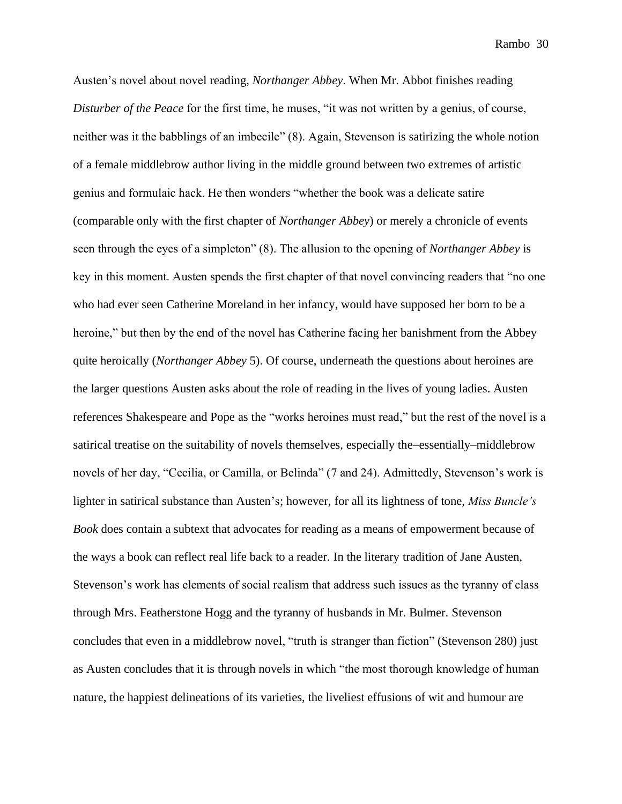Austen's novel about novel reading, *Northanger Abbey*. When Mr. Abbot finishes reading *Disturber of the Peace* for the first time, he muses, "it was not written by a genius, of course, neither was it the babblings of an imbecile" (8). Again, Stevenson is satirizing the whole notion of a female middlebrow author living in the middle ground between two extremes of artistic genius and formulaic hack. He then wonders "whether the book was a delicate satire (comparable only with the first chapter of *Northanger Abbey*) or merely a chronicle of events seen through the eyes of a simpleton" (8). The allusion to the opening of *Northanger Abbey* is key in this moment. Austen spends the first chapter of that novel convincing readers that "no one who had ever seen Catherine Moreland in her infancy, would have supposed her born to be a heroine," but then by the end of the novel has Catherine facing her banishment from the Abbey quite heroically (*Northanger Abbey* 5). Of course, underneath the questions about heroines are the larger questions Austen asks about the role of reading in the lives of young ladies. Austen references Shakespeare and Pope as the "works heroines must read," but the rest of the novel is a satirical treatise on the suitability of novels themselves, especially the–essentially–middlebrow novels of her day, "Cecilia, or Camilla, or Belinda" (7 and 24). Admittedly, Stevenson's work is lighter in satirical substance than Austen's; however, for all its lightness of tone, *Miss Buncle's Book* does contain a subtext that advocates for reading as a means of empowerment because of the ways a book can reflect real life back to a reader. In the literary tradition of Jane Austen, Stevenson's work has elements of social realism that address such issues as the tyranny of class through Mrs. Featherstone Hogg and the tyranny of husbands in Mr. Bulmer. Stevenson concludes that even in a middlebrow novel, "truth is stranger than fiction" (Stevenson 280) just as Austen concludes that it is through novels in which "the most thorough knowledge of human nature, the happiest delineations of its varieties, the liveliest effusions of wit and humour are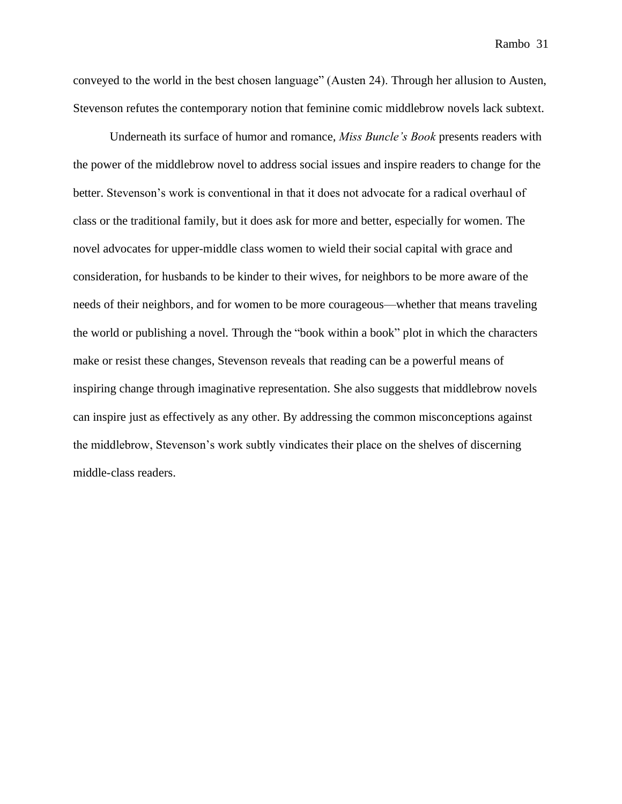conveyed to the world in the best chosen language" (Austen 24). Through her allusion to Austen, Stevenson refutes the contemporary notion that feminine comic middlebrow novels lack subtext.

Underneath its surface of humor and romance, *Miss Buncle's Book* presents readers with the power of the middlebrow novel to address social issues and inspire readers to change for the better. Stevenson's work is conventional in that it does not advocate for a radical overhaul of class or the traditional family, but it does ask for more and better, especially for women. The novel advocates for upper-middle class women to wield their social capital with grace and consideration, for husbands to be kinder to their wives, for neighbors to be more aware of the needs of their neighbors, and for women to be more courageous—whether that means traveling the world or publishing a novel. Through the "book within a book" plot in which the characters make or resist these changes, Stevenson reveals that reading can be a powerful means of inspiring change through imaginative representation. She also suggests that middlebrow novels can inspire just as effectively as any other. By addressing the common misconceptions against the middlebrow, Stevenson's work subtly vindicates their place on the shelves of discerning middle-class readers.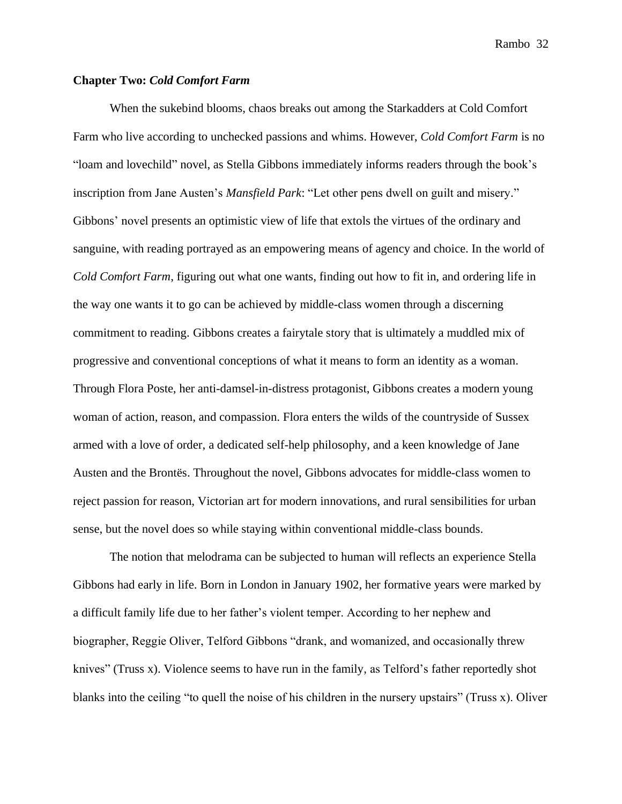### **Chapter Two:** *Cold Comfort Farm*

When the sukebind blooms, chaos breaks out among the Starkadders at Cold Comfort Farm who live according to unchecked passions and whims. However, *Cold Comfort Farm* is no "loam and lovechild" novel, as Stella Gibbons immediately informs readers through the book's inscription from Jane Austen's *Mansfield Park*: "Let other pens dwell on guilt and misery." Gibbons' novel presents an optimistic view of life that extols the virtues of the ordinary and sanguine, with reading portrayed as an empowering means of agency and choice. In the world of *Cold Comfort Farm*, figuring out what one wants, finding out how to fit in, and ordering life in the way one wants it to go can be achieved by middle-class women through a discerning commitment to reading. Gibbons creates a fairytale story that is ultimately a muddled mix of progressive and conventional conceptions of what it means to form an identity as a woman. Through Flora Poste, her anti-damsel-in-distress protagonist, Gibbons creates a modern young woman of action, reason, and compassion. Flora enters the wilds of the countryside of Sussex armed with a love of order, a dedicated self-help philosophy, and a keen knowledge of Jane Austen and the Brontës. Throughout the novel, Gibbons advocates for middle-class women to reject passion for reason, Victorian art for modern innovations, and rural sensibilities for urban sense, but the novel does so while staying within conventional middle-class bounds.

The notion that melodrama can be subjected to human will reflects an experience Stella Gibbons had early in life. Born in London in January 1902, her formative years were marked by a difficult family life due to her father's violent temper. According to her nephew and biographer, Reggie Oliver, Telford Gibbons "drank, and womanized, and occasionally threw knives" (Truss x). Violence seems to have run in the family, as Telford's father reportedly shot blanks into the ceiling "to quell the noise of his children in the nursery upstairs" (Truss x). Oliver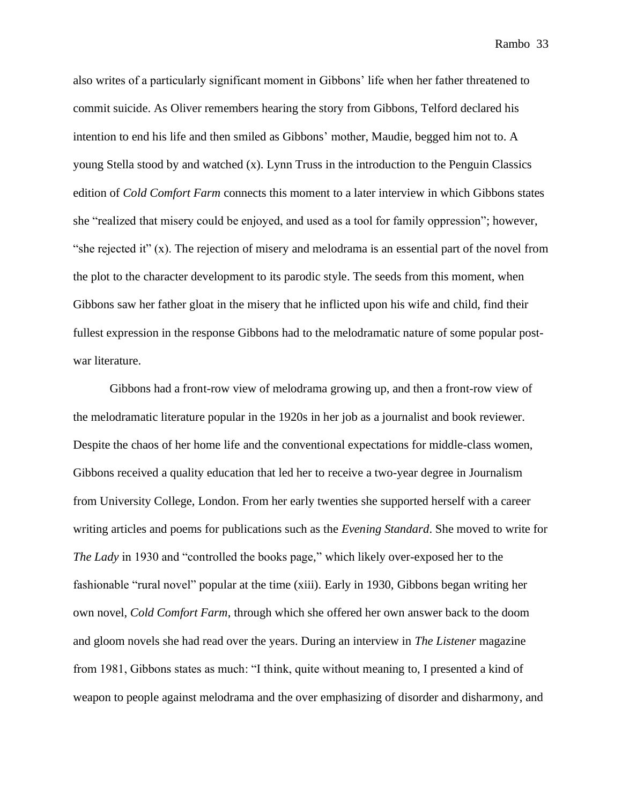also writes of a particularly significant moment in Gibbons' life when her father threatened to commit suicide. As Oliver remembers hearing the story from Gibbons, Telford declared his intention to end his life and then smiled as Gibbons' mother, Maudie, begged him not to. A young Stella stood by and watched (x). Lynn Truss in the introduction to the Penguin Classics edition of *Cold Comfort Farm* connects this moment to a later interview in which Gibbons states she "realized that misery could be enjoyed, and used as a tool for family oppression"; however, "she rejected it" (x). The rejection of misery and melodrama is an essential part of the novel from the plot to the character development to its parodic style. The seeds from this moment, when Gibbons saw her father gloat in the misery that he inflicted upon his wife and child, find their fullest expression in the response Gibbons had to the melodramatic nature of some popular postwar literature.

Gibbons had a front-row view of melodrama growing up, and then a front-row view of the melodramatic literature popular in the 1920s in her job as a journalist and book reviewer. Despite the chaos of her home life and the conventional expectations for middle-class women, Gibbons received a quality education that led her to receive a two-year degree in Journalism from University College, London. From her early twenties she supported herself with a career writing articles and poems for publications such as the *Evening Standard*. She moved to write for *The Lady* in 1930 and "controlled the books page," which likely over-exposed her to the fashionable "rural novel" popular at the time (xiii). Early in 1930, Gibbons began writing her own novel, *Cold Comfort Farm*, through which she offered her own answer back to the doom and gloom novels she had read over the years. During an interview in *The Listener* magazine from 1981, Gibbons states as much: "I think, quite without meaning to, I presented a kind of weapon to people against melodrama and the over emphasizing of disorder and disharmony, and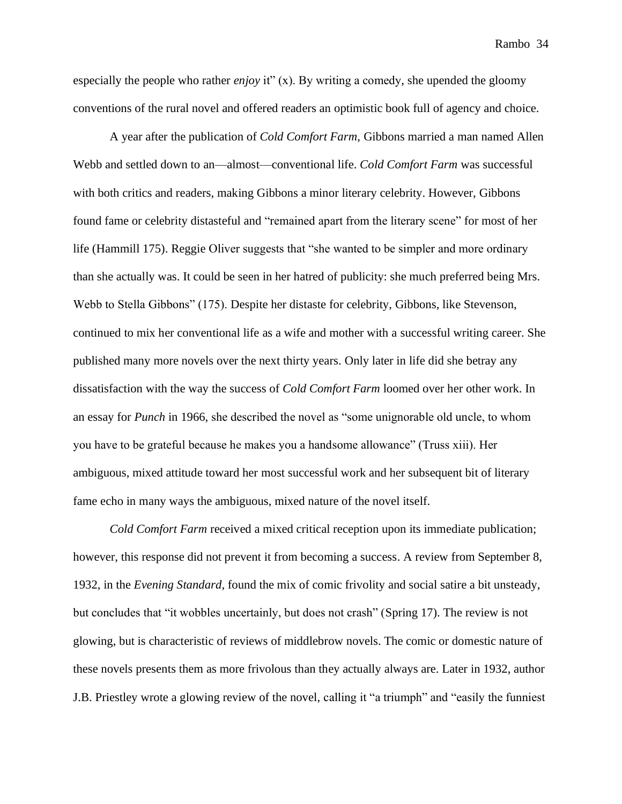especially the people who rather *enjoy* it" (x). By writing a comedy, she upended the gloomy conventions of the rural novel and offered readers an optimistic book full of agency and choice.

A year after the publication of *Cold Comfort Farm*, Gibbons married a man named Allen Webb and settled down to an—almost—conventional life. *Cold Comfort Farm* was successful with both critics and readers, making Gibbons a minor literary celebrity. However, Gibbons found fame or celebrity distasteful and "remained apart from the literary scene" for most of her life (Hammill 175). Reggie Oliver suggests that "she wanted to be simpler and more ordinary than she actually was. It could be seen in her hatred of publicity: she much preferred being Mrs. Webb to Stella Gibbons" (175). Despite her distaste for celebrity, Gibbons, like Stevenson, continued to mix her conventional life as a wife and mother with a successful writing career. She published many more novels over the next thirty years. Only later in life did she betray any dissatisfaction with the way the success of *Cold Comfort Farm* loomed over her other work. In an essay for *Punch* in 1966, she described the novel as "some unignorable old uncle, to whom you have to be grateful because he makes you a handsome allowance" (Truss xiii). Her ambiguous, mixed attitude toward her most successful work and her subsequent bit of literary fame echo in many ways the ambiguous, mixed nature of the novel itself.

*Cold Comfort Farm* received a mixed critical reception upon its immediate publication; however, this response did not prevent it from becoming a success. A review from September 8, 1932, in the *Evening Standard*, found the mix of comic frivolity and social satire a bit unsteady, but concludes that "it wobbles uncertainly, but does not crash" (Spring 17). The review is not glowing, but is characteristic of reviews of middlebrow novels. The comic or domestic nature of these novels presents them as more frivolous than they actually always are. Later in 1932, author J.B. Priestley wrote a glowing review of the novel, calling it "a triumph" and "easily the funniest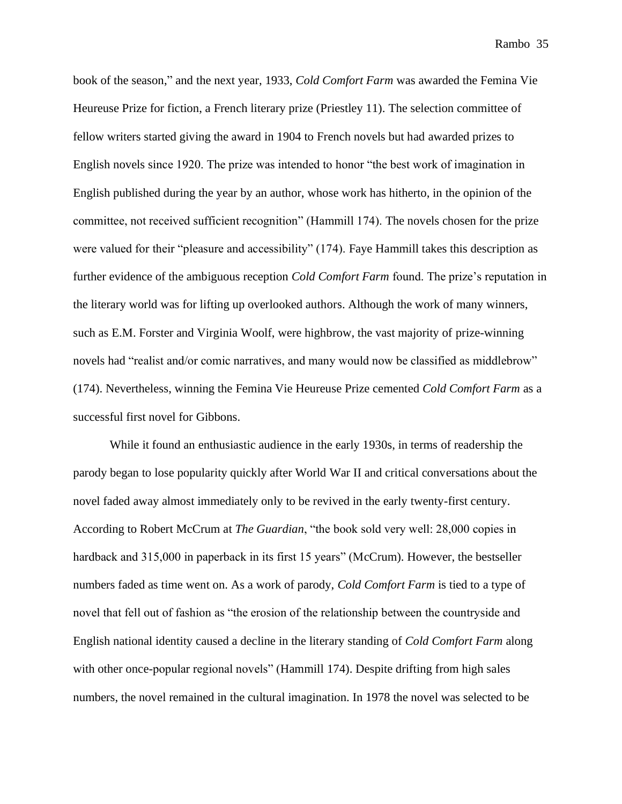book of the season," and the next year, 1933, *Cold Comfort Farm* was awarded the Femina Vie Heureuse Prize for fiction, a French literary prize (Priestley 11). The selection committee of fellow writers started giving the award in 1904 to French novels but had awarded prizes to English novels since 1920. The prize was intended to honor "the best work of imagination in English published during the year by an author, whose work has hitherto, in the opinion of the committee, not received sufficient recognition" (Hammill 174). The novels chosen for the prize were valued for their "pleasure and accessibility" (174). Faye Hammill takes this description as further evidence of the ambiguous reception *Cold Comfort Farm* found. The prize's reputation in the literary world was for lifting up overlooked authors. Although the work of many winners, such as E.M. Forster and Virginia Woolf, were highbrow, the vast majority of prize-winning novels had "realist and/or comic narratives, and many would now be classified as middlebrow" (174). Nevertheless, winning the Femina Vie Heureuse Prize cemented *Cold Comfort Farm* as a successful first novel for Gibbons.

While it found an enthusiastic audience in the early 1930s, in terms of readership the parody began to lose popularity quickly after World War II and critical conversations about the novel faded away almost immediately only to be revived in the early twenty-first century. According to Robert McCrum at *The Guardian*, "the book sold very well: 28,000 copies in hardback and 315,000 in paperback in its first 15 years" (McCrum). However, the bestseller numbers faded as time went on. As a work of parody, *Cold Comfort Farm* is tied to a type of novel that fell out of fashion as "the erosion of the relationship between the countryside and English national identity caused a decline in the literary standing of *Cold Comfort Farm* along with other once-popular regional novels" (Hammill 174). Despite drifting from high sales numbers, the novel remained in the cultural imagination. In 1978 the novel was selected to be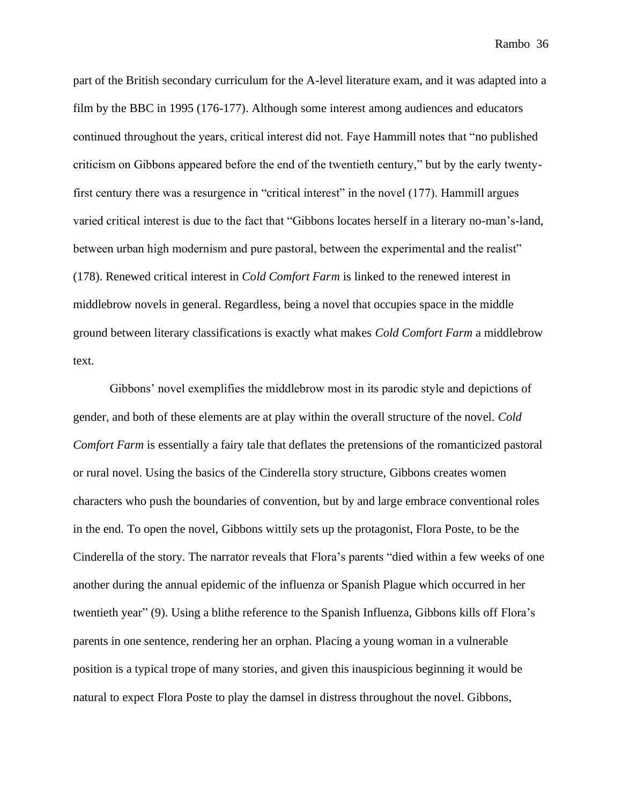part of the British secondary curriculum for the A-level literature exam, and it was adapted into a film by the BBC in 1995 (176-177). Although some interest among audiences and educators continued throughout the years, critical interest did not. Faye Hammill notes that "no published criticism on Gibbons appeared before the end of the twentieth century," but by the early twentyfirst century there was a resurgence in "critical interest" in the novel (177). Hammill argues varied critical interest is due to the fact that "Gibbons locates herself in a literary no-man's-land, between urban high modernism and pure pastoral, between the experimental and the realist" (178). Renewed critical interest in *Cold Comfort Farm* is linked to the renewed interest in middlebrow novels in general. Regardless, being a novel that occupies space in the middle ground between literary classifications is exactly what makes *Cold Comfort Farm* a middlebrow text.

Gibbons' novel exemplifies the middlebrow most in its parodic style and depictions of gender, and both of these elements are at play within the overall structure of the novel. *Cold Comfort Farm* is essentially a fairy tale that deflates the pretensions of the romanticized pastoral or rural novel. Using the basics of the Cinderella story structure, Gibbons creates women characters who push the boundaries of convention, but by and large embrace conventional roles in the end. To open the novel, Gibbons wittily sets up the protagonist, Flora Poste, to be the Cinderella of the story. The narrator reveals that Flora's parents "died within a few weeks of one another during the annual epidemic of the influenza or Spanish Plague which occurred in her twentieth year" (9). Using a blithe reference to the Spanish Influenza, Gibbons kills off Flora's parents in one sentence, rendering her an orphan. Placing a young woman in a vulnerable position is a typical trope of many stories, and given this inauspicious beginning it would be natural to expect Flora Poste to play the damsel in distress throughout the novel. Gibbons,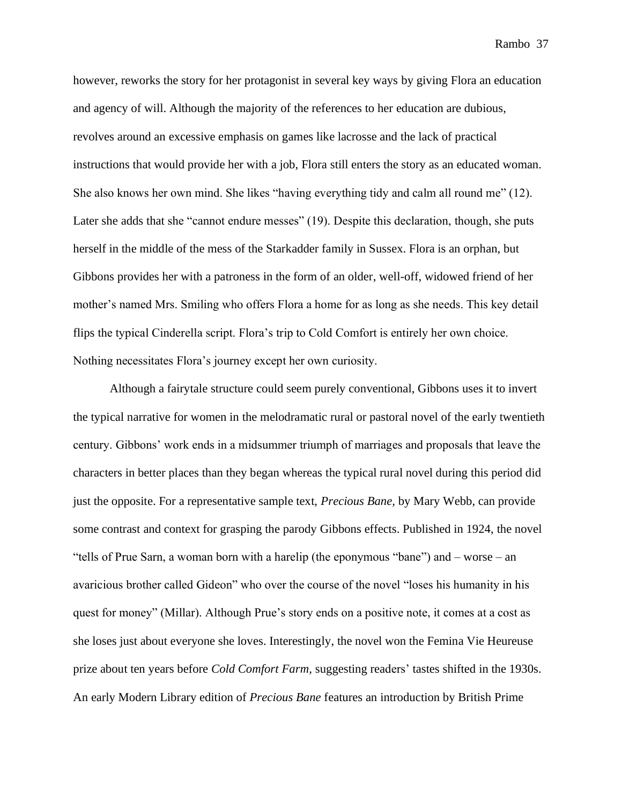however, reworks the story for her protagonist in several key ways by giving Flora an education and agency of will. Although the majority of the references to her education are dubious, revolves around an excessive emphasis on games like lacrosse and the lack of practical instructions that would provide her with a job, Flora still enters the story as an educated woman. She also knows her own mind. She likes "having everything tidy and calm all round me" (12). Later she adds that she "cannot endure messes" (19). Despite this declaration, though, she puts herself in the middle of the mess of the Starkadder family in Sussex. Flora is an orphan, but Gibbons provides her with a patroness in the form of an older, well-off, widowed friend of her mother's named Mrs. Smiling who offers Flora a home for as long as she needs. This key detail flips the typical Cinderella script. Flora's trip to Cold Comfort is entirely her own choice. Nothing necessitates Flora's journey except her own curiosity.

Although a fairytale structure could seem purely conventional, Gibbons uses it to invert the typical narrative for women in the melodramatic rural or pastoral novel of the early twentieth century. Gibbons' work ends in a midsummer triumph of marriages and proposals that leave the characters in better places than they began whereas the typical rural novel during this period did just the opposite. For a representative sample text, *Precious Bane,* by Mary Webb, can provide some contrast and context for grasping the parody Gibbons effects. Published in 1924, the novel "tells of Prue Sarn, a woman born with a harelip (the eponymous "bane") and – worse – an avaricious brother called Gideon" who over the course of the novel "loses his humanity in his quest for money" (Millar). Although Prue's story ends on a positive note, it comes at a cost as she loses just about everyone she loves. Interestingly, the novel won the Femina Vie Heureuse prize about ten years before *Cold Comfort Farm,* suggesting readers' tastes shifted in the 1930s. An early Modern Library edition of *Precious Bane* features an introduction by British Prime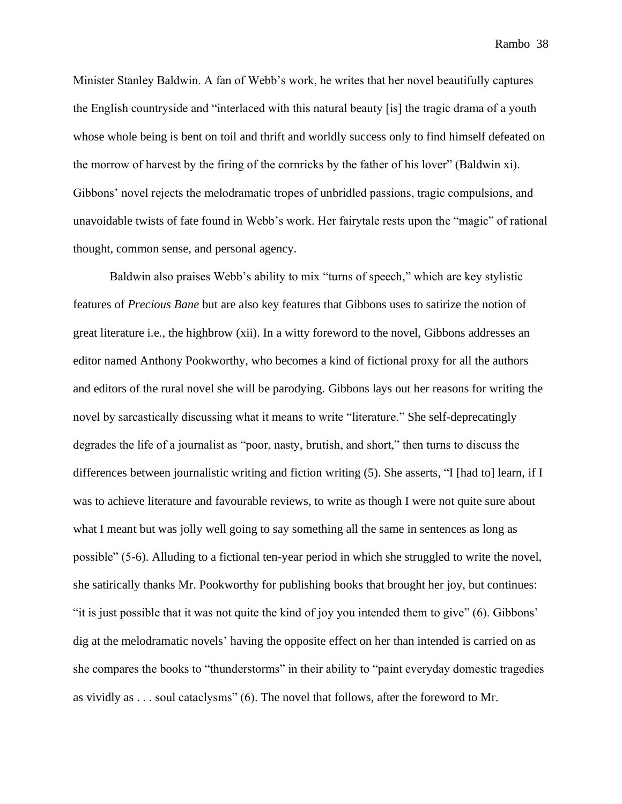Minister Stanley Baldwin. A fan of Webb's work, he writes that her novel beautifully captures the English countryside and "interlaced with this natural beauty [is] the tragic drama of a youth whose whole being is bent on toil and thrift and worldly success only to find himself defeated on the morrow of harvest by the firing of the cornricks by the father of his lover" (Baldwin xi). Gibbons' novel rejects the melodramatic tropes of unbridled passions, tragic compulsions, and unavoidable twists of fate found in Webb's work. Her fairytale rests upon the "magic" of rational thought, common sense, and personal agency.

Baldwin also praises Webb's ability to mix "turns of speech," which are key stylistic features of *Precious Bane* but are also key features that Gibbons uses to satirize the notion of great literature i.e., the highbrow (xii). In a witty foreword to the novel, Gibbons addresses an editor named Anthony Pookworthy, who becomes a kind of fictional proxy for all the authors and editors of the rural novel she will be parodying. Gibbons lays out her reasons for writing the novel by sarcastically discussing what it means to write "literature." She self-deprecatingly degrades the life of a journalist as "poor, nasty, brutish, and short," then turns to discuss the differences between journalistic writing and fiction writing (5). She asserts, "I [had to] learn, if I was to achieve literature and favourable reviews, to write as though I were not quite sure about what I meant but was jolly well going to say something all the same in sentences as long as possible" (5-6). Alluding to a fictional ten-year period in which she struggled to write the novel, she satirically thanks Mr. Pookworthy for publishing books that brought her joy, but continues: "it is just possible that it was not quite the kind of joy you intended them to give" (6). Gibbons' dig at the melodramatic novels' having the opposite effect on her than intended is carried on as she compares the books to "thunderstorms" in their ability to "paint everyday domestic tragedies as vividly as . . . soul cataclysms" (6). The novel that follows, after the foreword to Mr.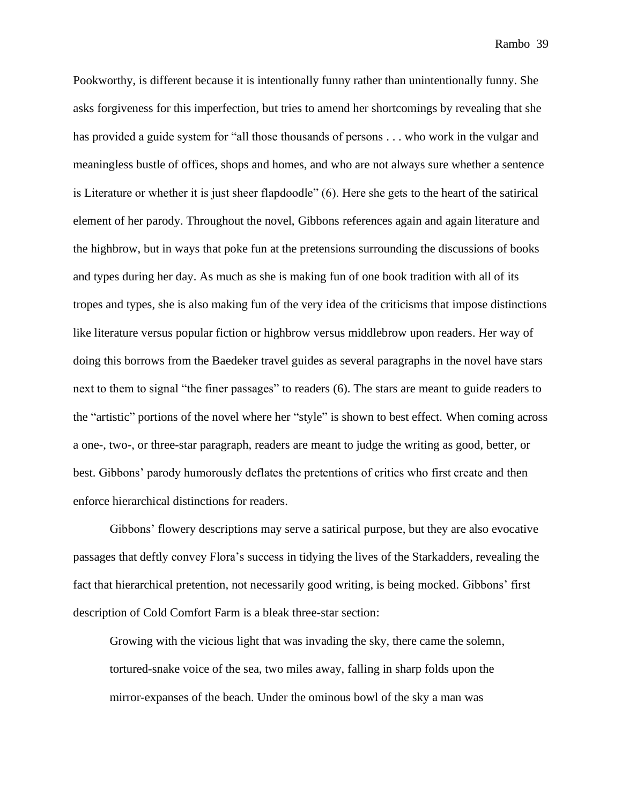Pookworthy, is different because it is intentionally funny rather than unintentionally funny. She asks forgiveness for this imperfection, but tries to amend her shortcomings by revealing that she has provided a guide system for "all those thousands of persons . . . who work in the vulgar and meaningless bustle of offices, shops and homes, and who are not always sure whether a sentence is Literature or whether it is just sheer flapdoodle" (6). Here she gets to the heart of the satirical element of her parody. Throughout the novel, Gibbons references again and again literature and the highbrow, but in ways that poke fun at the pretensions surrounding the discussions of books and types during her day. As much as she is making fun of one book tradition with all of its tropes and types, she is also making fun of the very idea of the criticisms that impose distinctions like literature versus popular fiction or highbrow versus middlebrow upon readers. Her way of doing this borrows from the Baedeker travel guides as several paragraphs in the novel have stars next to them to signal "the finer passages" to readers (6). The stars are meant to guide readers to the "artistic" portions of the novel where her "style" is shown to best effect. When coming across a one-, two-, or three-star paragraph, readers are meant to judge the writing as good, better, or best. Gibbons' parody humorously deflates the pretentions of critics who first create and then enforce hierarchical distinctions for readers.

Gibbons' flowery descriptions may serve a satirical purpose, but they are also evocative passages that deftly convey Flora's success in tidying the lives of the Starkadders, revealing the fact that hierarchical pretention, not necessarily good writing, is being mocked. Gibbons' first description of Cold Comfort Farm is a bleak three-star section:

Growing with the vicious light that was invading the sky, there came the solemn, tortured-snake voice of the sea, two miles away, falling in sharp folds upon the mirror-expanses of the beach. Under the ominous bowl of the sky a man was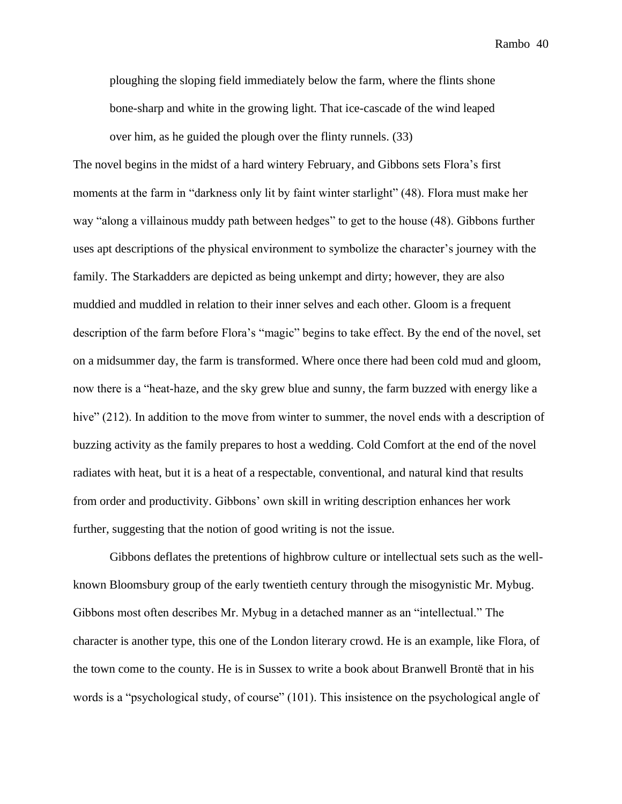ploughing the sloping field immediately below the farm, where the flints shone bone-sharp and white in the growing light. That ice-cascade of the wind leaped over him, as he guided the plough over the flinty runnels. (33)

The novel begins in the midst of a hard wintery February, and Gibbons sets Flora's first moments at the farm in "darkness only lit by faint winter starlight" (48). Flora must make her way "along a villainous muddy path between hedges" to get to the house (48). Gibbons further uses apt descriptions of the physical environment to symbolize the character's journey with the family. The Starkadders are depicted as being unkempt and dirty; however, they are also muddied and muddled in relation to their inner selves and each other. Gloom is a frequent description of the farm before Flora's "magic" begins to take effect. By the end of the novel, set on a midsummer day, the farm is transformed. Where once there had been cold mud and gloom, now there is a "heat-haze, and the sky grew blue and sunny, the farm buzzed with energy like a hive" (212). In addition to the move from winter to summer, the novel ends with a description of buzzing activity as the family prepares to host a wedding. Cold Comfort at the end of the novel radiates with heat, but it is a heat of a respectable, conventional, and natural kind that results from order and productivity. Gibbons' own skill in writing description enhances her work further, suggesting that the notion of good writing is not the issue.

Gibbons deflates the pretentions of highbrow culture or intellectual sets such as the wellknown Bloomsbury group of the early twentieth century through the misogynistic Mr. Mybug. Gibbons most often describes Mr. Mybug in a detached manner as an "intellectual." The character is another type, this one of the London literary crowd. He is an example, like Flora, of the town come to the county. He is in Sussex to write a book about Branwell Brontë that in his words is a "psychological study, of course" (101). This insistence on the psychological angle of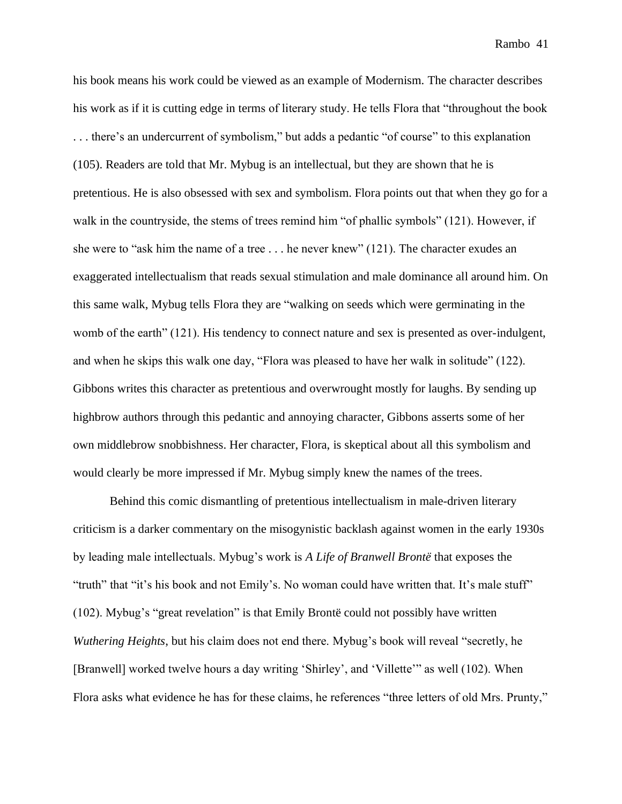his book means his work could be viewed as an example of Modernism. The character describes his work as if it is cutting edge in terms of literary study. He tells Flora that "throughout the book . . . there's an undercurrent of symbolism," but adds a pedantic "of course" to this explanation (105). Readers are told that Mr. Mybug is an intellectual, but they are shown that he is pretentious. He is also obsessed with sex and symbolism. Flora points out that when they go for a walk in the countryside, the stems of trees remind him "of phallic symbols" (121). However, if she were to "ask him the name of a tree . . . he never knew" (121). The character exudes an exaggerated intellectualism that reads sexual stimulation and male dominance all around him. On this same walk, Mybug tells Flora they are "walking on seeds which were germinating in the womb of the earth" (121). His tendency to connect nature and sex is presented as over-indulgent, and when he skips this walk one day, "Flora was pleased to have her walk in solitude" (122). Gibbons writes this character as pretentious and overwrought mostly for laughs. By sending up highbrow authors through this pedantic and annoying character, Gibbons asserts some of her own middlebrow snobbishness. Her character, Flora, is skeptical about all this symbolism and would clearly be more impressed if Mr. Mybug simply knew the names of the trees.

Behind this comic dismantling of pretentious intellectualism in male-driven literary criticism is a darker commentary on the misogynistic backlash against women in the early 1930s by leading male intellectuals. Mybug's work is *A Life of Branwell Brontë* that exposes the "truth" that "it's his book and not Emily's. No woman could have written that. It's male stuff" (102). Mybug's "great revelation" is that Emily Brontë could not possibly have written *Wuthering Heights*, but his claim does not end there. Mybug's book will reveal "secretly, he [Branwell] worked twelve hours a day writing 'Shirley', and 'Villette'" as well (102). When Flora asks what evidence he has for these claims, he references "three letters of old Mrs. Prunty,"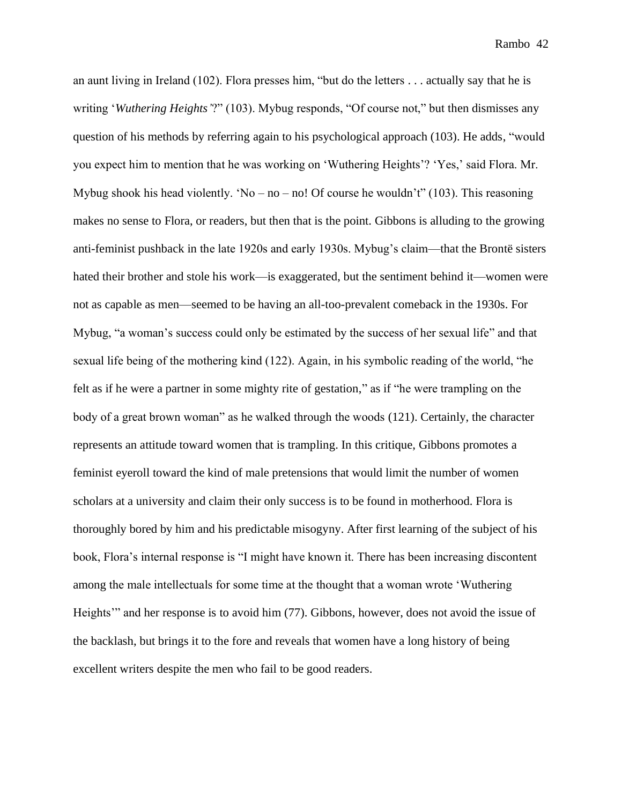an aunt living in Ireland (102). Flora presses him, "but do the letters . . . actually say that he is writing '*Wuthering Heights'*?" (103). Mybug responds, "Of course not," but then dismisses any question of his methods by referring again to his psychological approach (103). He adds, "would you expect him to mention that he was working on 'Wuthering Heights'? 'Yes,' said Flora. Mr. Mybug shook his head violently. 'No – no – no! Of course he wouldn't" (103). This reasoning makes no sense to Flora, or readers, but then that is the point. Gibbons is alluding to the growing anti-feminist pushback in the late 1920s and early 1930s. Mybug's claim—that the Brontë sisters hated their brother and stole his work—is exaggerated, but the sentiment behind it—women were not as capable as men—seemed to be having an all-too-prevalent comeback in the 1930s. For Mybug, "a woman's success could only be estimated by the success of her sexual life" and that sexual life being of the mothering kind (122). Again, in his symbolic reading of the world, "he felt as if he were a partner in some mighty rite of gestation," as if "he were trampling on the body of a great brown woman" as he walked through the woods (121). Certainly, the character represents an attitude toward women that is trampling. In this critique, Gibbons promotes a feminist eyeroll toward the kind of male pretensions that would limit the number of women scholars at a university and claim their only success is to be found in motherhood. Flora is thoroughly bored by him and his predictable misogyny. After first learning of the subject of his book, Flora's internal response is "I might have known it. There has been increasing discontent among the male intellectuals for some time at the thought that a woman wrote 'Wuthering Heights'" and her response is to avoid him (77). Gibbons, however, does not avoid the issue of the backlash, but brings it to the fore and reveals that women have a long history of being excellent writers despite the men who fail to be good readers.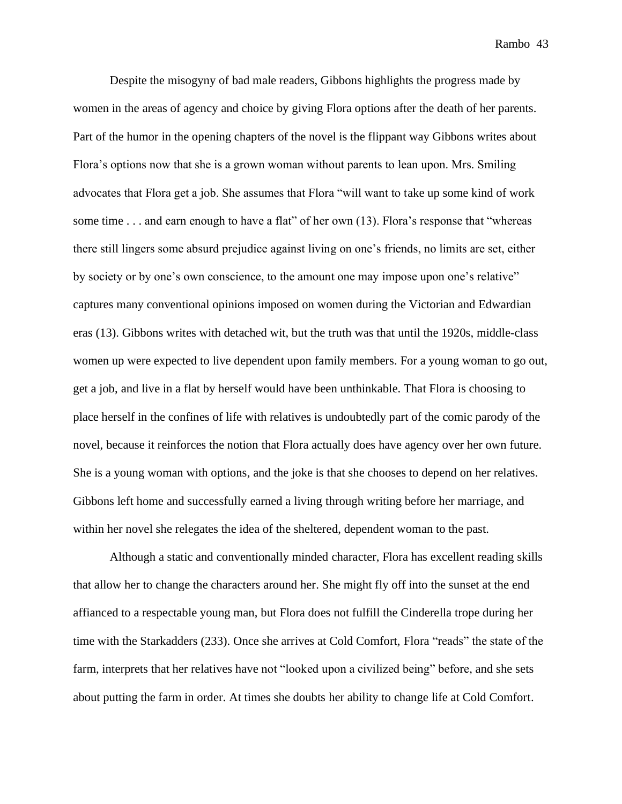Despite the misogyny of bad male readers, Gibbons highlights the progress made by women in the areas of agency and choice by giving Flora options after the death of her parents. Part of the humor in the opening chapters of the novel is the flippant way Gibbons writes about Flora's options now that she is a grown woman without parents to lean upon. Mrs. Smiling advocates that Flora get a job. She assumes that Flora "will want to take up some kind of work some time . . . and earn enough to have a flat" of her own (13). Flora's response that "whereas there still lingers some absurd prejudice against living on one's friends, no limits are set, either by society or by one's own conscience, to the amount one may impose upon one's relative" captures many conventional opinions imposed on women during the Victorian and Edwardian eras (13). Gibbons writes with detached wit, but the truth was that until the 1920s, middle-class women up were expected to live dependent upon family members. For a young woman to go out, get a job, and live in a flat by herself would have been unthinkable. That Flora is choosing to place herself in the confines of life with relatives is undoubtedly part of the comic parody of the novel, because it reinforces the notion that Flora actually does have agency over her own future. She is a young woman with options, and the joke is that she chooses to depend on her relatives. Gibbons left home and successfully earned a living through writing before her marriage, and within her novel she relegates the idea of the sheltered, dependent woman to the past.

Although a static and conventionally minded character, Flora has excellent reading skills that allow her to change the characters around her. She might fly off into the sunset at the end affianced to a respectable young man, but Flora does not fulfill the Cinderella trope during her time with the Starkadders (233). Once she arrives at Cold Comfort, Flora "reads" the state of the farm, interprets that her relatives have not "looked upon a civilized being" before, and she sets about putting the farm in order. At times she doubts her ability to change life at Cold Comfort.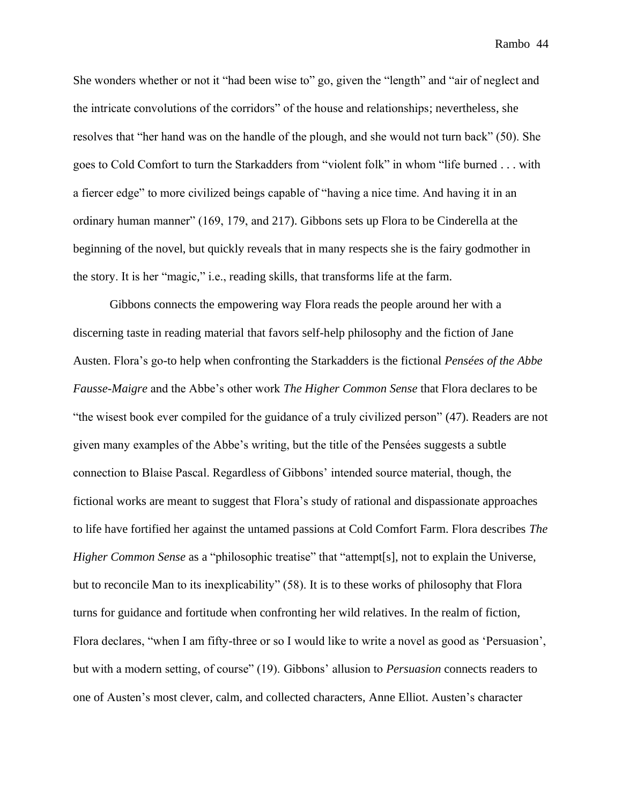She wonders whether or not it "had been wise to" go, given the "length" and "air of neglect and the intricate convolutions of the corridors" of the house and relationships; nevertheless, she resolves that "her hand was on the handle of the plough, and she would not turn back" (50). She goes to Cold Comfort to turn the Starkadders from "violent folk" in whom "life burned . . . with a fiercer edge" to more civilized beings capable of "having a nice time. And having it in an ordinary human manner" (169, 179, and 217). Gibbons sets up Flora to be Cinderella at the beginning of the novel, but quickly reveals that in many respects she is the fairy godmother in the story. It is her "magic," i.e., reading skills, that transforms life at the farm.

Gibbons connects the empowering way Flora reads the people around her with a discerning taste in reading material that favors self-help philosophy and the fiction of Jane Austen. Flora's go-to help when confronting the Starkadders is the fictional *Pensées of the Abbe Fausse-Maigre* and the Abbe's other work *The Higher Common Sense* that Flora declares to be "the wisest book ever compiled for the guidance of a truly civilized person" (47). Readers are not given many examples of the Abbe's writing, but the title of the Pensées suggests a subtle connection to Blaise Pascal. Regardless of Gibbons' intended source material, though, the fictional works are meant to suggest that Flora's study of rational and dispassionate approaches to life have fortified her against the untamed passions at Cold Comfort Farm. Flora describes *The Higher Common Sense* as a "philosophic treatise" that "attempt[s], not to explain the Universe, but to reconcile Man to its inexplicability" (58). It is to these works of philosophy that Flora turns for guidance and fortitude when confronting her wild relatives. In the realm of fiction, Flora declares, "when I am fifty-three or so I would like to write a novel as good as 'Persuasion', but with a modern setting, of course" (19). Gibbons' allusion to *Persuasion* connects readers to one of Austen's most clever, calm, and collected characters, Anne Elliot. Austen's character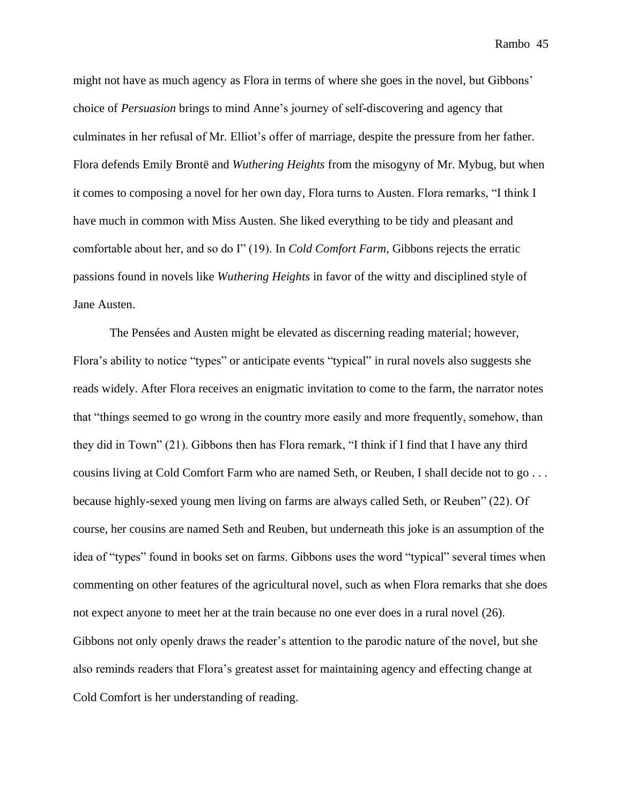might not have as much agency as Flora in terms of where she goes in the novel, but Gibbons' choice of *Persuasion* brings to mind Anne's journey of self-discovering and agency that culminates in her refusal of Mr. Elliot's offer of marriage, despite the pressure from her father. Flora defends Emily Brontë and *Wuthering Heights* from the misogyny of Mr. Mybug, but when it comes to composing a novel for her own day, Flora turns to Austen. Flora remarks, "I think I have much in common with Miss Austen. She liked everything to be tidy and pleasant and comfortable about her, and so do I" (19). In *Cold Comfort Farm*, Gibbons rejects the erratic passions found in novels like *Wuthering Heights* in favor of the witty and disciplined style of Jane Austen.

The Pensées and Austen might be elevated as discerning reading material; however, Flora's ability to notice "types" or anticipate events "typical" in rural novels also suggests she reads widely. After Flora receives an enigmatic invitation to come to the farm, the narrator notes that "things seemed to go wrong in the country more easily and more frequently, somehow, than they did in Town" (21). Gibbons then has Flora remark, "I think if I find that I have any third cousins living at Cold Comfort Farm who are named Seth, or Reuben, I shall decide not to go . . . because highly-sexed young men living on farms are always called Seth, or Reuben" (22). Of course, her cousins are named Seth and Reuben, but underneath this joke is an assumption of the idea of "types" found in books set on farms. Gibbons uses the word "typical" several times when commenting on other features of the agricultural novel, such as when Flora remarks that she does not expect anyone to meet her at the train because no one ever does in a rural novel (26). Gibbons not only openly draws the reader's attention to the parodic nature of the novel, but she also reminds readers that Flora's greatest asset for maintaining agency and effecting change at Cold Comfort is her understanding of reading.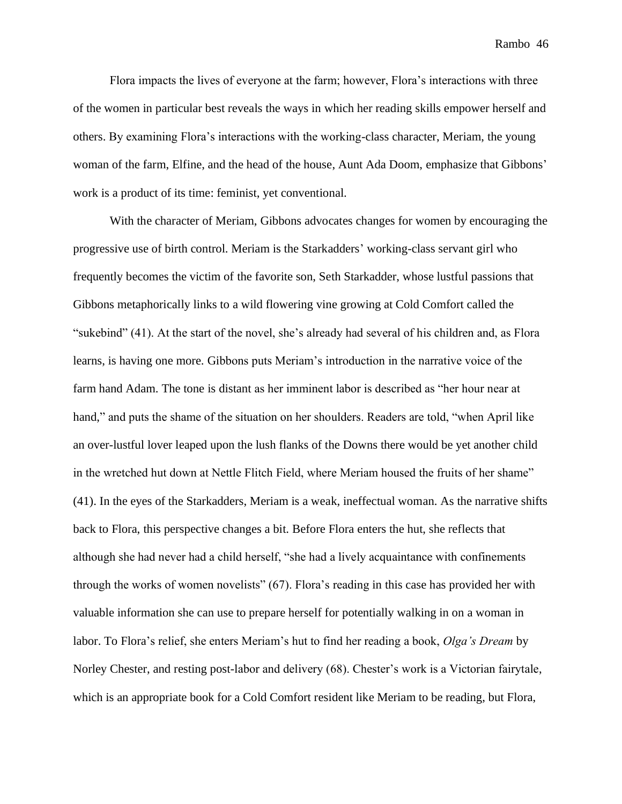Flora impacts the lives of everyone at the farm; however, Flora's interactions with three of the women in particular best reveals the ways in which her reading skills empower herself and others. By examining Flora's interactions with the working-class character, Meriam, the young woman of the farm, Elfine, and the head of the house, Aunt Ada Doom, emphasize that Gibbons' work is a product of its time: feminist, yet conventional.

With the character of Meriam, Gibbons advocates changes for women by encouraging the progressive use of birth control. Meriam is the Starkadders' working-class servant girl who frequently becomes the victim of the favorite son, Seth Starkadder, whose lustful passions that Gibbons metaphorically links to a wild flowering vine growing at Cold Comfort called the "sukebind" (41). At the start of the novel, she's already had several of his children and, as Flora learns, is having one more. Gibbons puts Meriam's introduction in the narrative voice of the farm hand Adam. The tone is distant as her imminent labor is described as "her hour near at hand," and puts the shame of the situation on her shoulders. Readers are told, "when April like an over-lustful lover leaped upon the lush flanks of the Downs there would be yet another child in the wretched hut down at Nettle Flitch Field, where Meriam housed the fruits of her shame" (41). In the eyes of the Starkadders, Meriam is a weak, ineffectual woman. As the narrative shifts back to Flora, this perspective changes a bit. Before Flora enters the hut, she reflects that although she had never had a child herself, "she had a lively acquaintance with confinements through the works of women novelists" (67). Flora's reading in this case has provided her with valuable information she can use to prepare herself for potentially walking in on a woman in labor. To Flora's relief, she enters Meriam's hut to find her reading a book, *Olga's Dream* by Norley Chester, and resting post-labor and delivery (68). Chester's work is a Victorian fairytale, which is an appropriate book for a Cold Comfort resident like Meriam to be reading, but Flora,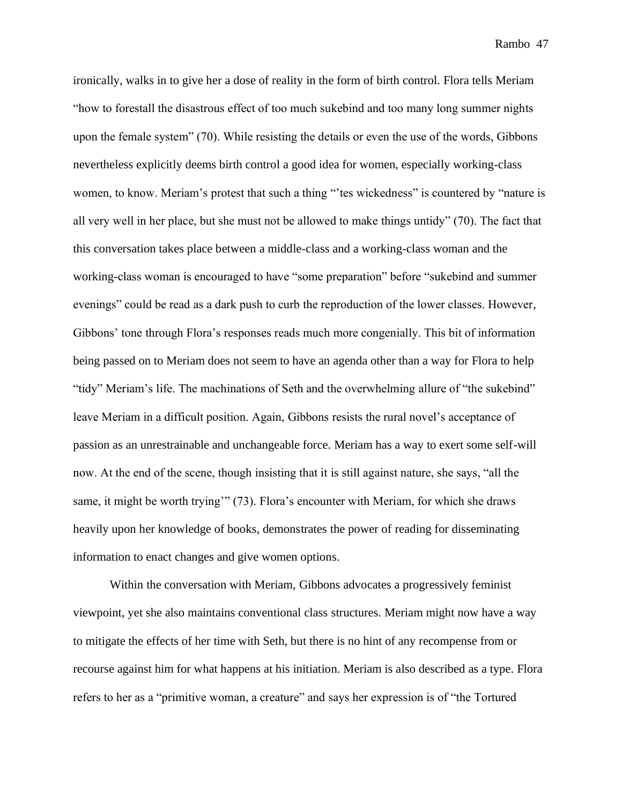ironically, walks in to give her a dose of reality in the form of birth control. Flora tells Meriam "how to forestall the disastrous effect of too much sukebind and too many long summer nights upon the female system" (70). While resisting the details or even the use of the words, Gibbons nevertheless explicitly deems birth control a good idea for women, especially working-class women, to know. Meriam's protest that such a thing "'tes wickedness" is countered by "nature is all very well in her place, but she must not be allowed to make things untidy" (70). The fact that this conversation takes place between a middle-class and a working-class woman and the working-class woman is encouraged to have "some preparation" before "sukebind and summer evenings" could be read as a dark push to curb the reproduction of the lower classes. However, Gibbons' tone through Flora's responses reads much more congenially. This bit of information being passed on to Meriam does not seem to have an agenda other than a way for Flora to help "tidy" Meriam's life. The machinations of Seth and the overwhelming allure of "the sukebind" leave Meriam in a difficult position. Again, Gibbons resists the rural novel's acceptance of passion as an unrestrainable and unchangeable force. Meriam has a way to exert some self-will now. At the end of the scene, though insisting that it is still against nature, she says, "all the same, it might be worth trying'" (73). Flora's encounter with Meriam, for which she draws heavily upon her knowledge of books, demonstrates the power of reading for disseminating information to enact changes and give women options.

Within the conversation with Meriam, Gibbons advocates a progressively feminist viewpoint, yet she also maintains conventional class structures. Meriam might now have a way to mitigate the effects of her time with Seth, but there is no hint of any recompense from or recourse against him for what happens at his initiation. Meriam is also described as a type. Flora refers to her as a "primitive woman, a creature" and says her expression is of "the Tortured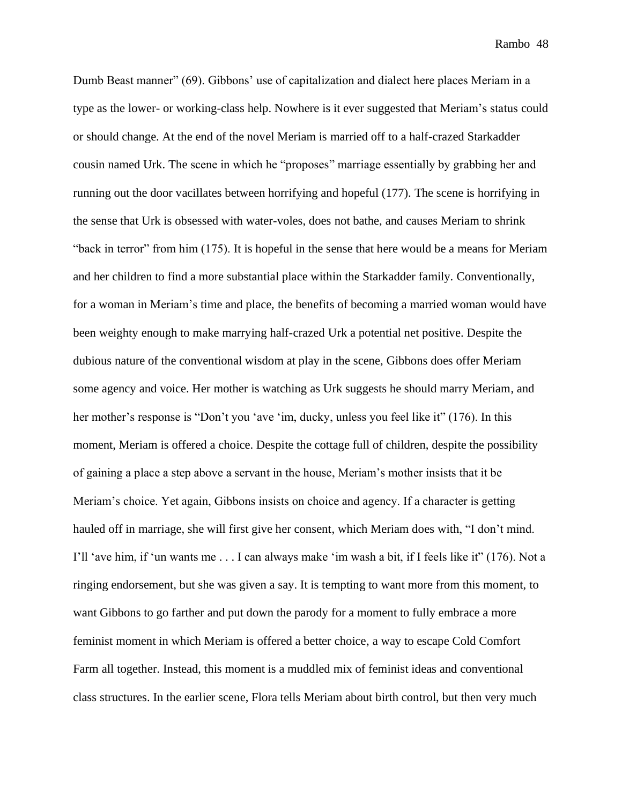Dumb Beast manner" (69). Gibbons' use of capitalization and dialect here places Meriam in a type as the lower- or working-class help. Nowhere is it ever suggested that Meriam's status could or should change. At the end of the novel Meriam is married off to a half-crazed Starkadder cousin named Urk. The scene in which he "proposes" marriage essentially by grabbing her and running out the door vacillates between horrifying and hopeful (177). The scene is horrifying in the sense that Urk is obsessed with water-voles, does not bathe, and causes Meriam to shrink "back in terror" from him (175). It is hopeful in the sense that here would be a means for Meriam and her children to find a more substantial place within the Starkadder family. Conventionally, for a woman in Meriam's time and place, the benefits of becoming a married woman would have been weighty enough to make marrying half-crazed Urk a potential net positive. Despite the dubious nature of the conventional wisdom at play in the scene, Gibbons does offer Meriam some agency and voice. Her mother is watching as Urk suggests he should marry Meriam, and her mother's response is "Don't you 'ave 'im, ducky, unless you feel like it" (176). In this moment, Meriam is offered a choice. Despite the cottage full of children, despite the possibility of gaining a place a step above a servant in the house, Meriam's mother insists that it be Meriam's choice. Yet again, Gibbons insists on choice and agency. If a character is getting hauled off in marriage, she will first give her consent, which Meriam does with, "I don't mind. I'll 'ave him, if 'un wants me . . . I can always make 'im wash a bit, if I feels like it" (176). Not a ringing endorsement, but she was given a say. It is tempting to want more from this moment, to want Gibbons to go farther and put down the parody for a moment to fully embrace a more feminist moment in which Meriam is offered a better choice, a way to escape Cold Comfort Farm all together. Instead, this moment is a muddled mix of feminist ideas and conventional class structures. In the earlier scene, Flora tells Meriam about birth control, but then very much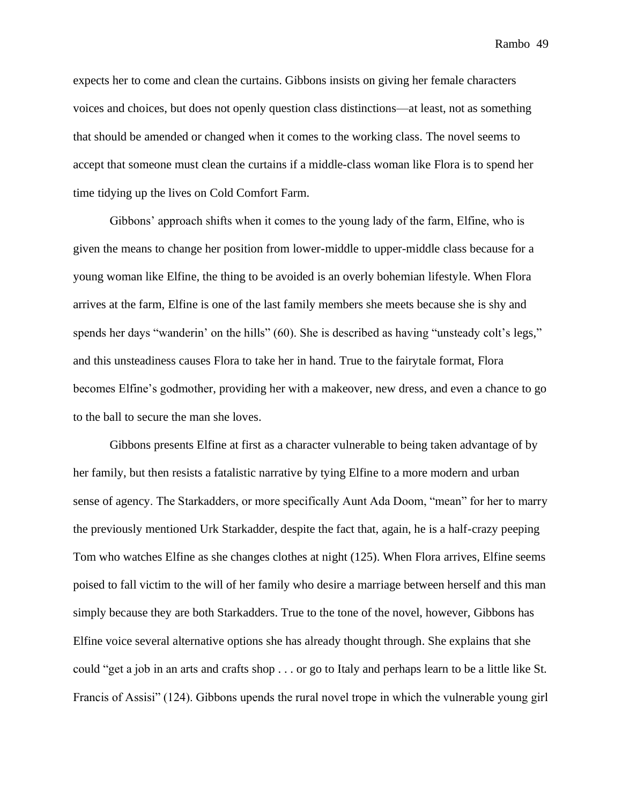expects her to come and clean the curtains. Gibbons insists on giving her female characters voices and choices, but does not openly question class distinctions—at least, not as something that should be amended or changed when it comes to the working class. The novel seems to accept that someone must clean the curtains if a middle-class woman like Flora is to spend her time tidying up the lives on Cold Comfort Farm.

Gibbons' approach shifts when it comes to the young lady of the farm, Elfine, who is given the means to change her position from lower-middle to upper-middle class because for a young woman like Elfine, the thing to be avoided is an overly bohemian lifestyle. When Flora arrives at the farm, Elfine is one of the last family members she meets because she is shy and spends her days "wanderin' on the hills" (60). She is described as having "unsteady colt's legs," and this unsteadiness causes Flora to take her in hand. True to the fairytale format, Flora becomes Elfine's godmother, providing her with a makeover, new dress, and even a chance to go to the ball to secure the man she loves.

Gibbons presents Elfine at first as a character vulnerable to being taken advantage of by her family, but then resists a fatalistic narrative by tying Elfine to a more modern and urban sense of agency. The Starkadders, or more specifically Aunt Ada Doom, "mean" for her to marry the previously mentioned Urk Starkadder, despite the fact that, again, he is a half-crazy peeping Tom who watches Elfine as she changes clothes at night (125). When Flora arrives, Elfine seems poised to fall victim to the will of her family who desire a marriage between herself and this man simply because they are both Starkadders. True to the tone of the novel, however, Gibbons has Elfine voice several alternative options she has already thought through. She explains that she could "get a job in an arts and crafts shop . . . or go to Italy and perhaps learn to be a little like St. Francis of Assisi" (124). Gibbons upends the rural novel trope in which the vulnerable young girl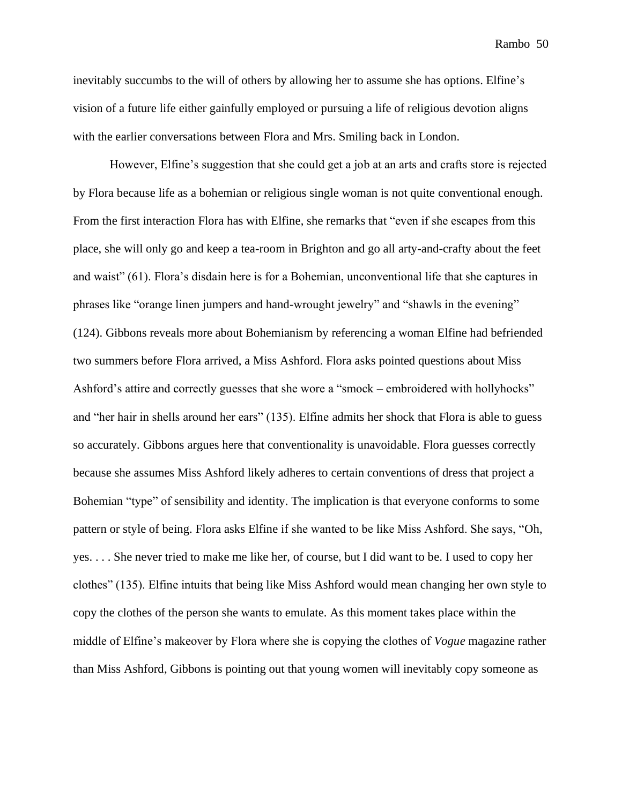inevitably succumbs to the will of others by allowing her to assume she has options. Elfine's vision of a future life either gainfully employed or pursuing a life of religious devotion aligns with the earlier conversations between Flora and Mrs. Smiling back in London.

However, Elfine's suggestion that she could get a job at an arts and crafts store is rejected by Flora because life as a bohemian or religious single woman is not quite conventional enough. From the first interaction Flora has with Elfine, she remarks that "even if she escapes from this place, she will only go and keep a tea-room in Brighton and go all arty-and-crafty about the feet and waist" (61). Flora's disdain here is for a Bohemian, unconventional life that she captures in phrases like "orange linen jumpers and hand-wrought jewelry" and "shawls in the evening" (124). Gibbons reveals more about Bohemianism by referencing a woman Elfine had befriended two summers before Flora arrived, a Miss Ashford. Flora asks pointed questions about Miss Ashford's attire and correctly guesses that she wore a "smock – embroidered with hollyhocks" and "her hair in shells around her ears" (135). Elfine admits her shock that Flora is able to guess so accurately. Gibbons argues here that conventionality is unavoidable. Flora guesses correctly because she assumes Miss Ashford likely adheres to certain conventions of dress that project a Bohemian "type" of sensibility and identity. The implication is that everyone conforms to some pattern or style of being. Flora asks Elfine if she wanted to be like Miss Ashford. She says, "Oh, yes. . . . She never tried to make me like her, of course, but I did want to be. I used to copy her clothes" (135). Elfine intuits that being like Miss Ashford would mean changing her own style to copy the clothes of the person she wants to emulate. As this moment takes place within the middle of Elfine's makeover by Flora where she is copying the clothes of *Vogue* magazine rather than Miss Ashford, Gibbons is pointing out that young women will inevitably copy someone as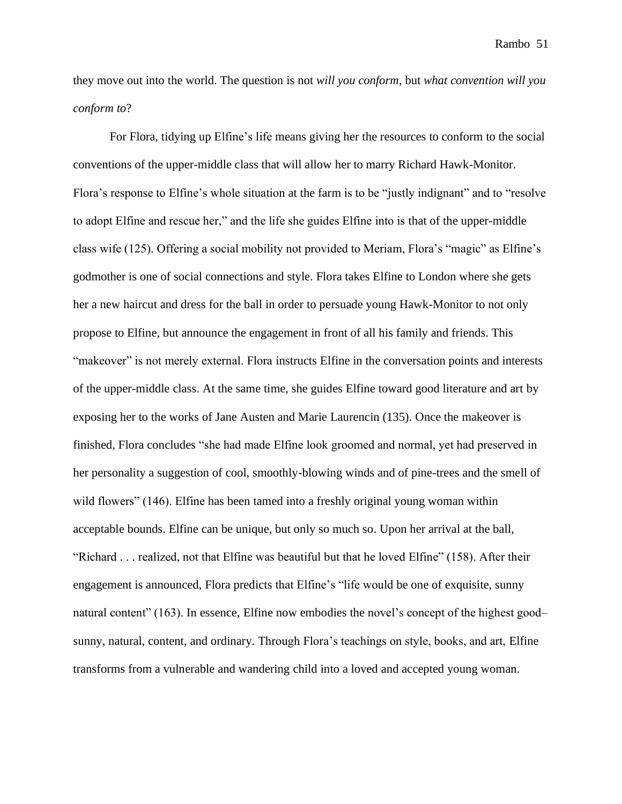they move out into the world. The question is not *will you conform*, but *what convention will you conform to*?

For Flora, tidying up Elfine's life means giving her the resources to conform to the social conventions of the upper-middle class that will allow her to marry Richard Hawk-Monitor. Flora's response to Elfine's whole situation at the farm is to be "justly indignant" and to "resolve to adopt Elfine and rescue her," and the life she guides Elfine into is that of the upper-middle class wife (125). Offering a social mobility not provided to Meriam, Flora's "magic" as Elfine's godmother is one of social connections and style. Flora takes Elfine to London where she gets her a new haircut and dress for the ball in order to persuade young Hawk-Monitor to not only propose to Elfine, but announce the engagement in front of all his family and friends. This "makeover" is not merely external. Flora instructs Elfine in the conversation points and interests of the upper-middle class. At the same time, she guides Elfine toward good literature and art by exposing her to the works of Jane Austen and Marie Laurencin (135). Once the makeover is finished, Flora concludes "she had made Elfine look groomed and normal, yet had preserved in her personality a suggestion of cool, smoothly-blowing winds and of pine-trees and the smell of wild flowers" (146). Elfine has been tamed into a freshly original young woman within acceptable bounds. Elfine can be unique, but only so much so. Upon her arrival at the ball, "Richard . . . realized, not that Elfine was beautiful but that he loved Elfine" (158). After their engagement is announced, Flora predicts that Elfine's "life would be one of exquisite, sunny natural content" (163). In essence, Elfine now embodies the novel's concept of the highest good– sunny, natural, content, and ordinary. Through Flora's teachings on style, books, and art, Elfine transforms from a vulnerable and wandering child into a loved and accepted young woman.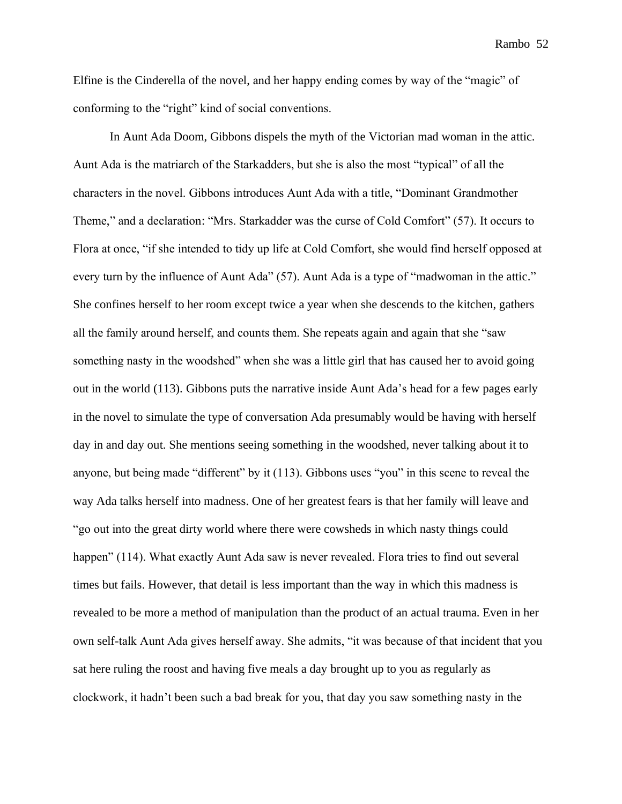Elfine is the Cinderella of the novel, and her happy ending comes by way of the "magic" of conforming to the "right" kind of social conventions.

In Aunt Ada Doom, Gibbons dispels the myth of the Victorian mad woman in the attic. Aunt Ada is the matriarch of the Starkadders, but she is also the most "typical" of all the characters in the novel. Gibbons introduces Aunt Ada with a title, "Dominant Grandmother Theme," and a declaration: "Mrs. Starkadder was the curse of Cold Comfort" (57). It occurs to Flora at once, "if she intended to tidy up life at Cold Comfort, she would find herself opposed at every turn by the influence of Aunt Ada" (57). Aunt Ada is a type of "madwoman in the attic." She confines herself to her room except twice a year when she descends to the kitchen, gathers all the family around herself, and counts them. She repeats again and again that she "saw something nasty in the woodshed" when she was a little girl that has caused her to avoid going out in the world (113). Gibbons puts the narrative inside Aunt Ada's head for a few pages early in the novel to simulate the type of conversation Ada presumably would be having with herself day in and day out. She mentions seeing something in the woodshed, never talking about it to anyone, but being made "different" by it (113). Gibbons uses "you" in this scene to reveal the way Ada talks herself into madness. One of her greatest fears is that her family will leave and "go out into the great dirty world where there were cowsheds in which nasty things could happen" (114). What exactly Aunt Ada saw is never revealed. Flora tries to find out several times but fails. However, that detail is less important than the way in which this madness is revealed to be more a method of manipulation than the product of an actual trauma. Even in her own self-talk Aunt Ada gives herself away. She admits, "it was because of that incident that you sat here ruling the roost and having five meals a day brought up to you as regularly as clockwork, it hadn't been such a bad break for you, that day you saw something nasty in the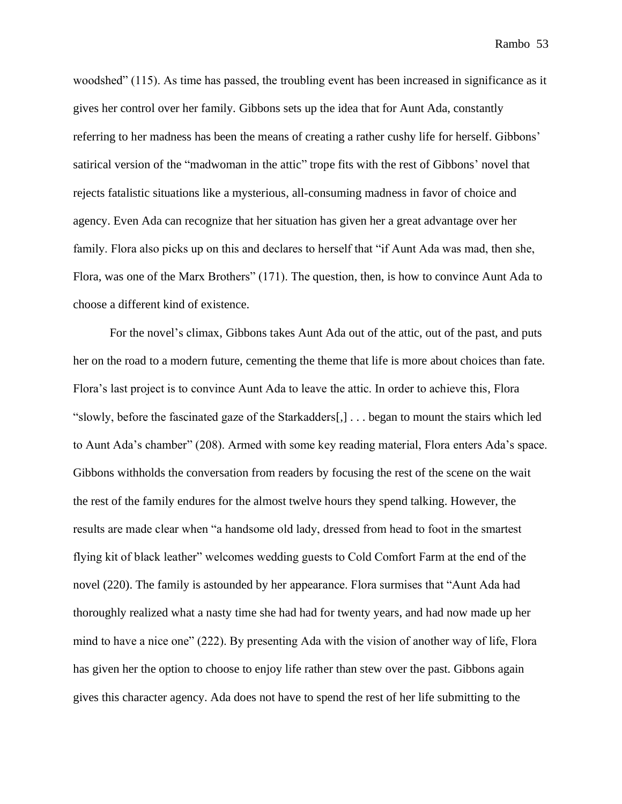woodshed" (115). As time has passed, the troubling event has been increased in significance as it gives her control over her family. Gibbons sets up the idea that for Aunt Ada, constantly referring to her madness has been the means of creating a rather cushy life for herself. Gibbons' satirical version of the "madwoman in the attic" trope fits with the rest of Gibbons' novel that rejects fatalistic situations like a mysterious, all-consuming madness in favor of choice and agency. Even Ada can recognize that her situation has given her a great advantage over her family. Flora also picks up on this and declares to herself that "if Aunt Ada was mad, then she, Flora, was one of the Marx Brothers" (171). The question, then, is how to convince Aunt Ada to choose a different kind of existence.

For the novel's climax, Gibbons takes Aunt Ada out of the attic, out of the past, and puts her on the road to a modern future, cementing the theme that life is more about choices than fate. Flora's last project is to convince Aunt Ada to leave the attic. In order to achieve this, Flora "slowly, before the fascinated gaze of the Starkadders[,] . . . began to mount the stairs which led to Aunt Ada's chamber" (208). Armed with some key reading material, Flora enters Ada's space. Gibbons withholds the conversation from readers by focusing the rest of the scene on the wait the rest of the family endures for the almost twelve hours they spend talking. However, the results are made clear when "a handsome old lady, dressed from head to foot in the smartest flying kit of black leather" welcomes wedding guests to Cold Comfort Farm at the end of the novel (220). The family is astounded by her appearance. Flora surmises that "Aunt Ada had thoroughly realized what a nasty time she had had for twenty years, and had now made up her mind to have a nice one" (222). By presenting Ada with the vision of another way of life, Flora has given her the option to choose to enjoy life rather than stew over the past. Gibbons again gives this character agency. Ada does not have to spend the rest of her life submitting to the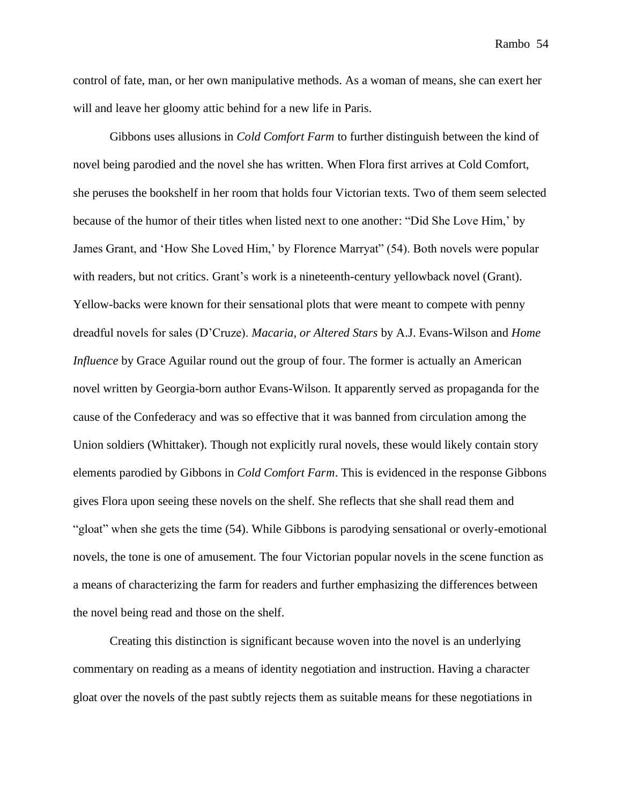control of fate, man, or her own manipulative methods. As a woman of means, she can exert her will and leave her gloomy attic behind for a new life in Paris.

Gibbons uses allusions in *Cold Comfort Farm* to further distinguish between the kind of novel being parodied and the novel she has written. When Flora first arrives at Cold Comfort, she peruses the bookshelf in her room that holds four Victorian texts. Two of them seem selected because of the humor of their titles when listed next to one another: "Did She Love Him,' by James Grant, and 'How She Loved Him,' by Florence Marryat" (54). Both novels were popular with readers, but not critics. Grant's work is a nineteenth-century yellowback novel (Grant). Yellow-backs were known for their sensational plots that were meant to compete with penny dreadful novels for sales (D'Cruze). *Macaria, or Altered Stars* by A.J. Evans-Wilson and *Home Influence* by Grace Aguilar round out the group of four. The former is actually an American novel written by Georgia-born author Evans-Wilson. It apparently served as propaganda for the cause of the Confederacy and was so effective that it was banned from circulation among the Union soldiers (Whittaker). Though not explicitly rural novels, these would likely contain story elements parodied by Gibbons in *Cold Comfort Farm*. This is evidenced in the response Gibbons gives Flora upon seeing these novels on the shelf. She reflects that she shall read them and "gloat" when she gets the time (54). While Gibbons is parodying sensational or overly-emotional novels, the tone is one of amusement. The four Victorian popular novels in the scene function as a means of characterizing the farm for readers and further emphasizing the differences between the novel being read and those on the shelf.

Creating this distinction is significant because woven into the novel is an underlying commentary on reading as a means of identity negotiation and instruction. Having a character gloat over the novels of the past subtly rejects them as suitable means for these negotiations in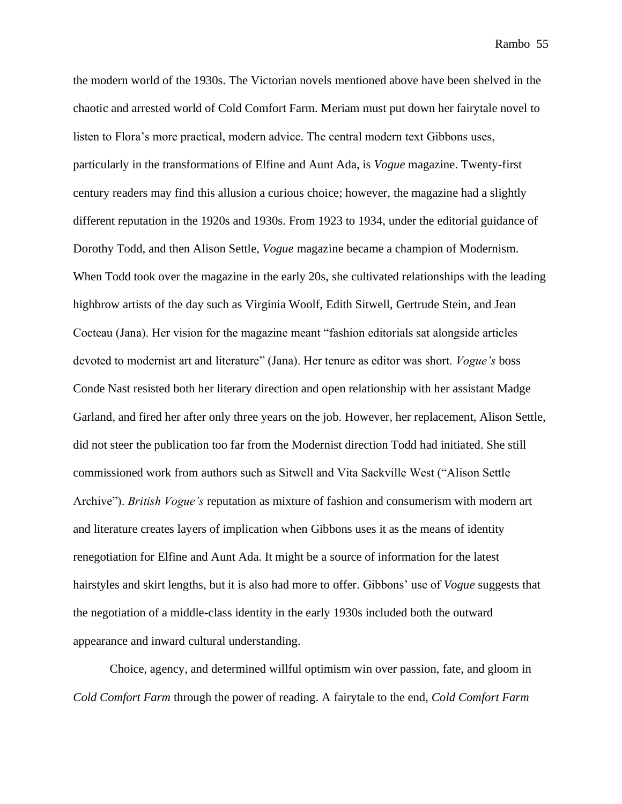the modern world of the 1930s. The Victorian novels mentioned above have been shelved in the chaotic and arrested world of Cold Comfort Farm. Meriam must put down her fairytale novel to listen to Flora's more practical, modern advice. The central modern text Gibbons uses, particularly in the transformations of Elfine and Aunt Ada, is *Vogue* magazine. Twenty-first century readers may find this allusion a curious choice; however, the magazine had a slightly different reputation in the 1920s and 1930s. From 1923 to 1934, under the editorial guidance of Dorothy Todd, and then Alison Settle, *Vogue* magazine became a champion of Modernism. When Todd took over the magazine in the early 20s, she cultivated relationships with the leading highbrow artists of the day such as Virginia Woolf, Edith Sitwell, Gertrude Stein, and Jean Cocteau (Jana). Her vision for the magazine meant "fashion editorials sat alongside articles devoted to modernist art and literature" (Jana). Her tenure as editor was short. *Vogue's* boss Conde Nast resisted both her literary direction and open relationship with her assistant Madge Garland, and fired her after only three years on the job. However, her replacement, Alison Settle, did not steer the publication too far from the Modernist direction Todd had initiated. She still commissioned work from authors such as Sitwell and Vita Sackville West ("Alison Settle Archive"). *British Vogue's* reputation as mixture of fashion and consumerism with modern art and literature creates layers of implication when Gibbons uses it as the means of identity renegotiation for Elfine and Aunt Ada. It might be a source of information for the latest hairstyles and skirt lengths, but it is also had more to offer. Gibbons' use of *Vogue* suggests that the negotiation of a middle-class identity in the early 1930s included both the outward appearance and inward cultural understanding.

Choice, agency, and determined willful optimism win over passion, fate, and gloom in *Cold Comfort Farm* through the power of reading. A fairytale to the end, *Cold Comfort Farm*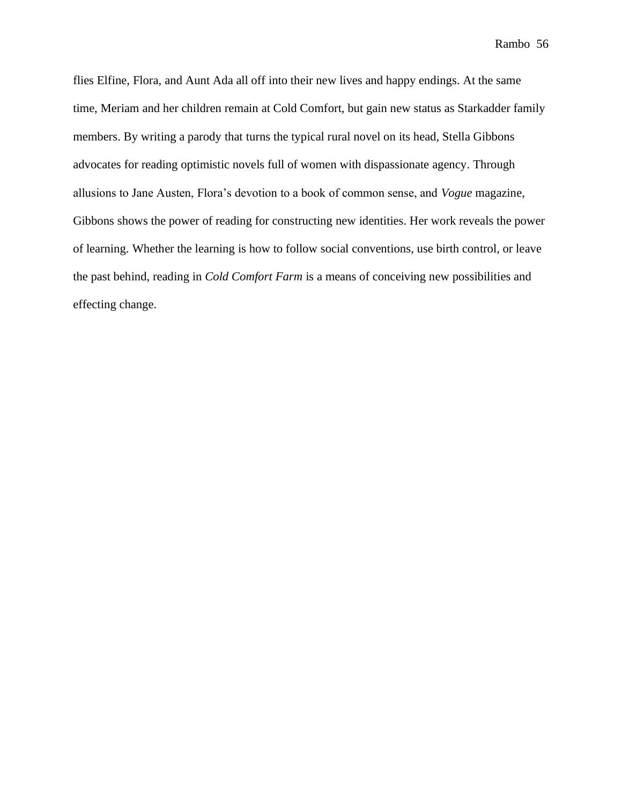flies Elfine, Flora, and Aunt Ada all off into their new lives and happy endings. At the same time, Meriam and her children remain at Cold Comfort, but gain new status as Starkadder family members. By writing a parody that turns the typical rural novel on its head, Stella Gibbons advocates for reading optimistic novels full of women with dispassionate agency. Through allusions to Jane Austen, Flora's devotion to a book of common sense, and *Vogue* magazine, Gibbons shows the power of reading for constructing new identities. Her work reveals the power of learning. Whether the learning is how to follow social conventions, use birth control, or leave the past behind, reading in *Cold Comfort Farm* is a means of conceiving new possibilities and effecting change.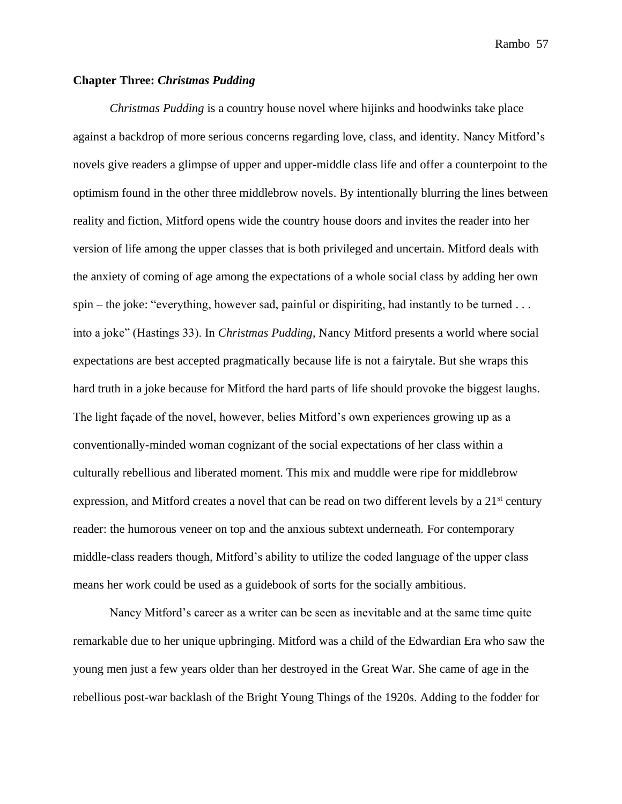## **Chapter Three:** *Christmas Pudding*

*Christmas Pudding* is a country house novel where hijinks and hoodwinks take place against a backdrop of more serious concerns regarding love, class, and identity. Nancy Mitford's novels give readers a glimpse of upper and upper-middle class life and offer a counterpoint to the optimism found in the other three middlebrow novels. By intentionally blurring the lines between reality and fiction, Mitford opens wide the country house doors and invites the reader into her version of life among the upper classes that is both privileged and uncertain. Mitford deals with the anxiety of coming of age among the expectations of a whole social class by adding her own spin – the joke: "everything, however sad, painful or dispiriting, had instantly to be turned . . . into a joke" (Hastings 33). In *Christmas Pudding*, Nancy Mitford presents a world where social expectations are best accepted pragmatically because life is not a fairytale. But she wraps this hard truth in a joke because for Mitford the hard parts of life should provoke the biggest laughs. The light façade of the novel, however, belies Mitford's own experiences growing up as a conventionally-minded woman cognizant of the social expectations of her class within a culturally rebellious and liberated moment. This mix and muddle were ripe for middlebrow expression, and Mitford creates a novel that can be read on two different levels by a 21<sup>st</sup> century reader: the humorous veneer on top and the anxious subtext underneath. For contemporary middle-class readers though, Mitford's ability to utilize the coded language of the upper class means her work could be used as a guidebook of sorts for the socially ambitious.

Nancy Mitford's career as a writer can be seen as inevitable and at the same time quite remarkable due to her unique upbringing. Mitford was a child of the Edwardian Era who saw the young men just a few years older than her destroyed in the Great War. She came of age in the rebellious post-war backlash of the Bright Young Things of the 1920s. Adding to the fodder for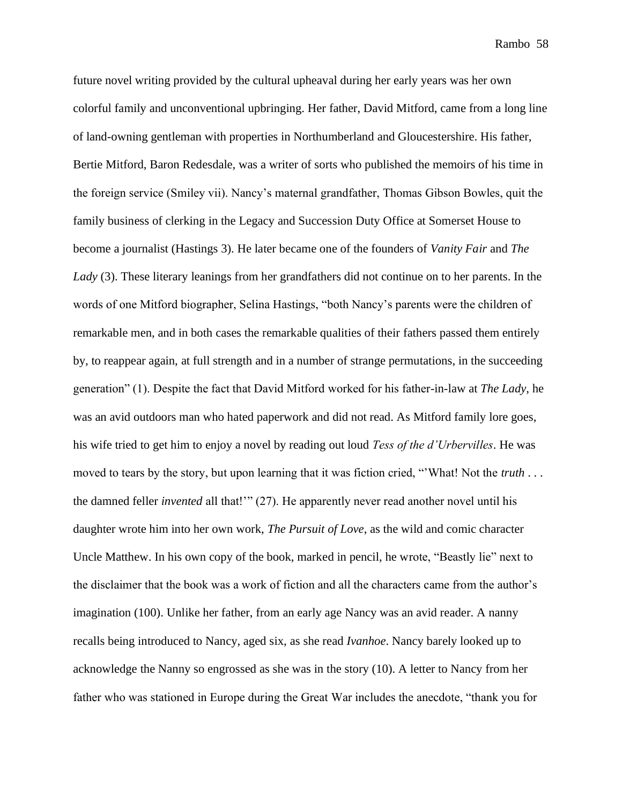future novel writing provided by the cultural upheaval during her early years was her own colorful family and unconventional upbringing. Her father, David Mitford, came from a long line of land-owning gentleman with properties in Northumberland and Gloucestershire. His father, Bertie Mitford, Baron Redesdale, was a writer of sorts who published the memoirs of his time in the foreign service (Smiley vii). Nancy's maternal grandfather, Thomas Gibson Bowles, quit the family business of clerking in the Legacy and Succession Duty Office at Somerset House to become a journalist (Hastings 3). He later became one of the founders of *Vanity Fair* and *The Lady* (3). These literary leanings from her grandfathers did not continue on to her parents. In the words of one Mitford biographer, Selina Hastings, "both Nancy's parents were the children of remarkable men, and in both cases the remarkable qualities of their fathers passed them entirely by, to reappear again, at full strength and in a number of strange permutations, in the succeeding generation" (1). Despite the fact that David Mitford worked for his father-in-law at *The Lady*, he was an avid outdoors man who hated paperwork and did not read. As Mitford family lore goes, his wife tried to get him to enjoy a novel by reading out loud *Tess of the d'Urbervilles*. He was moved to tears by the story, but upon learning that it was fiction cried, "'What! Not the *truth* . . . the damned feller *invented* all that!'" (27). He apparently never read another novel until his daughter wrote him into her own work, *The Pursuit of Love*, as the wild and comic character Uncle Matthew. In his own copy of the book, marked in pencil, he wrote, "Beastly lie" next to the disclaimer that the book was a work of fiction and all the characters came from the author's imagination (100). Unlike her father, from an early age Nancy was an avid reader. A nanny recalls being introduced to Nancy, aged six, as she read *Ivanhoe*. Nancy barely looked up to acknowledge the Nanny so engrossed as she was in the story (10). A letter to Nancy from her father who was stationed in Europe during the Great War includes the anecdote, "thank you for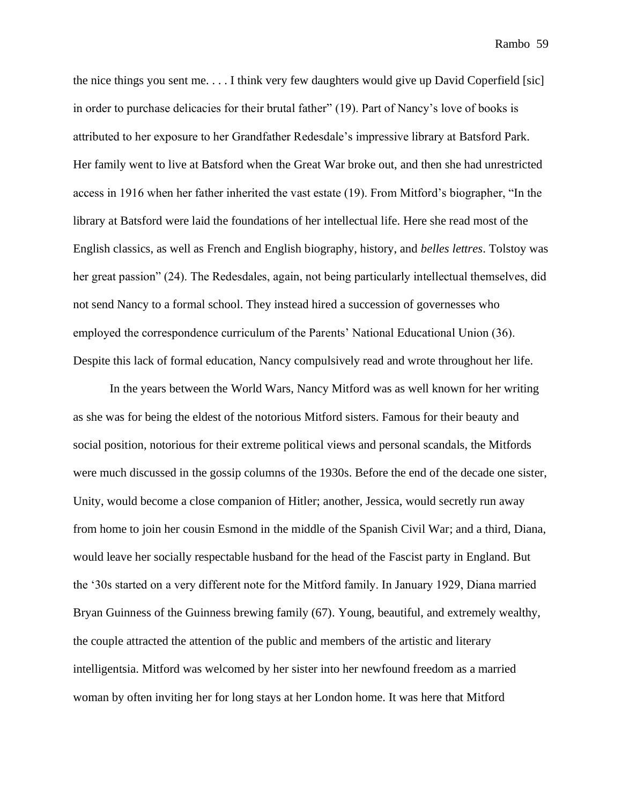the nice things you sent me. . . . I think very few daughters would give up David Coperfield [sic] in order to purchase delicacies for their brutal father" (19). Part of Nancy's love of books is attributed to her exposure to her Grandfather Redesdale's impressive library at Batsford Park. Her family went to live at Batsford when the Great War broke out, and then she had unrestricted access in 1916 when her father inherited the vast estate (19). From Mitford's biographer, "In the library at Batsford were laid the foundations of her intellectual life. Here she read most of the English classics, as well as French and English biography, history, and *belles lettres*. Tolstoy was her great passion" (24). The Redesdales, again, not being particularly intellectual themselves, did not send Nancy to a formal school. They instead hired a succession of governesses who employed the correspondence curriculum of the Parents' National Educational Union (36). Despite this lack of formal education, Nancy compulsively read and wrote throughout her life.

In the years between the World Wars, Nancy Mitford was as well known for her writing as she was for being the eldest of the notorious Mitford sisters. Famous for their beauty and social position, notorious for their extreme political views and personal scandals, the Mitfords were much discussed in the gossip columns of the 1930s. Before the end of the decade one sister, Unity, would become a close companion of Hitler; another, Jessica, would secretly run away from home to join her cousin Esmond in the middle of the Spanish Civil War; and a third, Diana, would leave her socially respectable husband for the head of the Fascist party in England. But the '30s started on a very different note for the Mitford family. In January 1929, Diana married Bryan Guinness of the Guinness brewing family (67). Young, beautiful, and extremely wealthy, the couple attracted the attention of the public and members of the artistic and literary intelligentsia. Mitford was welcomed by her sister into her newfound freedom as a married woman by often inviting her for long stays at her London home. It was here that Mitford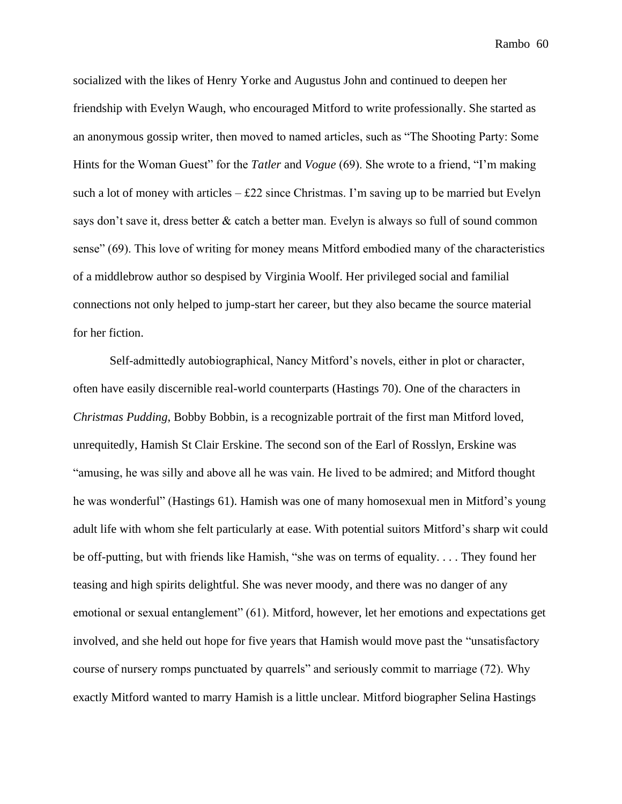socialized with the likes of Henry Yorke and Augustus John and continued to deepen her friendship with Evelyn Waugh, who encouraged Mitford to write professionally. She started as an anonymous gossip writer, then moved to named articles, such as "The Shooting Party: Some Hints for the Woman Guest" for the *Tatler* and *Vogue* (69). She wrote to a friend, "I'm making such a lot of money with articles  $-$  £22 since Christmas. I'm saving up to be married but Evelyn says don't save it, dress better & catch a better man. Evelyn is always so full of sound common sense" (69). This love of writing for money means Mitford embodied many of the characteristics of a middlebrow author so despised by Virginia Woolf. Her privileged social and familial connections not only helped to jump-start her career, but they also became the source material for her fiction.

Self-admittedly autobiographical, Nancy Mitford's novels, either in plot or character, often have easily discernible real-world counterparts (Hastings 70). One of the characters in *Christmas Pudding*, Bobby Bobbin, is a recognizable portrait of the first man Mitford loved, unrequitedly, Hamish St Clair Erskine. The second son of the Earl of Rosslyn, Erskine was "amusing, he was silly and above all he was vain. He lived to be admired; and Mitford thought he was wonderful" (Hastings 61). Hamish was one of many homosexual men in Mitford's young adult life with whom she felt particularly at ease. With potential suitors Mitford's sharp wit could be off-putting, but with friends like Hamish, "she was on terms of equality. . . . They found her teasing and high spirits delightful. She was never moody, and there was no danger of any emotional or sexual entanglement" (61). Mitford, however, let her emotions and expectations get involved, and she held out hope for five years that Hamish would move past the "unsatisfactory course of nursery romps punctuated by quarrels" and seriously commit to marriage (72). Why exactly Mitford wanted to marry Hamish is a little unclear. Mitford biographer Selina Hastings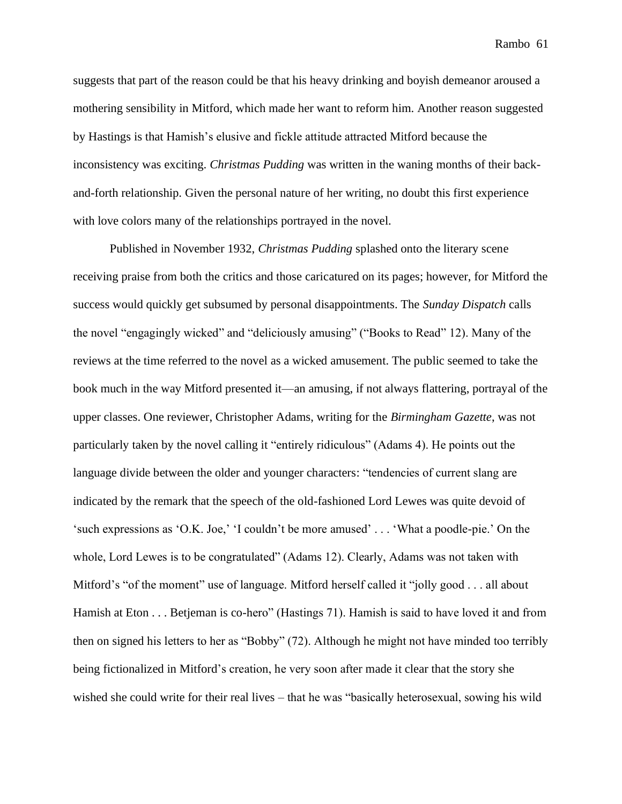suggests that part of the reason could be that his heavy drinking and boyish demeanor aroused a mothering sensibility in Mitford, which made her want to reform him. Another reason suggested by Hastings is that Hamish's elusive and fickle attitude attracted Mitford because the inconsistency was exciting. *Christmas Pudding* was written in the waning months of their backand-forth relationship. Given the personal nature of her writing, no doubt this first experience with love colors many of the relationships portrayed in the novel.

Published in November 1932, *Christmas Pudding* splashed onto the literary scene receiving praise from both the critics and those caricatured on its pages; however, for Mitford the success would quickly get subsumed by personal disappointments. The *Sunday Dispatch* calls the novel "engagingly wicked" and "deliciously amusing" ("Books to Read" 12). Many of the reviews at the time referred to the novel as a wicked amusement. The public seemed to take the book much in the way Mitford presented it—an amusing, if not always flattering, portrayal of the upper classes. One reviewer, Christopher Adams, writing for the *Birmingham Gazette*, was not particularly taken by the novel calling it "entirely ridiculous" (Adams 4). He points out the language divide between the older and younger characters: "tendencies of current slang are indicated by the remark that the speech of the old-fashioned Lord Lewes was quite devoid of 'such expressions as 'O.K. Joe,' 'I couldn't be more amused' . . . 'What a poodle-pie.' On the whole, Lord Lewes is to be congratulated" (Adams 12). Clearly, Adams was not taken with Mitford's "of the moment" use of language. Mitford herself called it "jolly good . . . all about Hamish at Eton . . . Betjeman is co-hero" (Hastings 71). Hamish is said to have loved it and from then on signed his letters to her as "Bobby" (72). Although he might not have minded too terribly being fictionalized in Mitford's creation, he very soon after made it clear that the story she wished she could write for their real lives – that he was "basically heterosexual, sowing his wild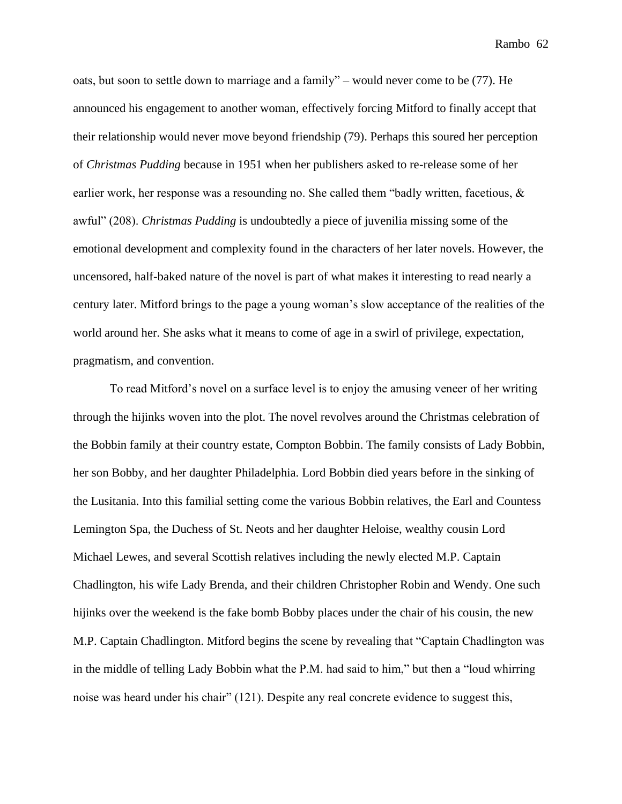oats, but soon to settle down to marriage and a family" – would never come to be (77). He announced his engagement to another woman, effectively forcing Mitford to finally accept that their relationship would never move beyond friendship (79). Perhaps this soured her perception of *Christmas Pudding* because in 1951 when her publishers asked to re-release some of her earlier work, her response was a resounding no. She called them "badly written, facetious, & awful" (208). *Christmas Pudding* is undoubtedly a piece of juvenilia missing some of the emotional development and complexity found in the characters of her later novels. However, the uncensored, half-baked nature of the novel is part of what makes it interesting to read nearly a century later. Mitford brings to the page a young woman's slow acceptance of the realities of the world around her. She asks what it means to come of age in a swirl of privilege, expectation, pragmatism, and convention.

To read Mitford's novel on a surface level is to enjoy the amusing veneer of her writing through the hijinks woven into the plot. The novel revolves around the Christmas celebration of the Bobbin family at their country estate, Compton Bobbin. The family consists of Lady Bobbin, her son Bobby, and her daughter Philadelphia. Lord Bobbin died years before in the sinking of the Lusitania. Into this familial setting come the various Bobbin relatives, the Earl and Countess Lemington Spa, the Duchess of St. Neots and her daughter Heloise, wealthy cousin Lord Michael Lewes, and several Scottish relatives including the newly elected M.P. Captain Chadlington, his wife Lady Brenda, and their children Christopher Robin and Wendy. One such hijinks over the weekend is the fake bomb Bobby places under the chair of his cousin, the new M.P. Captain Chadlington. Mitford begins the scene by revealing that "Captain Chadlington was in the middle of telling Lady Bobbin what the P.M. had said to him," but then a "loud whirring noise was heard under his chair" (121). Despite any real concrete evidence to suggest this,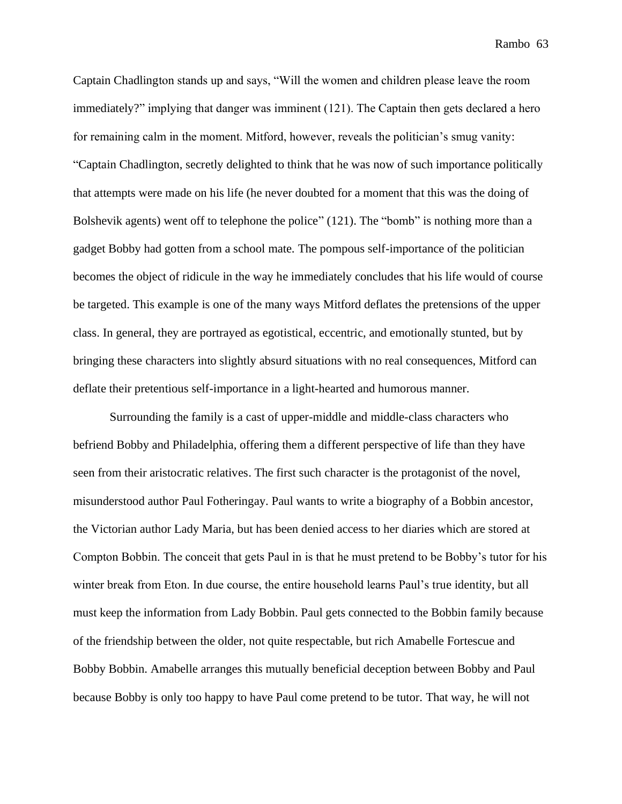Captain Chadlington stands up and says, "Will the women and children please leave the room immediately?" implying that danger was imminent (121). The Captain then gets declared a hero for remaining calm in the moment. Mitford, however, reveals the politician's smug vanity: "Captain Chadlington, secretly delighted to think that he was now of such importance politically that attempts were made on his life (he never doubted for a moment that this was the doing of Bolshevik agents) went off to telephone the police" (121). The "bomb" is nothing more than a gadget Bobby had gotten from a school mate. The pompous self-importance of the politician becomes the object of ridicule in the way he immediately concludes that his life would of course be targeted. This example is one of the many ways Mitford deflates the pretensions of the upper class. In general, they are portrayed as egotistical, eccentric, and emotionally stunted, but by bringing these characters into slightly absurd situations with no real consequences, Mitford can deflate their pretentious self-importance in a light-hearted and humorous manner.

Surrounding the family is a cast of upper-middle and middle-class characters who befriend Bobby and Philadelphia, offering them a different perspective of life than they have seen from their aristocratic relatives. The first such character is the protagonist of the novel, misunderstood author Paul Fotheringay. Paul wants to write a biography of a Bobbin ancestor, the Victorian author Lady Maria, but has been denied access to her diaries which are stored at Compton Bobbin. The conceit that gets Paul in is that he must pretend to be Bobby's tutor for his winter break from Eton. In due course, the entire household learns Paul's true identity, but all must keep the information from Lady Bobbin. Paul gets connected to the Bobbin family because of the friendship between the older, not quite respectable, but rich Amabelle Fortescue and Bobby Bobbin. Amabelle arranges this mutually beneficial deception between Bobby and Paul because Bobby is only too happy to have Paul come pretend to be tutor. That way, he will not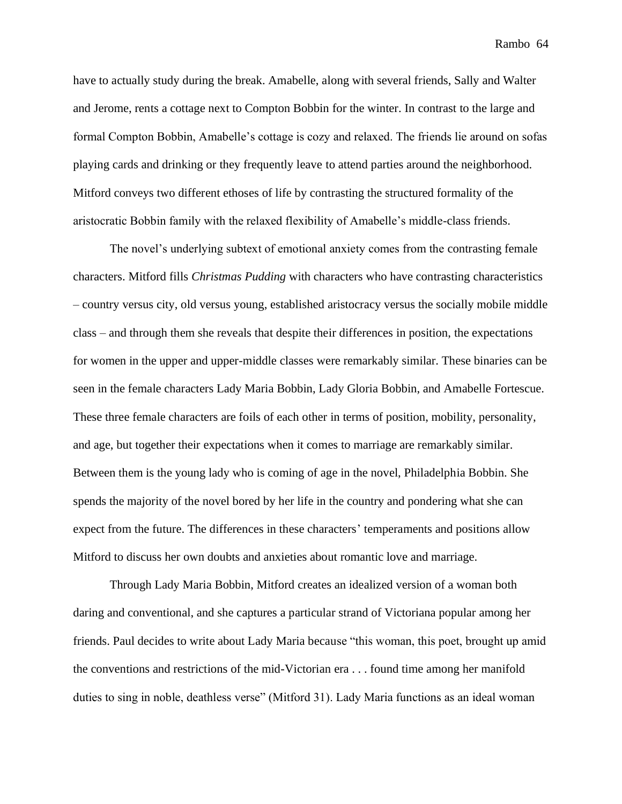have to actually study during the break. Amabelle, along with several friends, Sally and Walter and Jerome, rents a cottage next to Compton Bobbin for the winter. In contrast to the large and formal Compton Bobbin, Amabelle's cottage is cozy and relaxed. The friends lie around on sofas playing cards and drinking or they frequently leave to attend parties around the neighborhood. Mitford conveys two different ethoses of life by contrasting the structured formality of the aristocratic Bobbin family with the relaxed flexibility of Amabelle's middle-class friends.

The novel's underlying subtext of emotional anxiety comes from the contrasting female characters. Mitford fills *Christmas Pudding* with characters who have contrasting characteristics – country versus city, old versus young, established aristocracy versus the socially mobile middle class – and through them she reveals that despite their differences in position, the expectations for women in the upper and upper-middle classes were remarkably similar. These binaries can be seen in the female characters Lady Maria Bobbin, Lady Gloria Bobbin, and Amabelle Fortescue. These three female characters are foils of each other in terms of position, mobility, personality, and age, but together their expectations when it comes to marriage are remarkably similar. Between them is the young lady who is coming of age in the novel, Philadelphia Bobbin. She spends the majority of the novel bored by her life in the country and pondering what she can expect from the future. The differences in these characters' temperaments and positions allow Mitford to discuss her own doubts and anxieties about romantic love and marriage.

Through Lady Maria Bobbin, Mitford creates an idealized version of a woman both daring and conventional, and she captures a particular strand of Victoriana popular among her friends. Paul decides to write about Lady Maria because "this woman, this poet, brought up amid the conventions and restrictions of the mid-Victorian era . . . found time among her manifold duties to sing in noble, deathless verse" (Mitford 31). Lady Maria functions as an ideal woman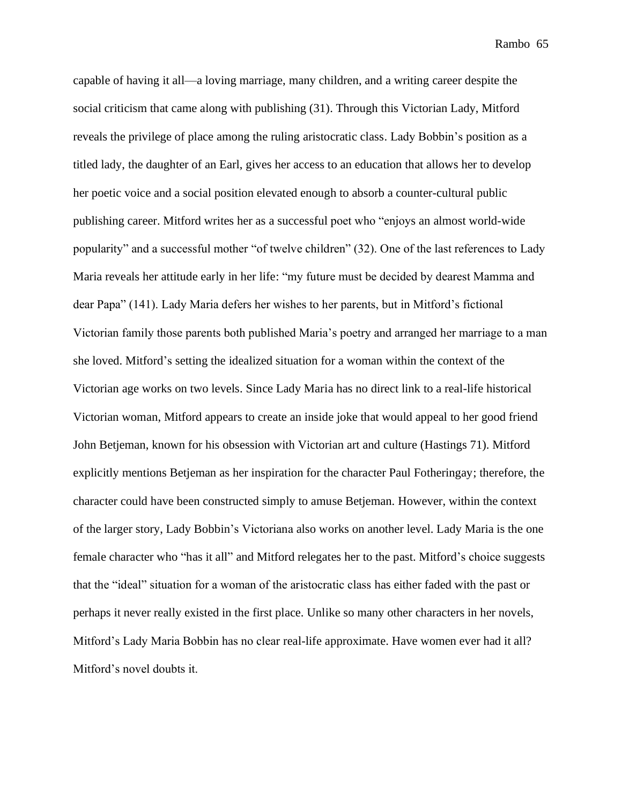capable of having it all—a loving marriage, many children, and a writing career despite the social criticism that came along with publishing (31). Through this Victorian Lady, Mitford reveals the privilege of place among the ruling aristocratic class. Lady Bobbin's position as a titled lady, the daughter of an Earl, gives her access to an education that allows her to develop her poetic voice and a social position elevated enough to absorb a counter-cultural public publishing career. Mitford writes her as a successful poet who "enjoys an almost world-wide popularity" and a successful mother "of twelve children" (32). One of the last references to Lady Maria reveals her attitude early in her life: "my future must be decided by dearest Mamma and dear Papa" (141). Lady Maria defers her wishes to her parents, but in Mitford's fictional Victorian family those parents both published Maria's poetry and arranged her marriage to a man she loved. Mitford's setting the idealized situation for a woman within the context of the Victorian age works on two levels. Since Lady Maria has no direct link to a real-life historical Victorian woman, Mitford appears to create an inside joke that would appeal to her good friend John Betjeman, known for his obsession with Victorian art and culture (Hastings 71). Mitford explicitly mentions Betjeman as her inspiration for the character Paul Fotheringay; therefore, the character could have been constructed simply to amuse Betjeman. However, within the context of the larger story, Lady Bobbin's Victoriana also works on another level. Lady Maria is the one female character who "has it all" and Mitford relegates her to the past. Mitford's choice suggests that the "ideal" situation for a woman of the aristocratic class has either faded with the past or perhaps it never really existed in the first place. Unlike so many other characters in her novels, Mitford's Lady Maria Bobbin has no clear real-life approximate. Have women ever had it all? Mitford's novel doubts it.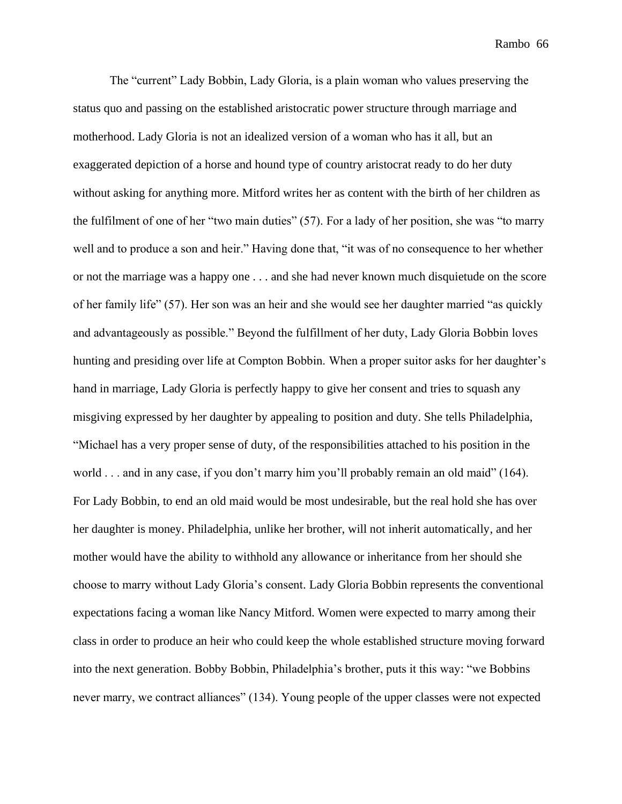The "current" Lady Bobbin, Lady Gloria, is a plain woman who values preserving the status quo and passing on the established aristocratic power structure through marriage and motherhood. Lady Gloria is not an idealized version of a woman who has it all, but an exaggerated depiction of a horse and hound type of country aristocrat ready to do her duty without asking for anything more. Mitford writes her as content with the birth of her children as the fulfilment of one of her "two main duties" (57). For a lady of her position, she was "to marry well and to produce a son and heir." Having done that, "it was of no consequence to her whether or not the marriage was a happy one . . . and she had never known much disquietude on the score of her family life" (57). Her son was an heir and she would see her daughter married "as quickly and advantageously as possible." Beyond the fulfillment of her duty, Lady Gloria Bobbin loves hunting and presiding over life at Compton Bobbin. When a proper suitor asks for her daughter's hand in marriage, Lady Gloria is perfectly happy to give her consent and tries to squash any misgiving expressed by her daughter by appealing to position and duty. She tells Philadelphia, "Michael has a very proper sense of duty, of the responsibilities attached to his position in the world . . . and in any case, if you don't marry him you'll probably remain an old maid" (164). For Lady Bobbin, to end an old maid would be most undesirable, but the real hold she has over her daughter is money. Philadelphia, unlike her brother, will not inherit automatically, and her mother would have the ability to withhold any allowance or inheritance from her should she choose to marry without Lady Gloria's consent. Lady Gloria Bobbin represents the conventional expectations facing a woman like Nancy Mitford. Women were expected to marry among their class in order to produce an heir who could keep the whole established structure moving forward into the next generation. Bobby Bobbin, Philadelphia's brother, puts it this way: "we Bobbins never marry, we contract alliances" (134). Young people of the upper classes were not expected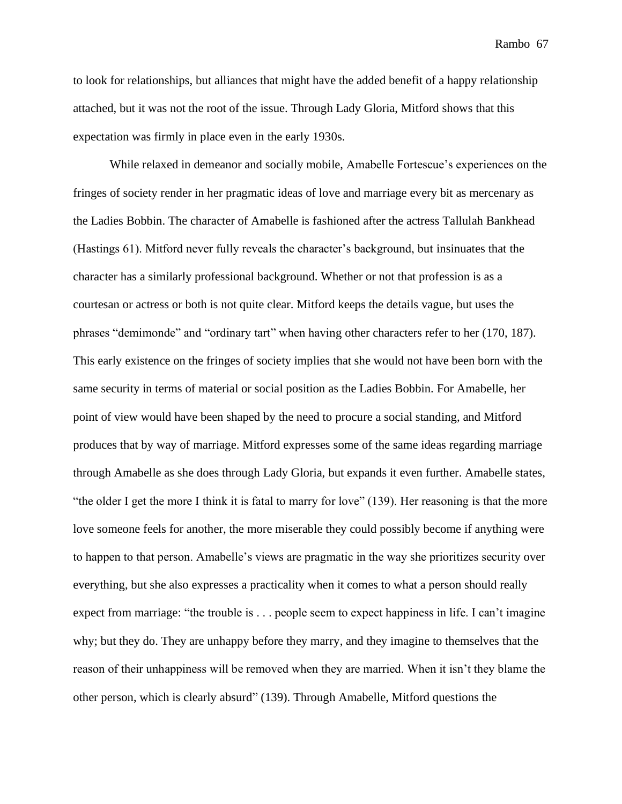to look for relationships, but alliances that might have the added benefit of a happy relationship attached, but it was not the root of the issue. Through Lady Gloria, Mitford shows that this expectation was firmly in place even in the early 1930s.

While relaxed in demeanor and socially mobile, Amabelle Fortescue's experiences on the fringes of society render in her pragmatic ideas of love and marriage every bit as mercenary as the Ladies Bobbin. The character of Amabelle is fashioned after the actress Tallulah Bankhead (Hastings 61). Mitford never fully reveals the character's background, but insinuates that the character has a similarly professional background. Whether or not that profession is as a courtesan or actress or both is not quite clear. Mitford keeps the details vague, but uses the phrases "demimonde" and "ordinary tart" when having other characters refer to her (170, 187). This early existence on the fringes of society implies that she would not have been born with the same security in terms of material or social position as the Ladies Bobbin. For Amabelle, her point of view would have been shaped by the need to procure a social standing, and Mitford produces that by way of marriage. Mitford expresses some of the same ideas regarding marriage through Amabelle as she does through Lady Gloria, but expands it even further. Amabelle states, "the older I get the more I think it is fatal to marry for love" (139). Her reasoning is that the more love someone feels for another, the more miserable they could possibly become if anything were to happen to that person. Amabelle's views are pragmatic in the way she prioritizes security over everything, but she also expresses a practicality when it comes to what a person should really expect from marriage: "the trouble is . . . people seem to expect happiness in life. I can't imagine why; but they do. They are unhappy before they marry, and they imagine to themselves that the reason of their unhappiness will be removed when they are married. When it isn't they blame the other person, which is clearly absurd" (139). Through Amabelle, Mitford questions the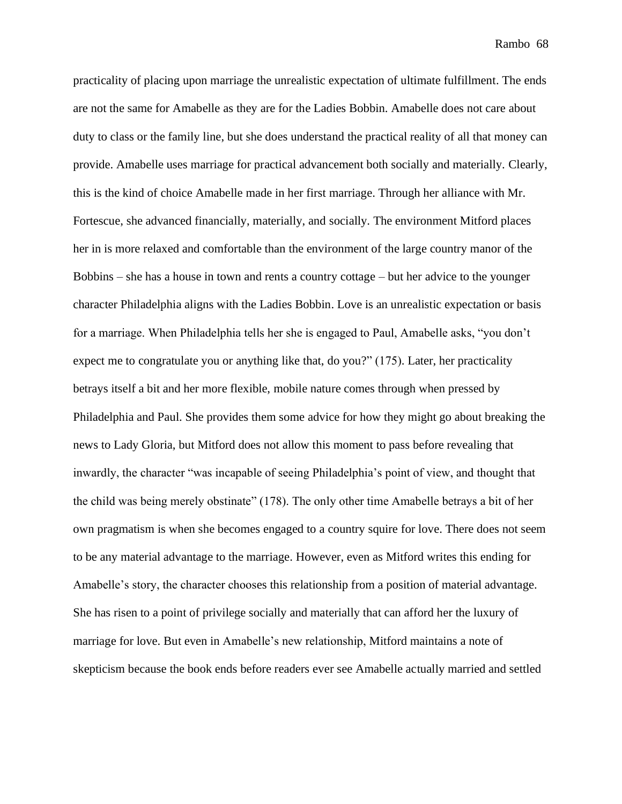practicality of placing upon marriage the unrealistic expectation of ultimate fulfillment. The ends are not the same for Amabelle as they are for the Ladies Bobbin. Amabelle does not care about duty to class or the family line, but she does understand the practical reality of all that money can provide. Amabelle uses marriage for practical advancement both socially and materially. Clearly, this is the kind of choice Amabelle made in her first marriage. Through her alliance with Mr. Fortescue, she advanced financially, materially, and socially. The environment Mitford places her in is more relaxed and comfortable than the environment of the large country manor of the Bobbins – she has a house in town and rents a country cottage – but her advice to the younger character Philadelphia aligns with the Ladies Bobbin. Love is an unrealistic expectation or basis for a marriage. When Philadelphia tells her she is engaged to Paul, Amabelle asks, "you don't expect me to congratulate you or anything like that, do you?" (175). Later, her practicality betrays itself a bit and her more flexible, mobile nature comes through when pressed by Philadelphia and Paul. She provides them some advice for how they might go about breaking the news to Lady Gloria, but Mitford does not allow this moment to pass before revealing that inwardly, the character "was incapable of seeing Philadelphia's point of view, and thought that the child was being merely obstinate" (178). The only other time Amabelle betrays a bit of her own pragmatism is when she becomes engaged to a country squire for love. There does not seem to be any material advantage to the marriage. However, even as Mitford writes this ending for Amabelle's story, the character chooses this relationship from a position of material advantage. She has risen to a point of privilege socially and materially that can afford her the luxury of marriage for love. But even in Amabelle's new relationship, Mitford maintains a note of skepticism because the book ends before readers ever see Amabelle actually married and settled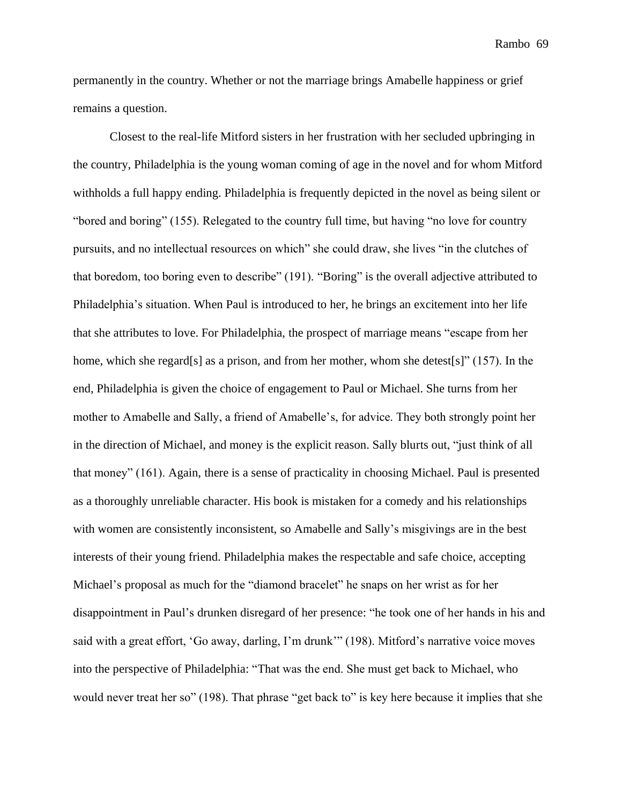permanently in the country. Whether or not the marriage brings Amabelle happiness or grief remains a question.

Closest to the real-life Mitford sisters in her frustration with her secluded upbringing in the country, Philadelphia is the young woman coming of age in the novel and for whom Mitford withholds a full happy ending. Philadelphia is frequently depicted in the novel as being silent or "bored and boring" (155). Relegated to the country full time, but having "no love for country pursuits, and no intellectual resources on which" she could draw, she lives "in the clutches of that boredom, too boring even to describe" (191). "Boring" is the overall adjective attributed to Philadelphia's situation. When Paul is introduced to her, he brings an excitement into her life that she attributes to love. For Philadelphia, the prospect of marriage means "escape from her home, which she regard[s] as a prison, and from her mother, whom she detest[s]" (157). In the end, Philadelphia is given the choice of engagement to Paul or Michael. She turns from her mother to Amabelle and Sally, a friend of Amabelle's, for advice. They both strongly point her in the direction of Michael, and money is the explicit reason. Sally blurts out, "just think of all that money" (161). Again, there is a sense of practicality in choosing Michael. Paul is presented as a thoroughly unreliable character. His book is mistaken for a comedy and his relationships with women are consistently inconsistent, so Amabelle and Sally's misgivings are in the best interests of their young friend. Philadelphia makes the respectable and safe choice, accepting Michael's proposal as much for the "diamond bracelet" he snaps on her wrist as for her disappointment in Paul's drunken disregard of her presence: "he took one of her hands in his and said with a great effort, 'Go away, darling, I'm drunk'" (198). Mitford's narrative voice moves into the perspective of Philadelphia: "That was the end. She must get back to Michael, who would never treat her so" (198). That phrase "get back to" is key here because it implies that she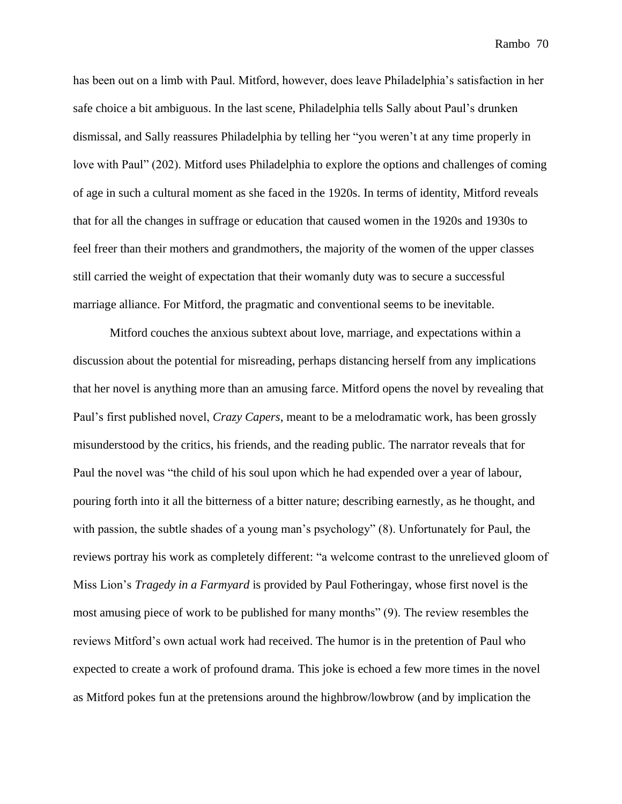has been out on a limb with Paul. Mitford, however, does leave Philadelphia's satisfaction in her safe choice a bit ambiguous. In the last scene, Philadelphia tells Sally about Paul's drunken dismissal, and Sally reassures Philadelphia by telling her "you weren't at any time properly in love with Paul" (202). Mitford uses Philadelphia to explore the options and challenges of coming of age in such a cultural moment as she faced in the 1920s. In terms of identity, Mitford reveals that for all the changes in suffrage or education that caused women in the 1920s and 1930s to feel freer than their mothers and grandmothers, the majority of the women of the upper classes still carried the weight of expectation that their womanly duty was to secure a successful marriage alliance. For Mitford, the pragmatic and conventional seems to be inevitable.

Mitford couches the anxious subtext about love, marriage, and expectations within a discussion about the potential for misreading, perhaps distancing herself from any implications that her novel is anything more than an amusing farce. Mitford opens the novel by revealing that Paul's first published novel, *Crazy Capers*, meant to be a melodramatic work, has been grossly misunderstood by the critics, his friends, and the reading public. The narrator reveals that for Paul the novel was "the child of his soul upon which he had expended over a year of labour, pouring forth into it all the bitterness of a bitter nature; describing earnestly, as he thought, and with passion, the subtle shades of a young man's psychology" (8). Unfortunately for Paul, the reviews portray his work as completely different: "a welcome contrast to the unrelieved gloom of Miss Lion's *Tragedy in a Farmyard* is provided by Paul Fotheringay, whose first novel is the most amusing piece of work to be published for many months" (9). The review resembles the reviews Mitford's own actual work had received. The humor is in the pretention of Paul who expected to create a work of profound drama. This joke is echoed a few more times in the novel as Mitford pokes fun at the pretensions around the highbrow/lowbrow (and by implication the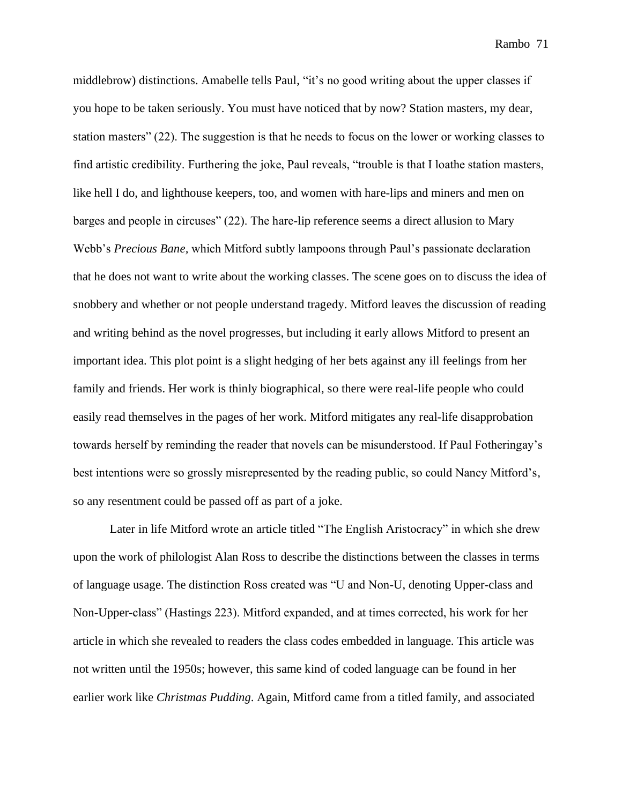middlebrow) distinctions. Amabelle tells Paul, "it's no good writing about the upper classes if you hope to be taken seriously. You must have noticed that by now? Station masters, my dear, station masters" (22). The suggestion is that he needs to focus on the lower or working classes to find artistic credibility. Furthering the joke, Paul reveals, "trouble is that I loathe station masters, like hell I do, and lighthouse keepers, too, and women with hare-lips and miners and men on barges and people in circuses" (22). The hare-lip reference seems a direct allusion to Mary Webb's *Precious Bane,* which Mitford subtly lampoons through Paul's passionate declaration that he does not want to write about the working classes. The scene goes on to discuss the idea of snobbery and whether or not people understand tragedy. Mitford leaves the discussion of reading and writing behind as the novel progresses, but including it early allows Mitford to present an important idea. This plot point is a slight hedging of her bets against any ill feelings from her family and friends. Her work is thinly biographical, so there were real-life people who could easily read themselves in the pages of her work. Mitford mitigates any real-life disapprobation towards herself by reminding the reader that novels can be misunderstood. If Paul Fotheringay's best intentions were so grossly misrepresented by the reading public, so could Nancy Mitford's, so any resentment could be passed off as part of a joke.

Later in life Mitford wrote an article titled "The English Aristocracy" in which she drew upon the work of philologist Alan Ross to describe the distinctions between the classes in terms of language usage. The distinction Ross created was "U and Non-U, denoting Upper-class and Non-Upper-class" (Hastings 223). Mitford expanded, and at times corrected, his work for her article in which she revealed to readers the class codes embedded in language. This article was not written until the 1950s; however, this same kind of coded language can be found in her earlier work like *Christmas Pudding*. Again, Mitford came from a titled family, and associated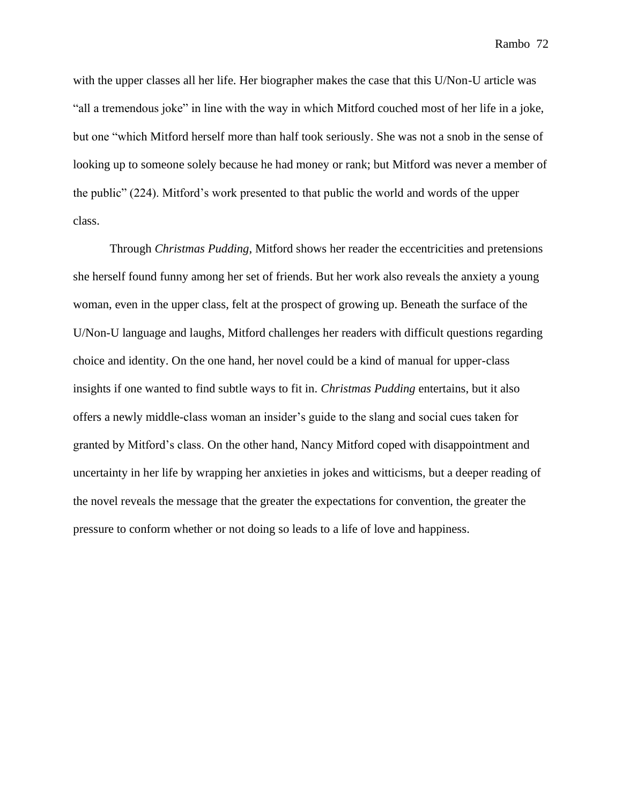with the upper classes all her life. Her biographer makes the case that this U/Non-U article was "all a tremendous joke" in line with the way in which Mitford couched most of her life in a joke, but one "which Mitford herself more than half took seriously. She was not a snob in the sense of looking up to someone solely because he had money or rank; but Mitford was never a member of the public" (224). Mitford's work presented to that public the world and words of the upper class.

Through *Christmas Pudding*, Mitford shows her reader the eccentricities and pretensions she herself found funny among her set of friends. But her work also reveals the anxiety a young woman, even in the upper class, felt at the prospect of growing up. Beneath the surface of the U/Non-U language and laughs, Mitford challenges her readers with difficult questions regarding choice and identity. On the one hand, her novel could be a kind of manual for upper-class insights if one wanted to find subtle ways to fit in. *Christmas Pudding* entertains, but it also offers a newly middle-class woman an insider's guide to the slang and social cues taken for granted by Mitford's class. On the other hand, Nancy Mitford coped with disappointment and uncertainty in her life by wrapping her anxieties in jokes and witticisms, but a deeper reading of the novel reveals the message that the greater the expectations for convention, the greater the pressure to conform whether or not doing so leads to a life of love and happiness.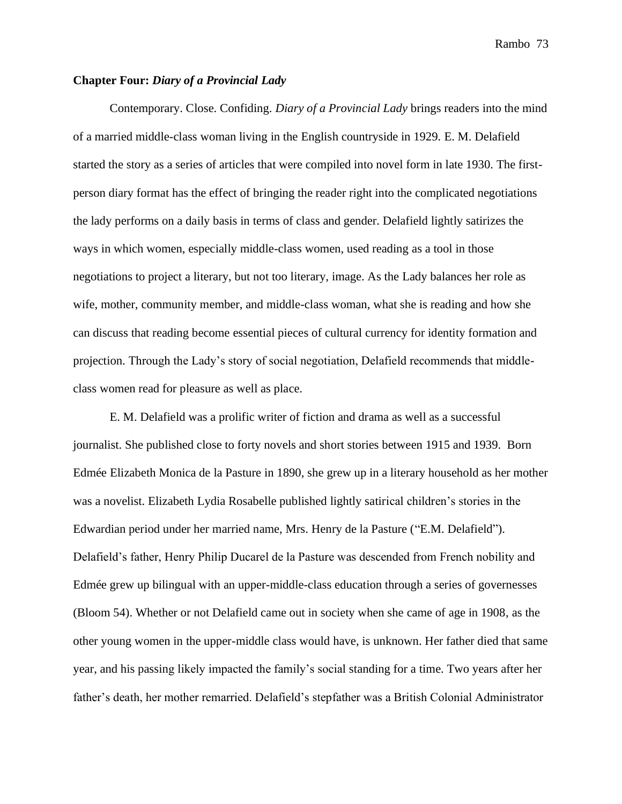# **Chapter Four:** *Diary of a Provincial Lady*

Contemporary. Close. Confiding. *Diary of a Provincial Lady* brings readers into the mind of a married middle-class woman living in the English countryside in 1929. E. M. Delafield started the story as a series of articles that were compiled into novel form in late 1930. The firstperson diary format has the effect of bringing the reader right into the complicated negotiations the lady performs on a daily basis in terms of class and gender. Delafield lightly satirizes the ways in which women, especially middle-class women, used reading as a tool in those negotiations to project a literary, but not too literary, image. As the Lady balances her role as wife, mother, community member, and middle-class woman, what she is reading and how she can discuss that reading become essential pieces of cultural currency for identity formation and projection. Through the Lady's story of social negotiation, Delafield recommends that middleclass women read for pleasure as well as place.

E. M. Delafield was a prolific writer of fiction and drama as well as a successful journalist. She published close to forty novels and short stories between 1915 and 1939. Born Edmée Elizabeth Monica de la Pasture in 1890, she grew up in a literary household as her mother was a novelist. Elizabeth Lydia Rosabelle published lightly satirical children's stories in the Edwardian period under her married name, Mrs. Henry de la Pasture ("E.M. Delafield"). Delafield's father, Henry Philip Ducarel de la Pasture was descended from French nobility and Edmée grew up bilingual with an upper-middle-class education through a series of governesses (Bloom 54). Whether or not Delafield came out in society when she came of age in 1908, as the other young women in the upper-middle class would have, is unknown. Her father died that same year, and his passing likely impacted the family's social standing for a time. Two years after her father's death, her mother remarried. Delafield's stepfather was a British Colonial Administrator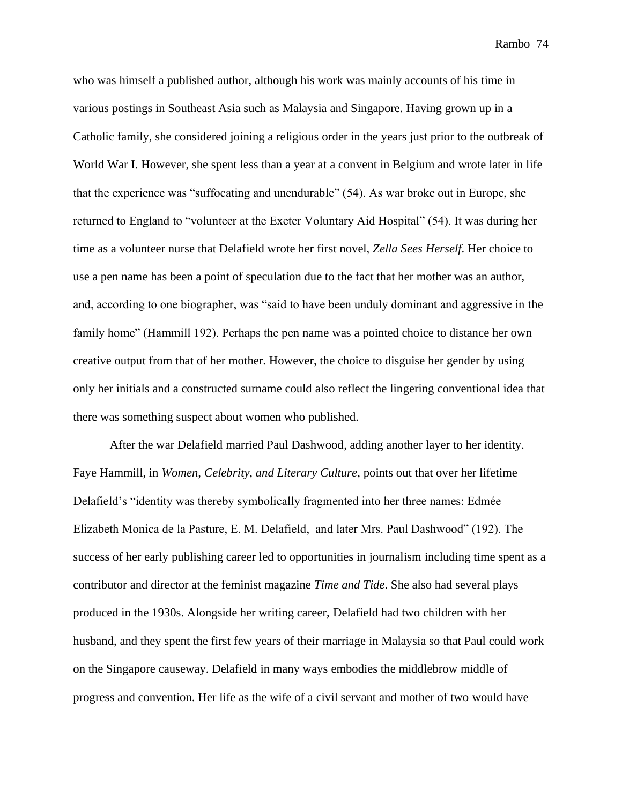who was himself a published author, although his work was mainly accounts of his time in various postings in Southeast Asia such as Malaysia and Singapore. Having grown up in a Catholic family, she considered joining a religious order in the years just prior to the outbreak of World War I. However, she spent less than a year at a convent in Belgium and wrote later in life that the experience was "suffocating and unendurable" (54). As war broke out in Europe, she returned to England to "volunteer at the Exeter Voluntary Aid Hospital" (54). It was during her time as a volunteer nurse that Delafield wrote her first novel, *Zella Sees Herself*. Her choice to use a pen name has been a point of speculation due to the fact that her mother was an author, and, according to one biographer, was "said to have been unduly dominant and aggressive in the family home" (Hammill 192). Perhaps the pen name was a pointed choice to distance her own creative output from that of her mother. However, the choice to disguise her gender by using only her initials and a constructed surname could also reflect the lingering conventional idea that there was something suspect about women who published.

After the war Delafield married Paul Dashwood, adding another layer to her identity. Faye Hammill, in *Women, Celebrity, and Literary Culture*, points out that over her lifetime Delafield's "identity was thereby symbolically fragmented into her three names: Edmée Elizabeth Monica de la Pasture, E. M. Delafield, and later Mrs. Paul Dashwood" (192). The success of her early publishing career led to opportunities in journalism including time spent as a contributor and director at the feminist magazine *Time and Tide*. She also had several plays produced in the 1930s. Alongside her writing career, Delafield had two children with her husband, and they spent the first few years of their marriage in Malaysia so that Paul could work on the Singapore causeway. Delafield in many ways embodies the middlebrow middle of progress and convention. Her life as the wife of a civil servant and mother of two would have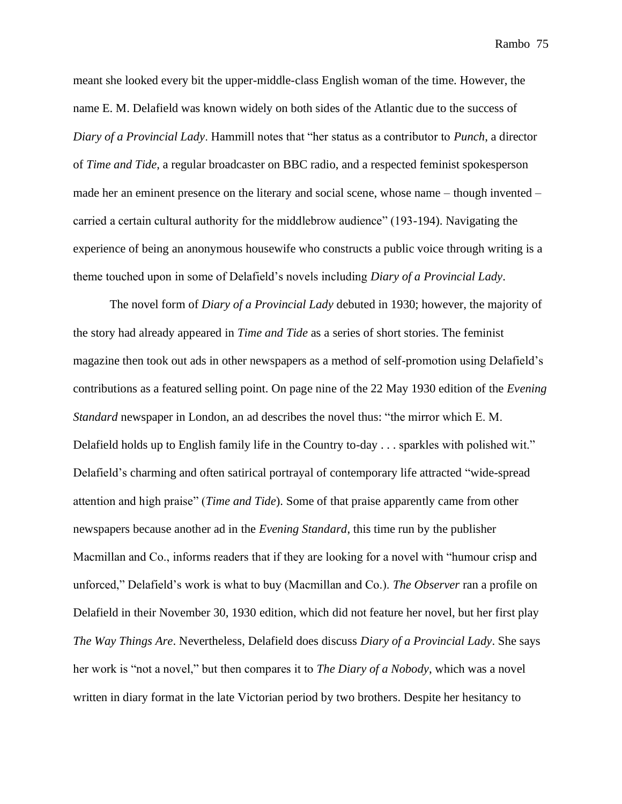meant she looked every bit the upper-middle-class English woman of the time. However, the name E. M. Delafield was known widely on both sides of the Atlantic due to the success of *Diary of a Provincial Lady*. Hammill notes that "her status as a contributor to *Punch*, a director of *Time and Tide*, a regular broadcaster on BBC radio, and a respected feminist spokesperson made her an eminent presence on the literary and social scene, whose name – though invented – carried a certain cultural authority for the middlebrow audience" (193-194). Navigating the experience of being an anonymous housewife who constructs a public voice through writing is a theme touched upon in some of Delafield's novels including *Diary of a Provincial Lady*.

The novel form of *Diary of a Provincial Lady* debuted in 1930; however, the majority of the story had already appeared in *Time and Tide* as a series of short stories. The feminist magazine then took out ads in other newspapers as a method of self-promotion using Delafield's contributions as a featured selling point. On page nine of the 22 May 1930 edition of the *Evening Standard* newspaper in London, an ad describes the novel thus: "the mirror which E. M. Delafield holds up to English family life in the Country to-day . . . sparkles with polished wit." Delafield's charming and often satirical portrayal of contemporary life attracted "wide-spread attention and high praise" (*Time and Tide*). Some of that praise apparently came from other newspapers because another ad in the *Evening Standard*, this time run by the publisher Macmillan and Co., informs readers that if they are looking for a novel with "humour crisp and unforced," Delafield's work is what to buy (Macmillan and Co.). *The Observer* ran a profile on Delafield in their November 30, 1930 edition, which did not feature her novel, but her first play *The Way Things Are*. Nevertheless, Delafield does discuss *Diary of a Provincial Lady*. She says her work is "not a novel," but then compares it to *The Diary of a Nobody*, which was a novel written in diary format in the late Victorian period by two brothers. Despite her hesitancy to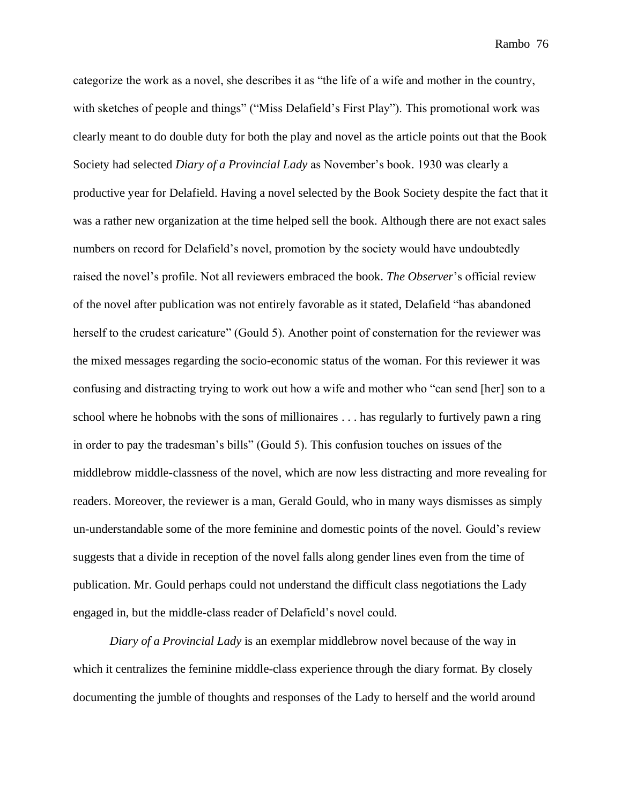categorize the work as a novel, she describes it as "the life of a wife and mother in the country, with sketches of people and things" ("Miss Delafield's First Play"). This promotional work was clearly meant to do double duty for both the play and novel as the article points out that the Book Society had selected *Diary of a Provincial Lady* as November's book. 1930 was clearly a productive year for Delafield. Having a novel selected by the Book Society despite the fact that it was a rather new organization at the time helped sell the book. Although there are not exact sales numbers on record for Delafield's novel, promotion by the society would have undoubtedly raised the novel's profile. Not all reviewers embraced the book. *The Observer*'s official review of the novel after publication was not entirely favorable as it stated, Delafield "has abandoned herself to the crudest caricature" (Gould 5). Another point of consternation for the reviewer was the mixed messages regarding the socio-economic status of the woman. For this reviewer it was confusing and distracting trying to work out how a wife and mother who "can send [her] son to a school where he hobnobs with the sons of millionaires . . . has regularly to furtively pawn a ring in order to pay the tradesman's bills" (Gould 5). This confusion touches on issues of the middlebrow middle-classness of the novel, which are now less distracting and more revealing for readers. Moreover, the reviewer is a man, Gerald Gould, who in many ways dismisses as simply un-understandable some of the more feminine and domestic points of the novel. Gould's review suggests that a divide in reception of the novel falls along gender lines even from the time of publication. Mr. Gould perhaps could not understand the difficult class negotiations the Lady engaged in, but the middle-class reader of Delafield's novel could.

*Diary of a Provincial Lady* is an exemplar middlebrow novel because of the way in which it centralizes the feminine middle-class experience through the diary format. By closely documenting the jumble of thoughts and responses of the Lady to herself and the world around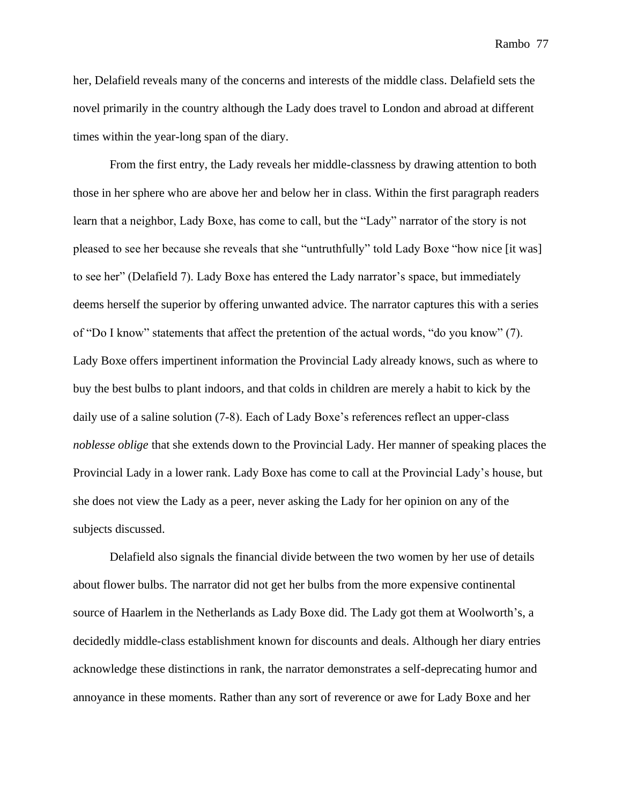her, Delafield reveals many of the concerns and interests of the middle class. Delafield sets the novel primarily in the country although the Lady does travel to London and abroad at different times within the year-long span of the diary.

From the first entry, the Lady reveals her middle-classness by drawing attention to both those in her sphere who are above her and below her in class. Within the first paragraph readers learn that a neighbor, Lady Boxe, has come to call, but the "Lady" narrator of the story is not pleased to see her because she reveals that she "untruthfully" told Lady Boxe "how nice [it was] to see her" (Delafield 7). Lady Boxe has entered the Lady narrator's space, but immediately deems herself the superior by offering unwanted advice. The narrator captures this with a series of "Do I know" statements that affect the pretention of the actual words, "do you know" (7). Lady Boxe offers impertinent information the Provincial Lady already knows, such as where to buy the best bulbs to plant indoors, and that colds in children are merely a habit to kick by the daily use of a saline solution (7-8). Each of Lady Boxe's references reflect an upper-class *noblesse oblige* that she extends down to the Provincial Lady. Her manner of speaking places the Provincial Lady in a lower rank. Lady Boxe has come to call at the Provincial Lady's house, but she does not view the Lady as a peer, never asking the Lady for her opinion on any of the subjects discussed.

Delafield also signals the financial divide between the two women by her use of details about flower bulbs. The narrator did not get her bulbs from the more expensive continental source of Haarlem in the Netherlands as Lady Boxe did. The Lady got them at Woolworth's, a decidedly middle-class establishment known for discounts and deals. Although her diary entries acknowledge these distinctions in rank, the narrator demonstrates a self-deprecating humor and annoyance in these moments. Rather than any sort of reverence or awe for Lady Boxe and her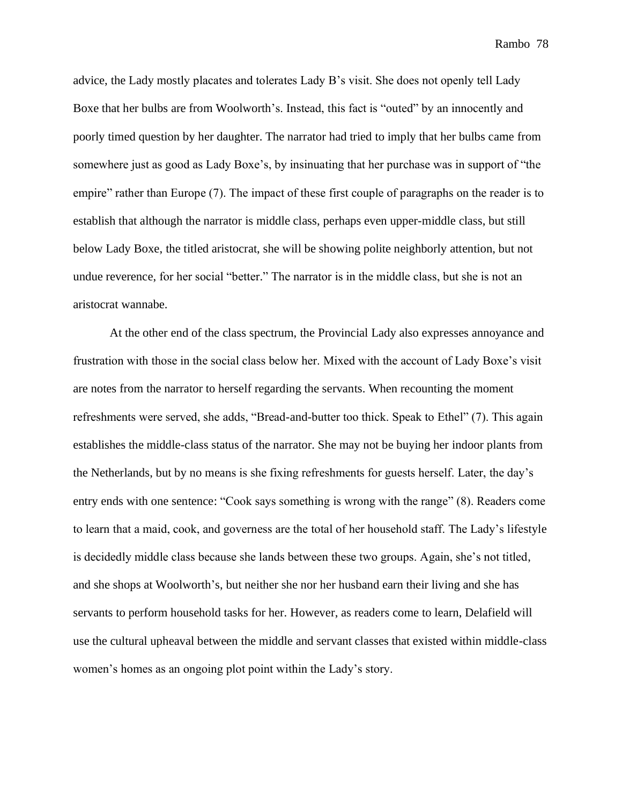advice, the Lady mostly placates and tolerates Lady B's visit. She does not openly tell Lady Boxe that her bulbs are from Woolworth's. Instead, this fact is "outed" by an innocently and poorly timed question by her daughter. The narrator had tried to imply that her bulbs came from somewhere just as good as Lady Boxe's, by insinuating that her purchase was in support of "the empire" rather than Europe (7). The impact of these first couple of paragraphs on the reader is to establish that although the narrator is middle class, perhaps even upper-middle class, but still below Lady Boxe, the titled aristocrat, she will be showing polite neighborly attention, but not undue reverence, for her social "better." The narrator is in the middle class, but she is not an aristocrat wannabe.

At the other end of the class spectrum, the Provincial Lady also expresses annoyance and frustration with those in the social class below her. Mixed with the account of Lady Boxe's visit are notes from the narrator to herself regarding the servants. When recounting the moment refreshments were served, she adds, "Bread-and-butter too thick. Speak to Ethel" (7). This again establishes the middle-class status of the narrator. She may not be buying her indoor plants from the Netherlands, but by no means is she fixing refreshments for guests herself. Later, the day's entry ends with one sentence: "Cook says something is wrong with the range" (8). Readers come to learn that a maid, cook, and governess are the total of her household staff. The Lady's lifestyle is decidedly middle class because she lands between these two groups. Again, she's not titled, and she shops at Woolworth's, but neither she nor her husband earn their living and she has servants to perform household tasks for her. However, as readers come to learn, Delafield will use the cultural upheaval between the middle and servant classes that existed within middle-class women's homes as an ongoing plot point within the Lady's story.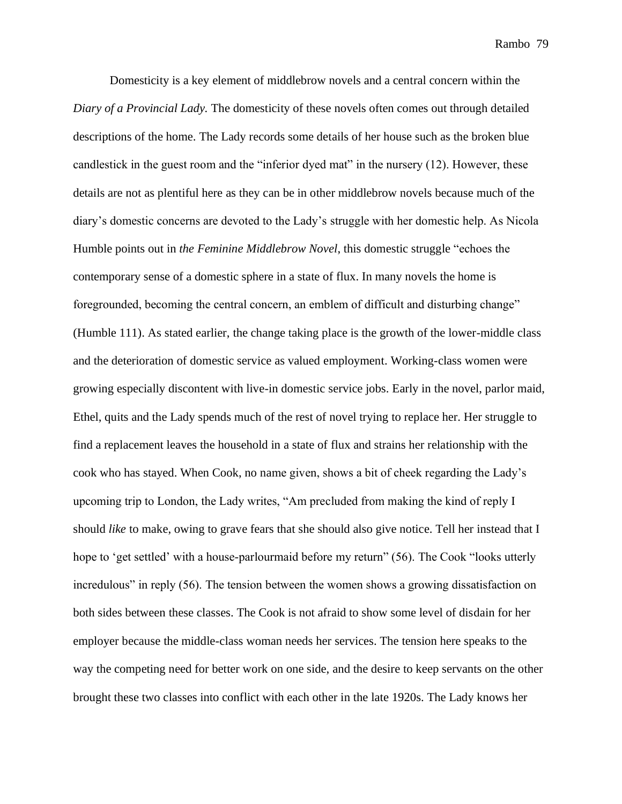Domesticity is a key element of middlebrow novels and a central concern within the *Diary of a Provincial Lady.* The domesticity of these novels often comes out through detailed descriptions of the home. The Lady records some details of her house such as the broken blue candlestick in the guest room and the "inferior dyed mat" in the nursery (12). However, these details are not as plentiful here as they can be in other middlebrow novels because much of the diary's domestic concerns are devoted to the Lady's struggle with her domestic help. As Nicola Humble points out in *the Feminine Middlebrow Novel*, this domestic struggle "echoes the contemporary sense of a domestic sphere in a state of flux. In many novels the home is foregrounded, becoming the central concern, an emblem of difficult and disturbing change" (Humble 111). As stated earlier, the change taking place is the growth of the lower-middle class and the deterioration of domestic service as valued employment. Working-class women were growing especially discontent with live-in domestic service jobs. Early in the novel, parlor maid, Ethel, quits and the Lady spends much of the rest of novel trying to replace her. Her struggle to find a replacement leaves the household in a state of flux and strains her relationship with the cook who has stayed. When Cook, no name given, shows a bit of cheek regarding the Lady's upcoming trip to London, the Lady writes, "Am precluded from making the kind of reply I should *like* to make, owing to grave fears that she should also give notice. Tell her instead that I hope to 'get settled' with a house-parlourmaid before my return" (56). The Cook "looks utterly incredulous" in reply (56). The tension between the women shows a growing dissatisfaction on both sides between these classes. The Cook is not afraid to show some level of disdain for her employer because the middle-class woman needs her services. The tension here speaks to the way the competing need for better work on one side, and the desire to keep servants on the other brought these two classes into conflict with each other in the late 1920s. The Lady knows her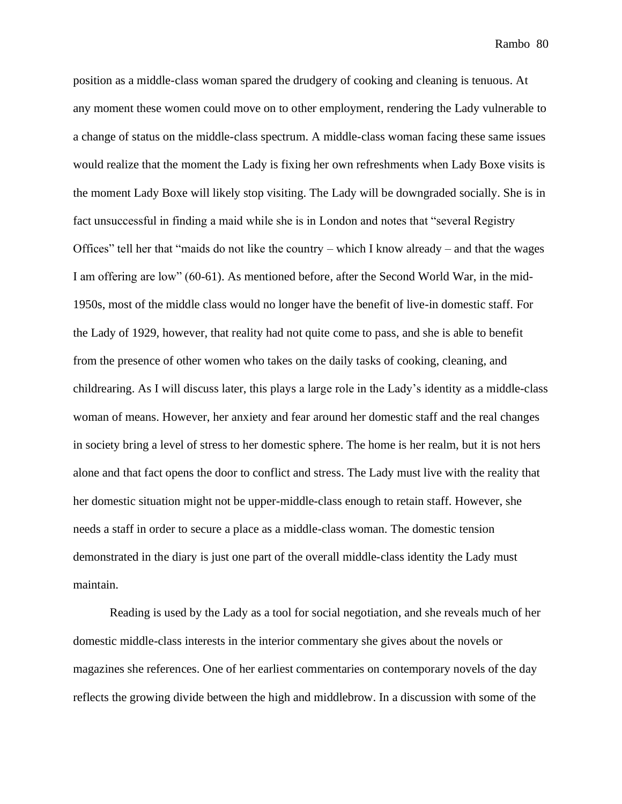position as a middle-class woman spared the drudgery of cooking and cleaning is tenuous. At any moment these women could move on to other employment, rendering the Lady vulnerable to a change of status on the middle-class spectrum. A middle-class woman facing these same issues would realize that the moment the Lady is fixing her own refreshments when Lady Boxe visits is the moment Lady Boxe will likely stop visiting. The Lady will be downgraded socially. She is in fact unsuccessful in finding a maid while she is in London and notes that "several Registry Offices" tell her that "maids do not like the country – which I know already – and that the wages I am offering are low" (60-61). As mentioned before, after the Second World War, in the mid-1950s, most of the middle class would no longer have the benefit of live-in domestic staff. For the Lady of 1929, however, that reality had not quite come to pass, and she is able to benefit from the presence of other women who takes on the daily tasks of cooking, cleaning, and childrearing. As I will discuss later, this plays a large role in the Lady's identity as a middle-class woman of means. However, her anxiety and fear around her domestic staff and the real changes in society bring a level of stress to her domestic sphere. The home is her realm, but it is not hers alone and that fact opens the door to conflict and stress. The Lady must live with the reality that her domestic situation might not be upper-middle-class enough to retain staff. However, she needs a staff in order to secure a place as a middle-class woman. The domestic tension demonstrated in the diary is just one part of the overall middle-class identity the Lady must maintain.

Reading is used by the Lady as a tool for social negotiation, and she reveals much of her domestic middle-class interests in the interior commentary she gives about the novels or magazines she references. One of her earliest commentaries on contemporary novels of the day reflects the growing divide between the high and middlebrow. In a discussion with some of the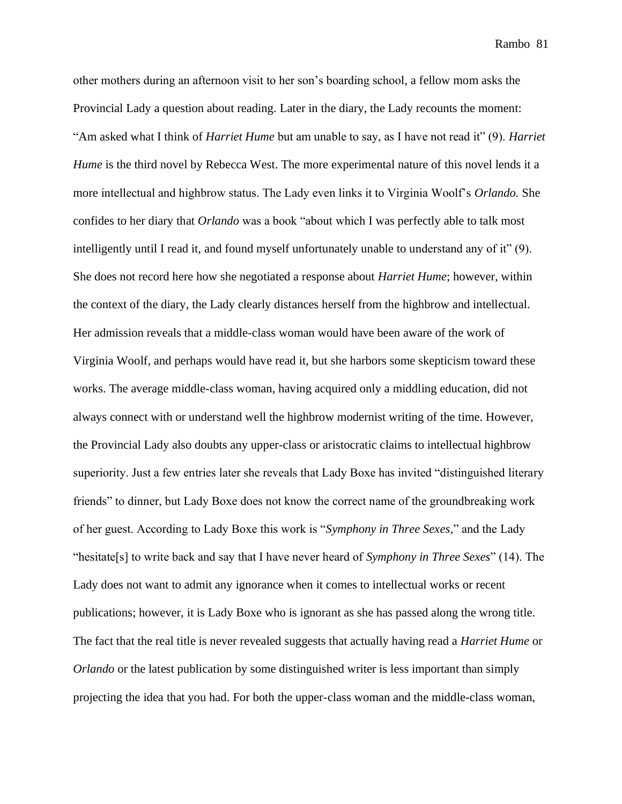other mothers during an afternoon visit to her son's boarding school, a fellow mom asks the Provincial Lady a question about reading. Later in the diary, the Lady recounts the moment: "Am asked what I think of *Harriet Hume* but am unable to say, as I have not read it" (9). *Harriet Hume* is the third novel by Rebecca West. The more experimental nature of this novel lends it a more intellectual and highbrow status. The Lady even links it to Virginia Woolf's *Orlando.* She confides to her diary that *Orlando* was a book "about which I was perfectly able to talk most intelligently until I read it, and found myself unfortunately unable to understand any of it" (9). She does not record here how she negotiated a response about *Harriet Hume*; however, within the context of the diary, the Lady clearly distances herself from the highbrow and intellectual. Her admission reveals that a middle-class woman would have been aware of the work of Virginia Woolf, and perhaps would have read it, but she harbors some skepticism toward these works. The average middle-class woman, having acquired only a middling education, did not always connect with or understand well the highbrow modernist writing of the time. However, the Provincial Lady also doubts any upper-class or aristocratic claims to intellectual highbrow superiority. Just a few entries later she reveals that Lady Boxe has invited "distinguished literary friends" to dinner, but Lady Boxe does not know the correct name of the groundbreaking work of her guest. According to Lady Boxe this work is "*Symphony in Three Sexes,*" and the Lady "hesitate[s] to write back and say that I have never heard of *Symphony in Three Sexes*" (14). The Lady does not want to admit any ignorance when it comes to intellectual works or recent publications; however, it is Lady Boxe who is ignorant as she has passed along the wrong title. The fact that the real title is never revealed suggests that actually having read a *Harriet Hume* or *Orlando* or the latest publication by some distinguished writer is less important than simply projecting the idea that you had. For both the upper-class woman and the middle-class woman,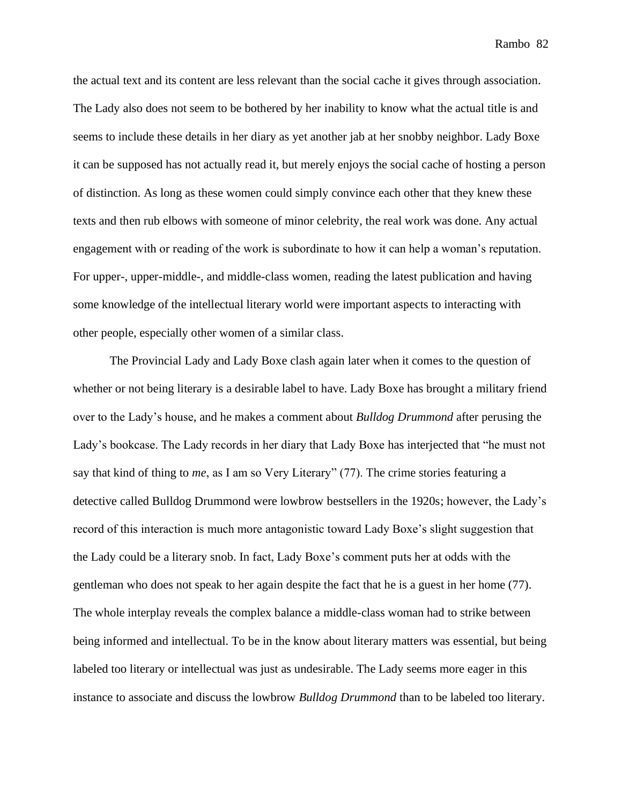the actual text and its content are less relevant than the social cache it gives through association. The Lady also does not seem to be bothered by her inability to know what the actual title is and seems to include these details in her diary as yet another jab at her snobby neighbor. Lady Boxe it can be supposed has not actually read it, but merely enjoys the social cache of hosting a person of distinction. As long as these women could simply convince each other that they knew these texts and then rub elbows with someone of minor celebrity, the real work was done. Any actual engagement with or reading of the work is subordinate to how it can help a woman's reputation. For upper-, upper-middle-, and middle-class women, reading the latest publication and having some knowledge of the intellectual literary world were important aspects to interacting with other people, especially other women of a similar class.

The Provincial Lady and Lady Boxe clash again later when it comes to the question of whether or not being literary is a desirable label to have. Lady Boxe has brought a military friend over to the Lady's house, and he makes a comment about *Bulldog Drummond* after perusing the Lady's bookcase. The Lady records in her diary that Lady Boxe has interjected that "he must not say that kind of thing to *me*, as I am so Very Literary" (77). The crime stories featuring a detective called Bulldog Drummond were lowbrow bestsellers in the 1920s; however, the Lady's record of this interaction is much more antagonistic toward Lady Boxe's slight suggestion that the Lady could be a literary snob. In fact, Lady Boxe's comment puts her at odds with the gentleman who does not speak to her again despite the fact that he is a guest in her home (77). The whole interplay reveals the complex balance a middle-class woman had to strike between being informed and intellectual. To be in the know about literary matters was essential, but being labeled too literary or intellectual was just as undesirable. The Lady seems more eager in this instance to associate and discuss the lowbrow *Bulldog Drummond* than to be labeled too literary.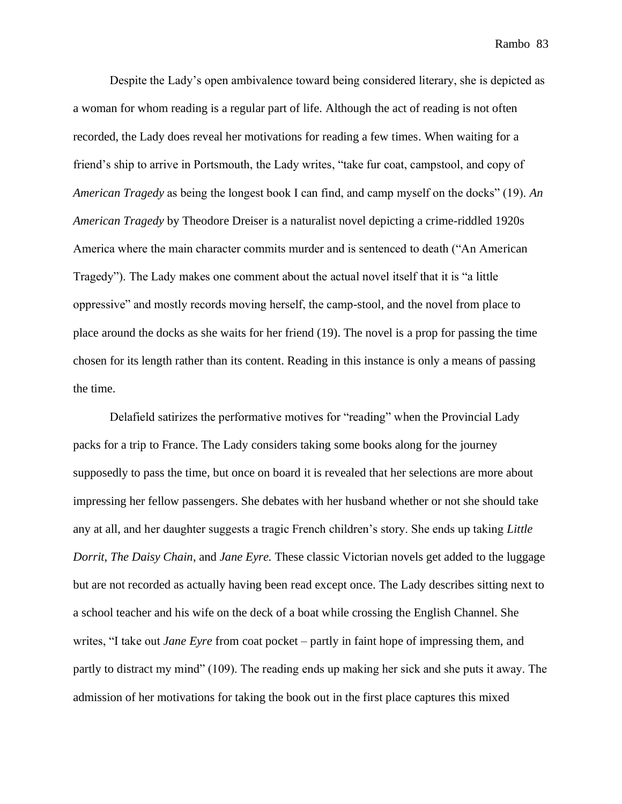Despite the Lady's open ambivalence toward being considered literary, she is depicted as a woman for whom reading is a regular part of life. Although the act of reading is not often recorded, the Lady does reveal her motivations for reading a few times. When waiting for a friend's ship to arrive in Portsmouth, the Lady writes, "take fur coat, campstool, and copy of *American Tragedy* as being the longest book I can find, and camp myself on the docks" (19). *An American Tragedy* by Theodore Dreiser is a naturalist novel depicting a crime-riddled 1920s America where the main character commits murder and is sentenced to death ("An American Tragedy"). The Lady makes one comment about the actual novel itself that it is "a little oppressive" and mostly records moving herself, the camp-stool, and the novel from place to place around the docks as she waits for her friend (19). The novel is a prop for passing the time chosen for its length rather than its content. Reading in this instance is only a means of passing the time.

Delafield satirizes the performative motives for "reading" when the Provincial Lady packs for a trip to France. The Lady considers taking some books along for the journey supposedly to pass the time, but once on board it is revealed that her selections are more about impressing her fellow passengers. She debates with her husband whether or not she should take any at all, and her daughter suggests a tragic French children's story. She ends up taking *Little Dorrit*, *The Daisy Chain*, and *Jane Eyre.* These classic Victorian novels get added to the luggage but are not recorded as actually having been read except once. The Lady describes sitting next to a school teacher and his wife on the deck of a boat while crossing the English Channel. She writes, "I take out *Jane Eyre* from coat pocket – partly in faint hope of impressing them, and partly to distract my mind" (109). The reading ends up making her sick and she puts it away. The admission of her motivations for taking the book out in the first place captures this mixed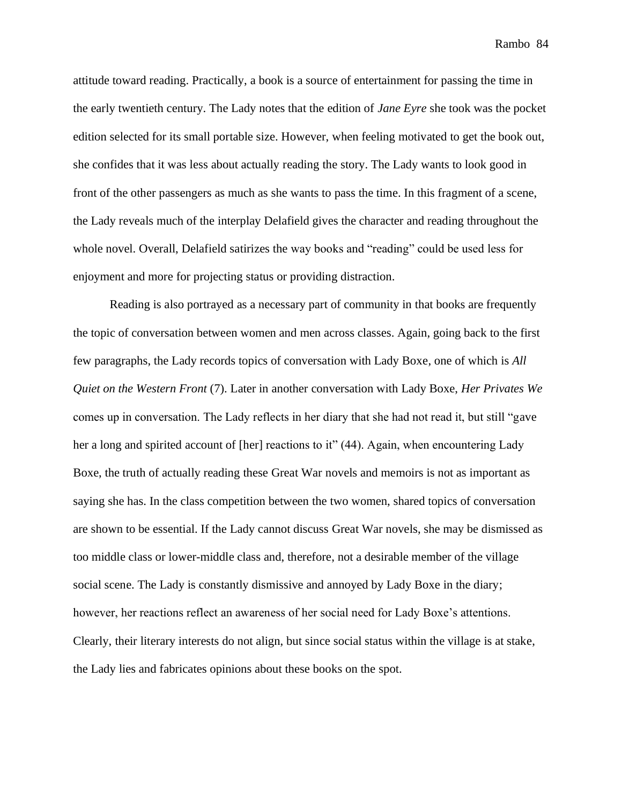attitude toward reading. Practically, a book is a source of entertainment for passing the time in the early twentieth century. The Lady notes that the edition of *Jane Eyre* she took was the pocket edition selected for its small portable size. However, when feeling motivated to get the book out, she confides that it was less about actually reading the story. The Lady wants to look good in front of the other passengers as much as she wants to pass the time. In this fragment of a scene, the Lady reveals much of the interplay Delafield gives the character and reading throughout the whole novel. Overall, Delafield satirizes the way books and "reading" could be used less for enjoyment and more for projecting status or providing distraction.

Reading is also portrayed as a necessary part of community in that books are frequently the topic of conversation between women and men across classes. Again, going back to the first few paragraphs, the Lady records topics of conversation with Lady Boxe, one of which is *All Quiet on the Western Front* (7). Later in another conversation with Lady Boxe, *Her Privates We* comes up in conversation. The Lady reflects in her diary that she had not read it, but still "gave her a long and spirited account of [her] reactions to it" (44). Again, when encountering Lady Boxe, the truth of actually reading these Great War novels and memoirs is not as important as saying she has. In the class competition between the two women, shared topics of conversation are shown to be essential. If the Lady cannot discuss Great War novels, she may be dismissed as too middle class or lower-middle class and, therefore, not a desirable member of the village social scene. The Lady is constantly dismissive and annoyed by Lady Boxe in the diary; however, her reactions reflect an awareness of her social need for Lady Boxe's attentions. Clearly, their literary interests do not align, but since social status within the village is at stake, the Lady lies and fabricates opinions about these books on the spot.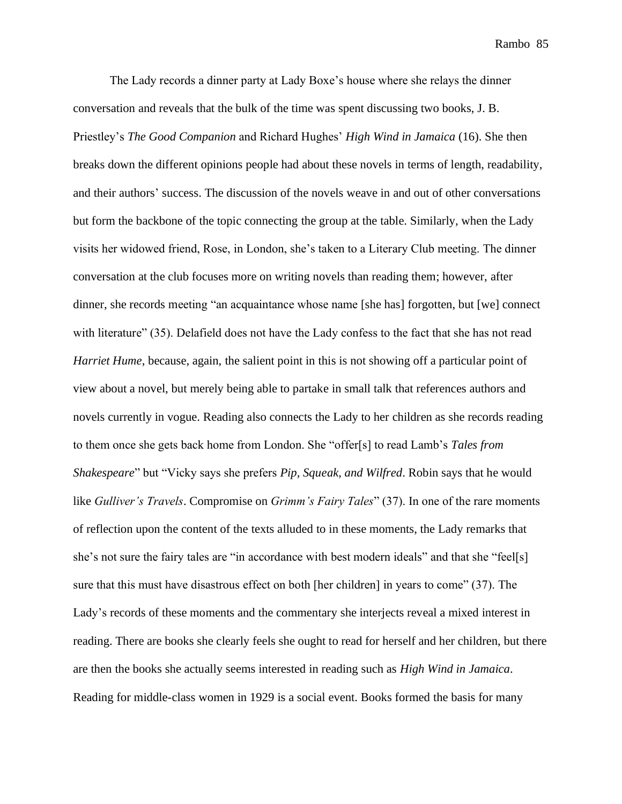The Lady records a dinner party at Lady Boxe's house where she relays the dinner conversation and reveals that the bulk of the time was spent discussing two books, J. B. Priestley's *The Good Companion* and Richard Hughes' *High Wind in Jamaica* (16). She then breaks down the different opinions people had about these novels in terms of length, readability, and their authors' success. The discussion of the novels weave in and out of other conversations but form the backbone of the topic connecting the group at the table. Similarly, when the Lady visits her widowed friend, Rose, in London, she's taken to a Literary Club meeting. The dinner conversation at the club focuses more on writing novels than reading them; however, after dinner, she records meeting "an acquaintance whose name [she has] forgotten, but [we] connect with literature" (35). Delafield does not have the Lady confess to the fact that she has not read *Harriet Hume*, because, again, the salient point in this is not showing off a particular point of view about a novel, but merely being able to partake in small talk that references authors and novels currently in vogue. Reading also connects the Lady to her children as she records reading to them once she gets back home from London. She "offer[s] to read Lamb's *Tales from Shakespeare*" but "Vicky says she prefers *Pip, Squeak, and Wilfred*. Robin says that he would like *Gulliver's Travels*. Compromise on *Grimm's Fairy Tales*" (37). In one of the rare moments of reflection upon the content of the texts alluded to in these moments, the Lady remarks that she's not sure the fairy tales are "in accordance with best modern ideals" and that she "feel[s] sure that this must have disastrous effect on both [her children] in years to come" (37). The Lady's records of these moments and the commentary she interjects reveal a mixed interest in reading. There are books she clearly feels she ought to read for herself and her children, but there are then the books she actually seems interested in reading such as *High Wind in Jamaica*. Reading for middle-class women in 1929 is a social event. Books formed the basis for many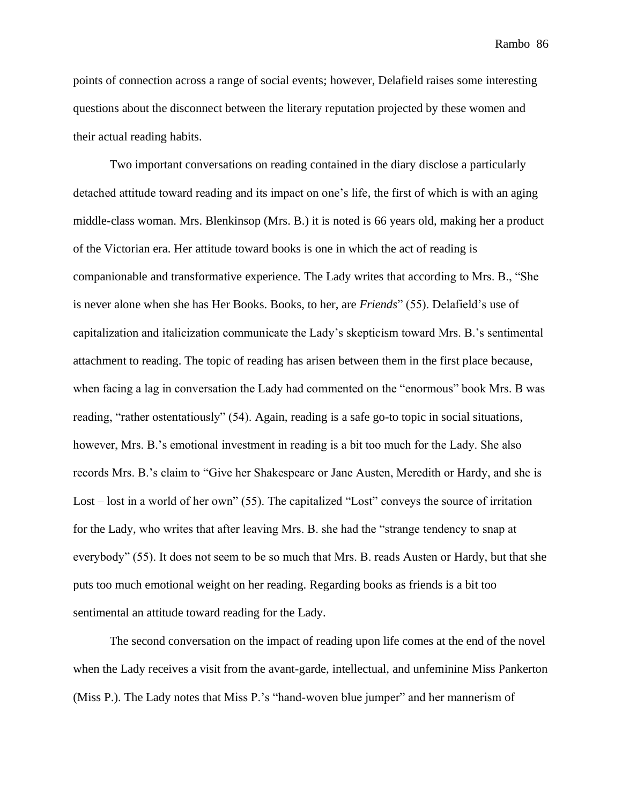points of connection across a range of social events; however, Delafield raises some interesting questions about the disconnect between the literary reputation projected by these women and their actual reading habits.

Two important conversations on reading contained in the diary disclose a particularly detached attitude toward reading and its impact on one's life, the first of which is with an aging middle-class woman. Mrs. Blenkinsop (Mrs. B.) it is noted is 66 years old, making her a product of the Victorian era. Her attitude toward books is one in which the act of reading is companionable and transformative experience. The Lady writes that according to Mrs. B., "She is never alone when she has Her Books. Books, to her, are *Friends*" (55). Delafield's use of capitalization and italicization communicate the Lady's skepticism toward Mrs. B.'s sentimental attachment to reading. The topic of reading has arisen between them in the first place because, when facing a lag in conversation the Lady had commented on the "enormous" book Mrs. B was reading, "rather ostentatiously" (54). Again, reading is a safe go-to topic in social situations, however, Mrs. B.'s emotional investment in reading is a bit too much for the Lady. She also records Mrs. B.'s claim to "Give her Shakespeare or Jane Austen, Meredith or Hardy, and she is Lost – lost in a world of her own" (55). The capitalized "Lost" conveys the source of irritation for the Lady, who writes that after leaving Mrs. B. she had the "strange tendency to snap at everybody" (55). It does not seem to be so much that Mrs. B. reads Austen or Hardy, but that she puts too much emotional weight on her reading. Regarding books as friends is a bit too sentimental an attitude toward reading for the Lady.

The second conversation on the impact of reading upon life comes at the end of the novel when the Lady receives a visit from the avant-garde, intellectual, and unfeminine Miss Pankerton (Miss P.). The Lady notes that Miss P.'s "hand-woven blue jumper" and her mannerism of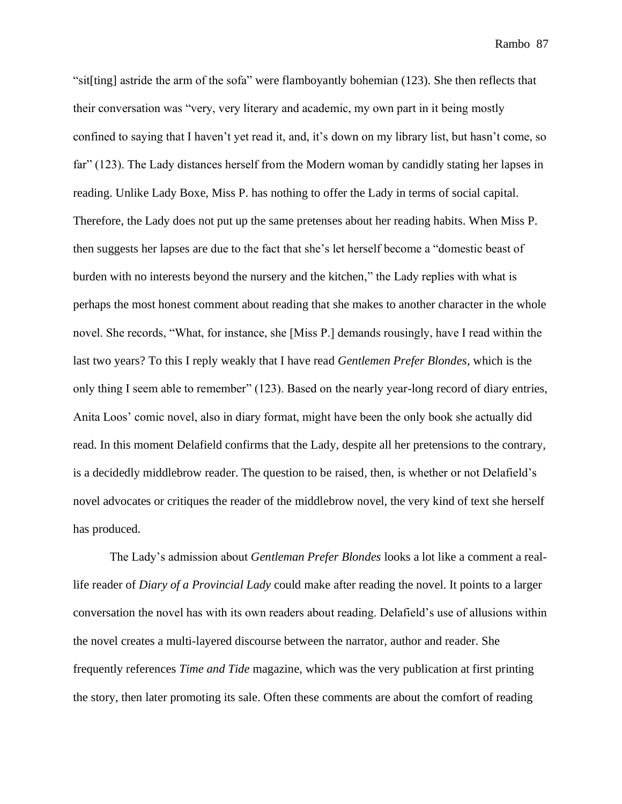"sit[ting] astride the arm of the sofa" were flamboyantly bohemian (123). She then reflects that their conversation was "very, very literary and academic, my own part in it being mostly confined to saying that I haven't yet read it, and, it's down on my library list, but hasn't come, so far" (123). The Lady distances herself from the Modern woman by candidly stating her lapses in reading. Unlike Lady Boxe, Miss P. has nothing to offer the Lady in terms of social capital. Therefore, the Lady does not put up the same pretenses about her reading habits. When Miss P. then suggests her lapses are due to the fact that she's let herself become a "domestic beast of burden with no interests beyond the nursery and the kitchen," the Lady replies with what is perhaps the most honest comment about reading that she makes to another character in the whole novel. She records, "What, for instance, she [Miss P.] demands rousingly, have I read within the last two years? To this I reply weakly that I have read *Gentlemen Prefer Blondes*, which is the only thing I seem able to remember" (123). Based on the nearly year-long record of diary entries, Anita Loos' comic novel, also in diary format, might have been the only book she actually did read. In this moment Delafield confirms that the Lady, despite all her pretensions to the contrary, is a decidedly middlebrow reader. The question to be raised, then, is whether or not Delafield's novel advocates or critiques the reader of the middlebrow novel, the very kind of text she herself has produced.

The Lady's admission about *Gentleman Prefer Blondes* looks a lot like a comment a reallife reader of *Diary of a Provincial Lady* could make after reading the novel. It points to a larger conversation the novel has with its own readers about reading. Delafield's use of allusions within the novel creates a multi-layered discourse between the narrator, author and reader. She frequently references *Time and Tide* magazine, which was the very publication at first printing the story, then later promoting its sale. Often these comments are about the comfort of reading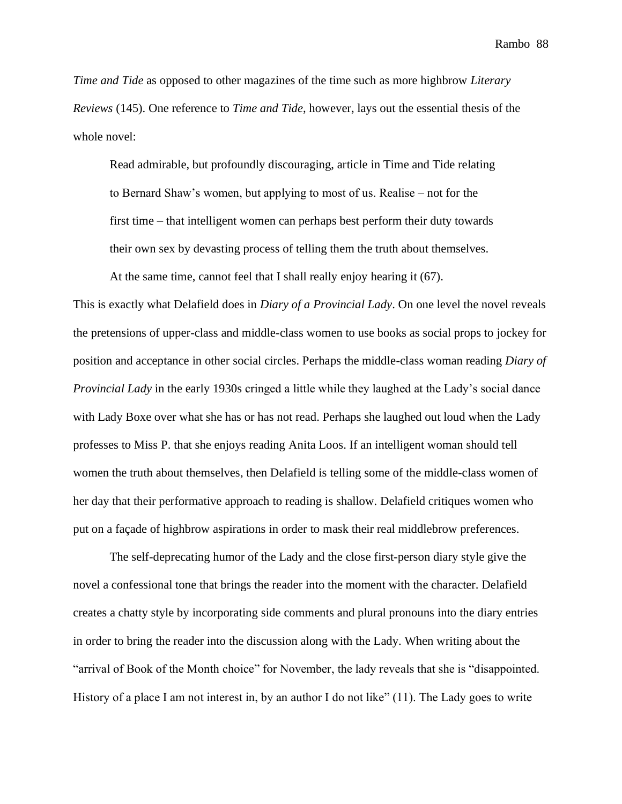*Time and Tide* as opposed to other magazines of the time such as more highbrow *Literary Reviews* (145). One reference to *Time and Tide*, however, lays out the essential thesis of the whole novel:

Read admirable, but profoundly discouraging, article in Time and Tide relating to Bernard Shaw's women, but applying to most of us. Realise – not for the first time – that intelligent women can perhaps best perform their duty towards their own sex by devasting process of telling them the truth about themselves.

At the same time, cannot feel that I shall really enjoy hearing it (67).

This is exactly what Delafield does in *Diary of a Provincial Lady*. On one level the novel reveals the pretensions of upper-class and middle-class women to use books as social props to jockey for position and acceptance in other social circles. Perhaps the middle-class woman reading *Diary of Provincial Lady* in the early 1930s cringed a little while they laughed at the Lady's social dance with Lady Boxe over what she has or has not read. Perhaps she laughed out loud when the Lady professes to Miss P. that she enjoys reading Anita Loos. If an intelligent woman should tell women the truth about themselves, then Delafield is telling some of the middle-class women of her day that their performative approach to reading is shallow. Delafield critiques women who put on a façade of highbrow aspirations in order to mask their real middlebrow preferences.

The self-deprecating humor of the Lady and the close first-person diary style give the novel a confessional tone that brings the reader into the moment with the character. Delafield creates a chatty style by incorporating side comments and plural pronouns into the diary entries in order to bring the reader into the discussion along with the Lady. When writing about the "arrival of Book of the Month choice" for November, the lady reveals that she is "disappointed. History of a place I am not interest in, by an author I do not like" (11). The Lady goes to write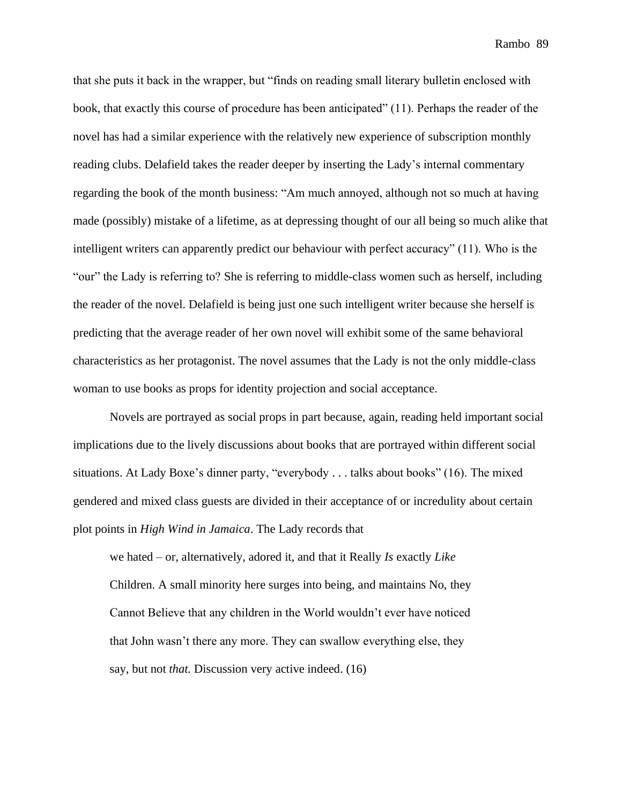that she puts it back in the wrapper, but "finds on reading small literary bulletin enclosed with book, that exactly this course of procedure has been anticipated" (11). Perhaps the reader of the novel has had a similar experience with the relatively new experience of subscription monthly reading clubs. Delafield takes the reader deeper by inserting the Lady's internal commentary regarding the book of the month business: "Am much annoyed, although not so much at having made (possibly) mistake of a lifetime, as at depressing thought of our all being so much alike that intelligent writers can apparently predict our behaviour with perfect accuracy" (11). Who is the "our" the Lady is referring to? She is referring to middle-class women such as herself, including the reader of the novel. Delafield is being just one such intelligent writer because she herself is predicting that the average reader of her own novel will exhibit some of the same behavioral characteristics as her protagonist. The novel assumes that the Lady is not the only middle-class woman to use books as props for identity projection and social acceptance.

Novels are portrayed as social props in part because, again, reading held important social implications due to the lively discussions about books that are portrayed within different social situations. At Lady Boxe's dinner party, "everybody . . . talks about books" (16). The mixed gendered and mixed class guests are divided in their acceptance of or incredulity about certain plot points in *High Wind in Jamaica*. The Lady records that

we hated – or, alternatively, adored it, and that it Really *Is* exactly *Like* Children. A small minority here surges into being, and maintains No, they Cannot Believe that any children in the World wouldn't ever have noticed that John wasn't there any more. They can swallow everything else, they say, but not *that.* Discussion very active indeed. (16)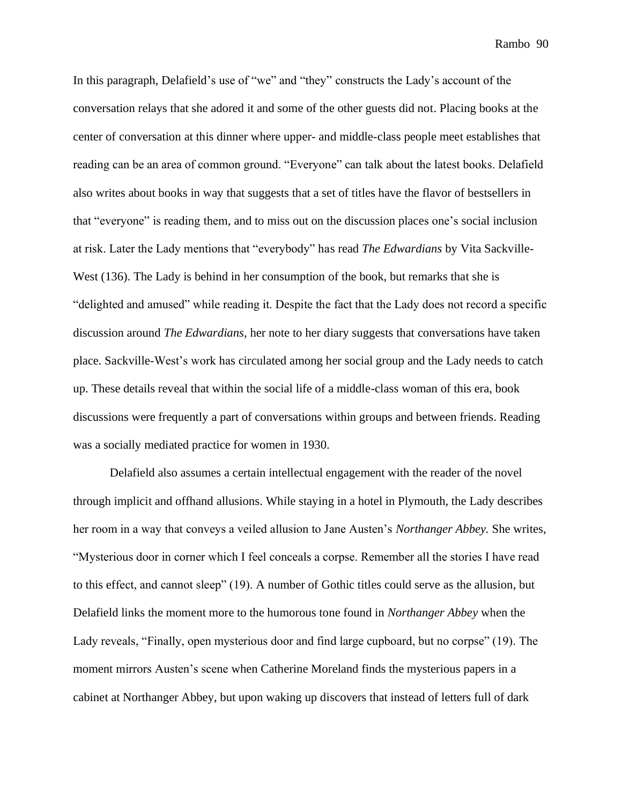In this paragraph, Delafield's use of "we" and "they" constructs the Lady's account of the conversation relays that she adored it and some of the other guests did not. Placing books at the center of conversation at this dinner where upper- and middle-class people meet establishes that reading can be an area of common ground. "Everyone" can talk about the latest books. Delafield also writes about books in way that suggests that a set of titles have the flavor of bestsellers in that "everyone" is reading them, and to miss out on the discussion places one's social inclusion at risk. Later the Lady mentions that "everybody" has read *The Edwardians* by Vita Sackville-West (136). The Lady is behind in her consumption of the book, but remarks that she is "delighted and amused" while reading it. Despite the fact that the Lady does not record a specific discussion around *The Edwardians*, her note to her diary suggests that conversations have taken place. Sackville-West's work has circulated among her social group and the Lady needs to catch up. These details reveal that within the social life of a middle-class woman of this era, book discussions were frequently a part of conversations within groups and between friends. Reading was a socially mediated practice for women in 1930.

Delafield also assumes a certain intellectual engagement with the reader of the novel through implicit and offhand allusions. While staying in a hotel in Plymouth, the Lady describes her room in a way that conveys a veiled allusion to Jane Austen's *Northanger Abbey.* She writes, "Mysterious door in corner which I feel conceals a corpse. Remember all the stories I have read to this effect, and cannot sleep" (19). A number of Gothic titles could serve as the allusion, but Delafield links the moment more to the humorous tone found in *Northanger Abbey* when the Lady reveals, "Finally, open mysterious door and find large cupboard, but no corpse" (19). The moment mirrors Austen's scene when Catherine Moreland finds the mysterious papers in a cabinet at Northanger Abbey, but upon waking up discovers that instead of letters full of dark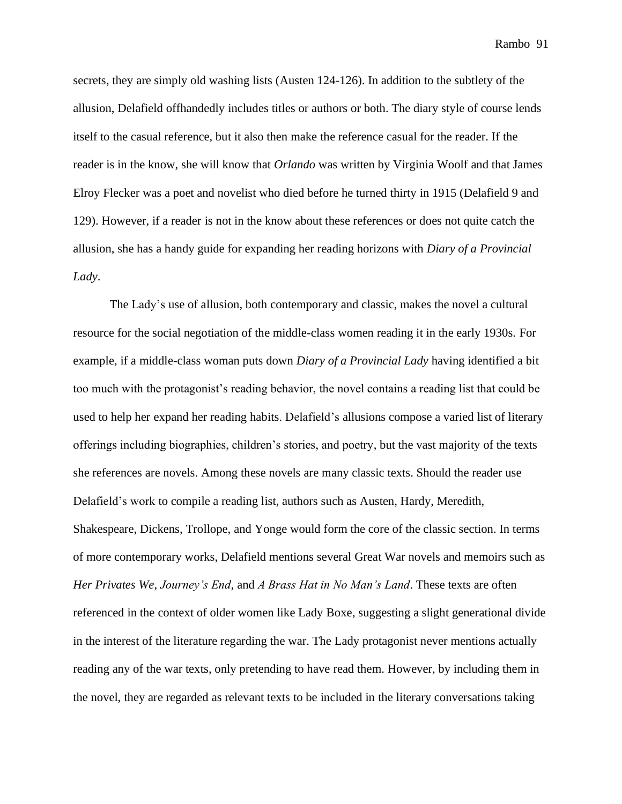secrets, they are simply old washing lists (Austen 124-126). In addition to the subtlety of the allusion, Delafield offhandedly includes titles or authors or both. The diary style of course lends itself to the casual reference, but it also then make the reference casual for the reader. If the reader is in the know, she will know that *Orlando* was written by Virginia Woolf and that James Elroy Flecker was a poet and novelist who died before he turned thirty in 1915 (Delafield 9 and 129). However, if a reader is not in the know about these references or does not quite catch the allusion, she has a handy guide for expanding her reading horizons with *Diary of a Provincial Lady*.

The Lady's use of allusion, both contemporary and classic, makes the novel a cultural resource for the social negotiation of the middle-class women reading it in the early 1930s. For example, if a middle-class woman puts down *Diary of a Provincial Lady* having identified a bit too much with the protagonist's reading behavior, the novel contains a reading list that could be used to help her expand her reading habits. Delafield's allusions compose a varied list of literary offerings including biographies, children's stories, and poetry, but the vast majority of the texts she references are novels. Among these novels are many classic texts. Should the reader use Delafield's work to compile a reading list, authors such as Austen, Hardy, Meredith, Shakespeare, Dickens, Trollope, and Yonge would form the core of the classic section. In terms of more contemporary works, Delafield mentions several Great War novels and memoirs such as *Her Privates We*, *Journey's End,* and *A Brass Hat in No Man's Land*. These texts are often referenced in the context of older women like Lady Boxe, suggesting a slight generational divide in the interest of the literature regarding the war. The Lady protagonist never mentions actually reading any of the war texts, only pretending to have read them. However, by including them in the novel, they are regarded as relevant texts to be included in the literary conversations taking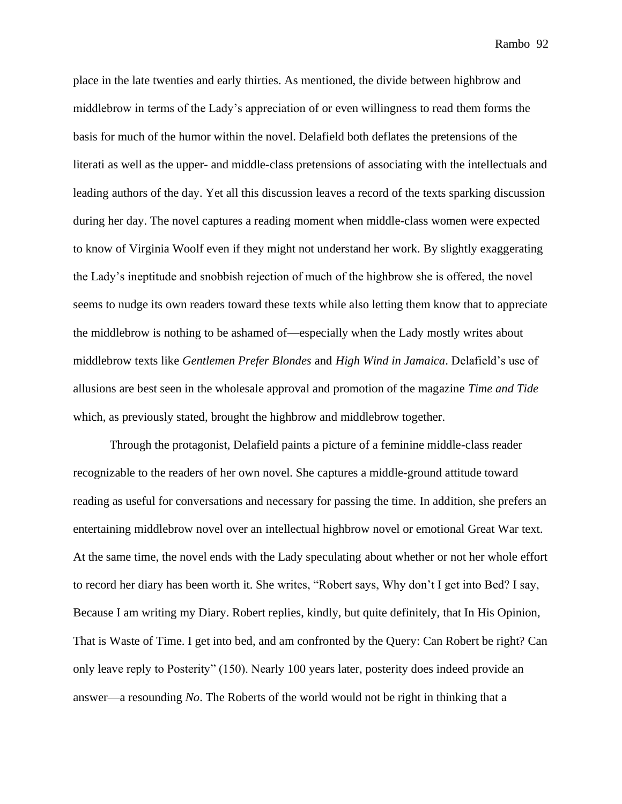place in the late twenties and early thirties. As mentioned, the divide between highbrow and middlebrow in terms of the Lady's appreciation of or even willingness to read them forms the basis for much of the humor within the novel. Delafield both deflates the pretensions of the literati as well as the upper- and middle-class pretensions of associating with the intellectuals and leading authors of the day. Yet all this discussion leaves a record of the texts sparking discussion during her day. The novel captures a reading moment when middle-class women were expected to know of Virginia Woolf even if they might not understand her work. By slightly exaggerating the Lady's ineptitude and snobbish rejection of much of the highbrow she is offered, the novel seems to nudge its own readers toward these texts while also letting them know that to appreciate the middlebrow is nothing to be ashamed of—especially when the Lady mostly writes about middlebrow texts like *Gentlemen Prefer Blondes* and *High Wind in Jamaica*. Delafield's use of allusions are best seen in the wholesale approval and promotion of the magazine *Time and Tide* which, as previously stated, brought the highbrow and middlebrow together.

Through the protagonist, Delafield paints a picture of a feminine middle-class reader recognizable to the readers of her own novel. She captures a middle-ground attitude toward reading as useful for conversations and necessary for passing the time. In addition, she prefers an entertaining middlebrow novel over an intellectual highbrow novel or emotional Great War text. At the same time, the novel ends with the Lady speculating about whether or not her whole effort to record her diary has been worth it. She writes, "Robert says, Why don't I get into Bed? I say, Because I am writing my Diary. Robert replies, kindly, but quite definitely, that In His Opinion, That is Waste of Time. I get into bed, and am confronted by the Query: Can Robert be right? Can only leave reply to Posterity" (150). Nearly 100 years later, posterity does indeed provide an answer—a resounding *No*. The Roberts of the world would not be right in thinking that a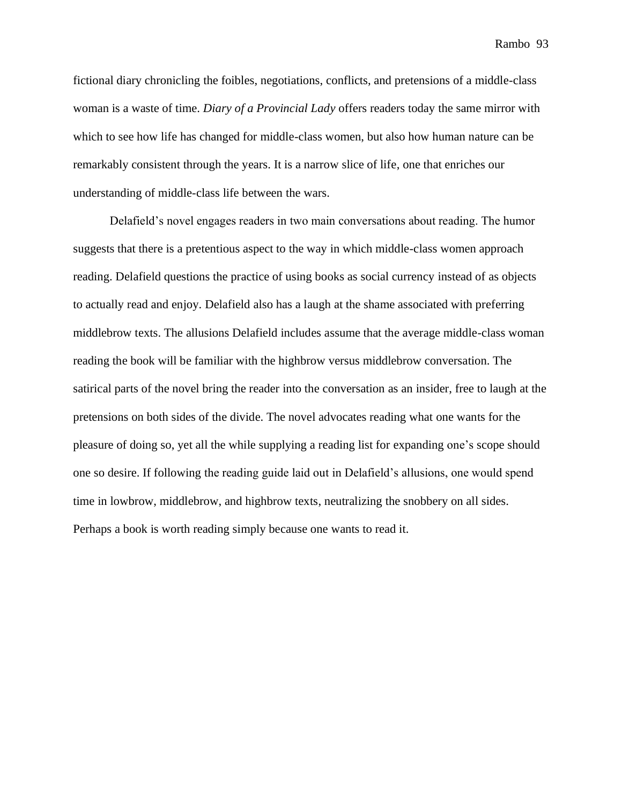fictional diary chronicling the foibles, negotiations, conflicts, and pretensions of a middle-class woman is a waste of time. *Diary of a Provincial Lady* offers readers today the same mirror with which to see how life has changed for middle-class women, but also how human nature can be remarkably consistent through the years. It is a narrow slice of life, one that enriches our understanding of middle-class life between the wars.

Delafield's novel engages readers in two main conversations about reading. The humor suggests that there is a pretentious aspect to the way in which middle-class women approach reading. Delafield questions the practice of using books as social currency instead of as objects to actually read and enjoy. Delafield also has a laugh at the shame associated with preferring middlebrow texts. The allusions Delafield includes assume that the average middle-class woman reading the book will be familiar with the highbrow versus middlebrow conversation. The satirical parts of the novel bring the reader into the conversation as an insider, free to laugh at the pretensions on both sides of the divide. The novel advocates reading what one wants for the pleasure of doing so, yet all the while supplying a reading list for expanding one's scope should one so desire. If following the reading guide laid out in Delafield's allusions, one would spend time in lowbrow, middlebrow, and highbrow texts, neutralizing the snobbery on all sides. Perhaps a book is worth reading simply because one wants to read it.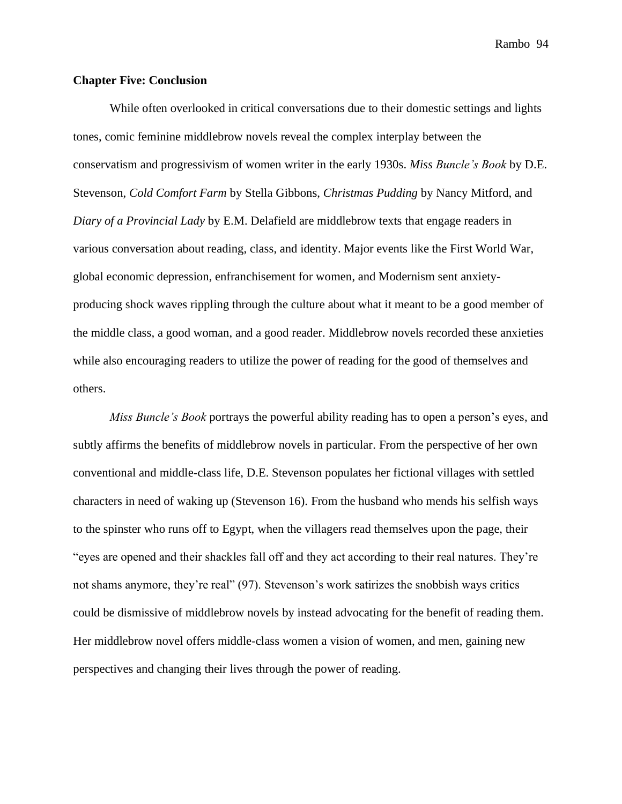### **Chapter Five: Conclusion**

While often overlooked in critical conversations due to their domestic settings and lights tones, comic feminine middlebrow novels reveal the complex interplay between the conservatism and progressivism of women writer in the early 1930s. *Miss Buncle's Book* by D.E. Stevenson, *Cold Comfort Farm* by Stella Gibbons, *Christmas Pudding* by Nancy Mitford, and *Diary of a Provincial Lady* by E.M. Delafield are middlebrow texts that engage readers in various conversation about reading, class, and identity. Major events like the First World War, global economic depression, enfranchisement for women, and Modernism sent anxietyproducing shock waves rippling through the culture about what it meant to be a good member of the middle class, a good woman, and a good reader. Middlebrow novels recorded these anxieties while also encouraging readers to utilize the power of reading for the good of themselves and others.

*Miss Buncle's Book* portrays the powerful ability reading has to open a person's eyes, and subtly affirms the benefits of middlebrow novels in particular. From the perspective of her own conventional and middle-class life, D.E. Stevenson populates her fictional villages with settled characters in need of waking up (Stevenson 16). From the husband who mends his selfish ways to the spinster who runs off to Egypt, when the villagers read themselves upon the page, their "eyes are opened and their shackles fall off and they act according to their real natures. They're not shams anymore, they're real" (97). Stevenson's work satirizes the snobbish ways critics could be dismissive of middlebrow novels by instead advocating for the benefit of reading them. Her middlebrow novel offers middle-class women a vision of women, and men, gaining new perspectives and changing their lives through the power of reading.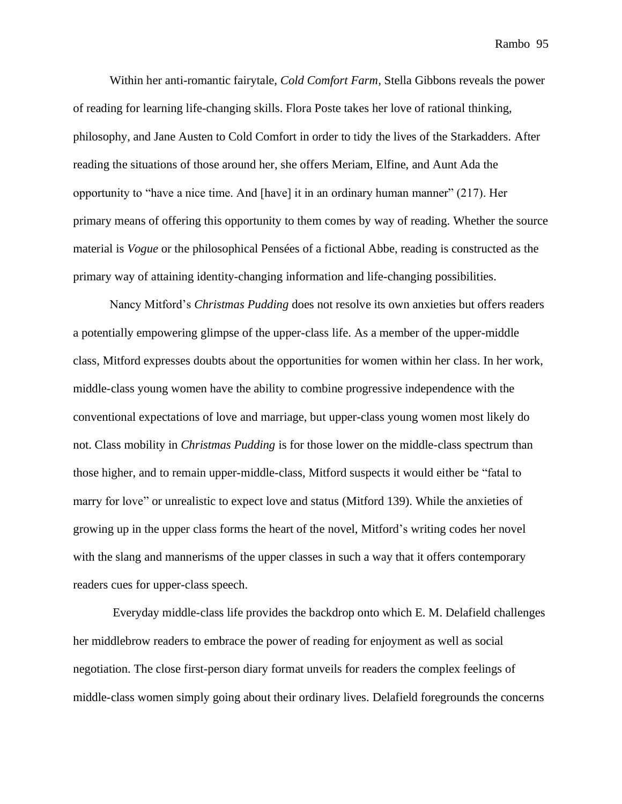Within her anti-romantic fairytale, *Cold Comfort Farm,* Stella Gibbons reveals the power of reading for learning life-changing skills. Flora Poste takes her love of rational thinking, philosophy, and Jane Austen to Cold Comfort in order to tidy the lives of the Starkadders. After reading the situations of those around her, she offers Meriam, Elfine, and Aunt Ada the opportunity to "have a nice time. And [have] it in an ordinary human manner" (217). Her primary means of offering this opportunity to them comes by way of reading. Whether the source material is *Vogue* or the philosophical Pensées of a fictional Abbe, reading is constructed as the primary way of attaining identity-changing information and life-changing possibilities.

Nancy Mitford's *Christmas Pudding* does not resolve its own anxieties but offers readers a potentially empowering glimpse of the upper-class life. As a member of the upper-middle class, Mitford expresses doubts about the opportunities for women within her class. In her work, middle-class young women have the ability to combine progressive independence with the conventional expectations of love and marriage, but upper-class young women most likely do not. Class mobility in *Christmas Pudding* is for those lower on the middle-class spectrum than those higher, and to remain upper-middle-class, Mitford suspects it would either be "fatal to marry for love" or unrealistic to expect love and status (Mitford 139). While the anxieties of growing up in the upper class forms the heart of the novel, Mitford's writing codes her novel with the slang and mannerisms of the upper classes in such a way that it offers contemporary readers cues for upper-class speech.

Everyday middle-class life provides the backdrop onto which E. M. Delafield challenges her middlebrow readers to embrace the power of reading for enjoyment as well as social negotiation. The close first-person diary format unveils for readers the complex feelings of middle-class women simply going about their ordinary lives. Delafield foregrounds the concerns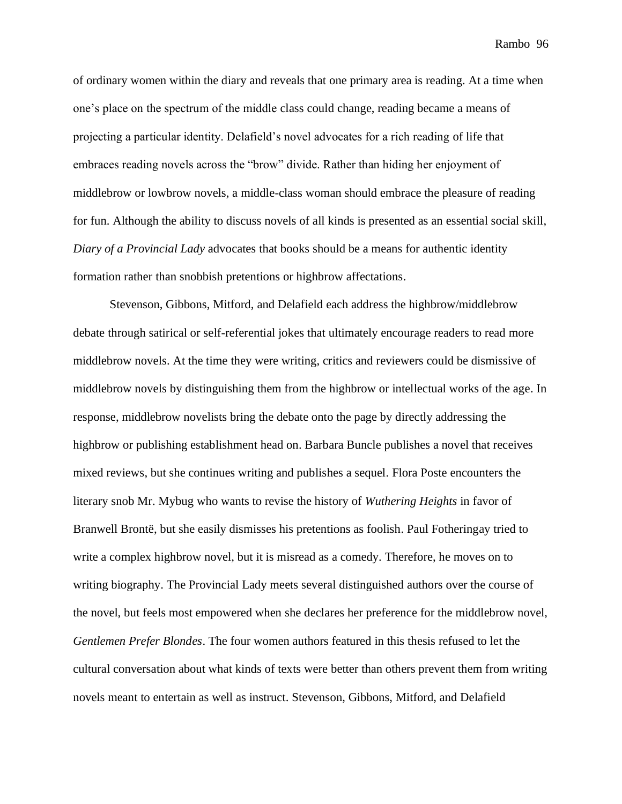of ordinary women within the diary and reveals that one primary area is reading. At a time when one's place on the spectrum of the middle class could change, reading became a means of projecting a particular identity. Delafield's novel advocates for a rich reading of life that embraces reading novels across the "brow" divide. Rather than hiding her enjoyment of middlebrow or lowbrow novels, a middle-class woman should embrace the pleasure of reading for fun. Although the ability to discuss novels of all kinds is presented as an essential social skill, *Diary of a Provincial Lady* advocates that books should be a means for authentic identity formation rather than snobbish pretentions or highbrow affectations.

Stevenson, Gibbons, Mitford, and Delafield each address the highbrow/middlebrow debate through satirical or self-referential jokes that ultimately encourage readers to read more middlebrow novels. At the time they were writing, critics and reviewers could be dismissive of middlebrow novels by distinguishing them from the highbrow or intellectual works of the age. In response, middlebrow novelists bring the debate onto the page by directly addressing the highbrow or publishing establishment head on. Barbara Buncle publishes a novel that receives mixed reviews, but she continues writing and publishes a sequel. Flora Poste encounters the literary snob Mr. Mybug who wants to revise the history of *Wuthering Heights* in favor of Branwell Brontë, but she easily dismisses his pretentions as foolish. Paul Fotheringay tried to write a complex highbrow novel, but it is misread as a comedy. Therefore, he moves on to writing biography. The Provincial Lady meets several distinguished authors over the course of the novel, but feels most empowered when she declares her preference for the middlebrow novel, *Gentlemen Prefer Blondes*. The four women authors featured in this thesis refused to let the cultural conversation about what kinds of texts were better than others prevent them from writing novels meant to entertain as well as instruct. Stevenson, Gibbons, Mitford, and Delafield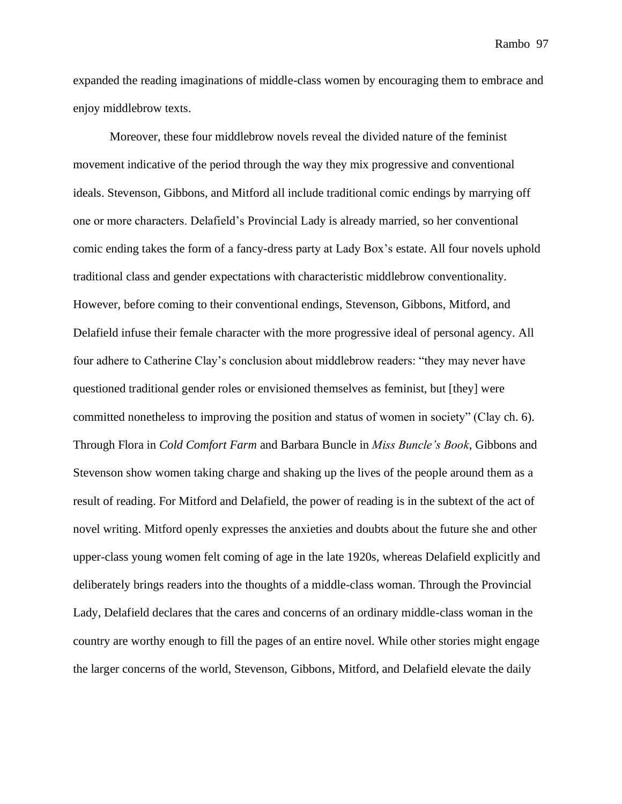expanded the reading imaginations of middle-class women by encouraging them to embrace and enjoy middlebrow texts.

Moreover, these four middlebrow novels reveal the divided nature of the feminist movement indicative of the period through the way they mix progressive and conventional ideals. Stevenson, Gibbons, and Mitford all include traditional comic endings by marrying off one or more characters. Delafield's Provincial Lady is already married, so her conventional comic ending takes the form of a fancy-dress party at Lady Box's estate. All four novels uphold traditional class and gender expectations with characteristic middlebrow conventionality. However, before coming to their conventional endings, Stevenson, Gibbons, Mitford, and Delafield infuse their female character with the more progressive ideal of personal agency. All four adhere to Catherine Clay's conclusion about middlebrow readers: "they may never have questioned traditional gender roles or envisioned themselves as feminist, but [they] were committed nonetheless to improving the position and status of women in society" (Clay ch. 6). Through Flora in *Cold Comfort Farm* and Barbara Buncle in *Miss Buncle's Book*, Gibbons and Stevenson show women taking charge and shaking up the lives of the people around them as a result of reading. For Mitford and Delafield, the power of reading is in the subtext of the act of novel writing. Mitford openly expresses the anxieties and doubts about the future she and other upper-class young women felt coming of age in the late 1920s, whereas Delafield explicitly and deliberately brings readers into the thoughts of a middle-class woman. Through the Provincial Lady, Delafield declares that the cares and concerns of an ordinary middle-class woman in the country are worthy enough to fill the pages of an entire novel. While other stories might engage the larger concerns of the world, Stevenson, Gibbons, Mitford, and Delafield elevate the daily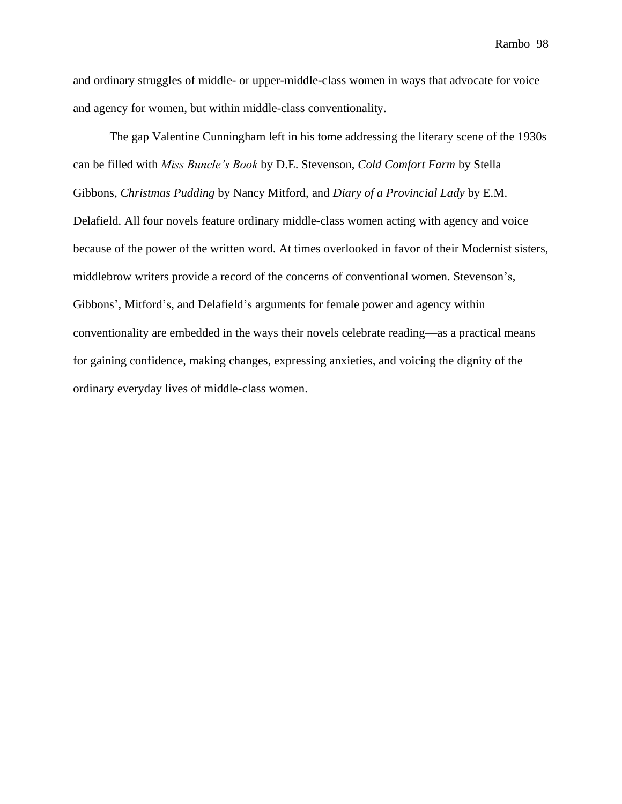and ordinary struggles of middle- or upper-middle-class women in ways that advocate for voice and agency for women, but within middle-class conventionality.

The gap Valentine Cunningham left in his tome addressing the literary scene of the 1930s can be filled with *Miss Buncle's Book* by D.E. Stevenson, *Cold Comfort Farm* by Stella Gibbons, *Christmas Pudding* by Nancy Mitford, and *Diary of a Provincial Lady* by E.M. Delafield. All four novels feature ordinary middle-class women acting with agency and voice because of the power of the written word. At times overlooked in favor of their Modernist sisters, middlebrow writers provide a record of the concerns of conventional women. Stevenson's, Gibbons', Mitford's, and Delafield's arguments for female power and agency within conventionality are embedded in the ways their novels celebrate reading—as a practical means for gaining confidence, making changes, expressing anxieties, and voicing the dignity of the ordinary everyday lives of middle-class women.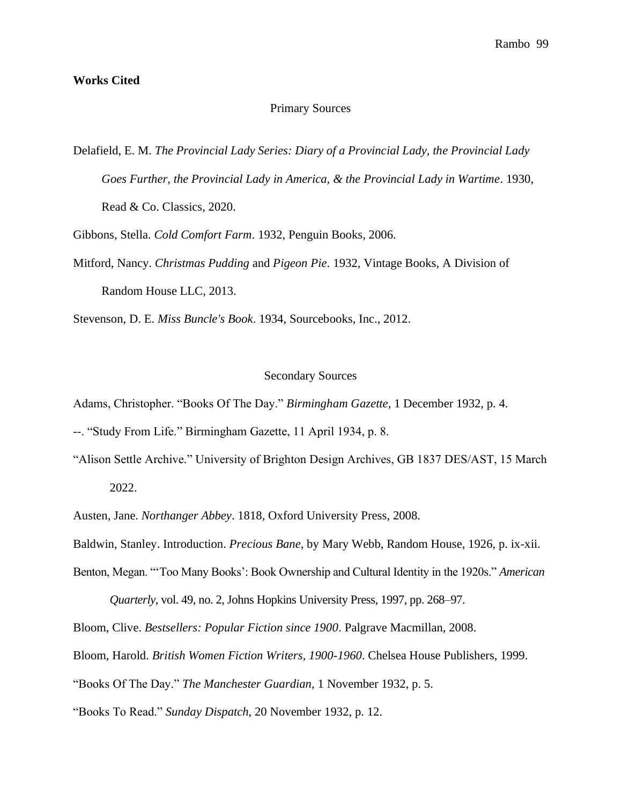## **Works Cited**

# Primary Sources

Delafield, E. M. *The Provincial Lady Series: Diary of a Provincial Lady, the Provincial Lady Goes Further, the Provincial Lady in America, & the Provincial Lady in Wartime*. 1930, Read & Co. Classics, 2020.

Gibbons, Stella. *Cold Comfort Farm*. 1932, Penguin Books, 2006.

Mitford, Nancy. *Christmas Pudding* and *Pigeon Pie*. 1932, Vintage Books, A Division of Random House LLC, 2013.

Stevenson, D. E. *Miss Buncle's Book*. 1934, Sourcebooks, Inc., 2012.

### Secondary Sources

Adams, Christopher. "Books Of The Day." *Birmingham Gazette*, 1 December 1932, p. 4.

--. "Study From Life." Birmingham Gazette, 11 April 1934, p. 8.

"Alison Settle Archive." University of Brighton Design Archives, GB 1837 DES/AST, 15 March 2022.

Austen, Jane. *Northanger Abbey*. 1818, Oxford University Press, 2008.

Baldwin, Stanley. Introduction. *Precious Bane*, by Mary Webb, Random House, 1926, p. ix-xii.

Benton, Megan. "'Too Many Books': Book Ownership and Cultural Identity in the 1920s." *American* 

*Quarterly*, vol. 49, no. 2, Johns Hopkins University Press, 1997, pp. 268–97.

Bloom, Clive. *Bestsellers: Popular Fiction since 1900*. Palgrave Macmillan, 2008.

Bloom, Harold. *British Women Fiction Writers, 1900-1960*. Chelsea House Publishers, 1999.

"Books Of The Day." *The Manchester Guardian*, 1 November 1932, p. 5.

"Books To Read." *Sunday Dispatch*, 20 November 1932, p. 12.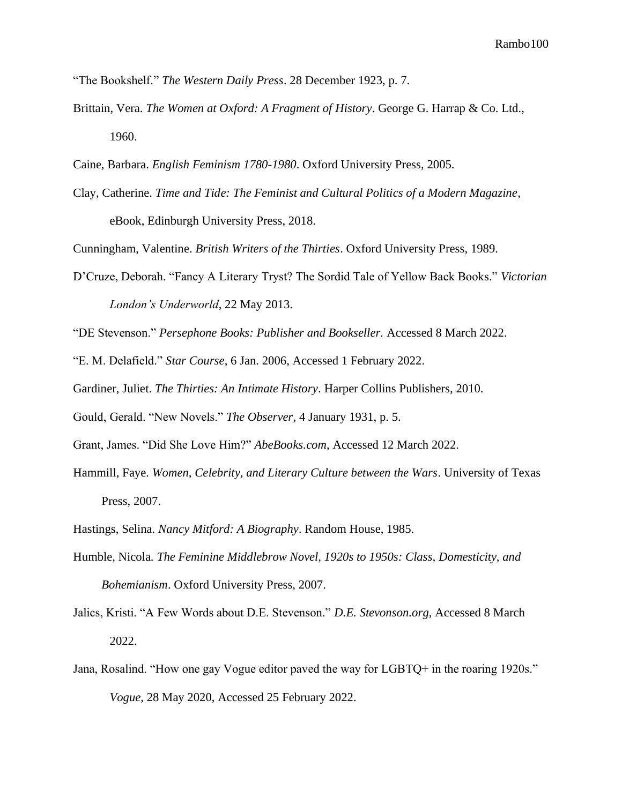"The Bookshelf." *The Western Daily Press*. 28 December 1923, p. 7.

- Brittain, Vera. *The Women at Oxford: A Fragment of History*. George G. Harrap & Co. Ltd., 1960.
- Caine, Barbara. *English Feminism 1780-1980*. Oxford University Press, 2005.
- Clay, Catherine. *Time and Tide: The Feminist and Cultural Politics of a Modern Magazine*, eBook, Edinburgh University Press, 2018.

Cunningham, Valentine. *British Writers of the Thirties*. Oxford University Press, 1989.

D'Cruze, Deborah. "Fancy A Literary Tryst? The Sordid Tale of Yellow Back Books." *Victorian London's Underworld*, 22 May 2013.

"DE Stevenson." *Persephone Books: Publisher and Bookseller.* Accessed 8 March 2022.

"E. M. Delafield." *Star Course*, 6 Jan. 2006, Accessed 1 February 2022.

Gardiner, Juliet. *The Thirties: An Intimate History*. Harper Collins Publishers, 2010.

Gould, Gerald. "New Novels." *The Observer*, 4 January 1931, p. 5.

Grant, James. "Did She Love Him?" *AbeBooks.com*, Accessed 12 March 2022.

- Hammill, Faye. *Women, Celebrity, and Literary Culture between the Wars*. University of Texas Press, 2007.
- Hastings, Selina. *Nancy Mitford: A Biography*. Random House, 1985.
- Humble, Nicola*. The Feminine Middlebrow Novel, 1920s to 1950s: Class, Domesticity, and Bohemianism*. Oxford University Press, 2007.
- Jalics, Kristi. "A Few Words about D.E. Stevenson." *D.E. Stevonson.org,* Accessed 8 March 2022.
- Jana, Rosalind. "How one gay Vogue editor paved the way for LGBTQ+ in the roaring 1920s." *Vogue*, 28 May 2020, Accessed 25 February 2022.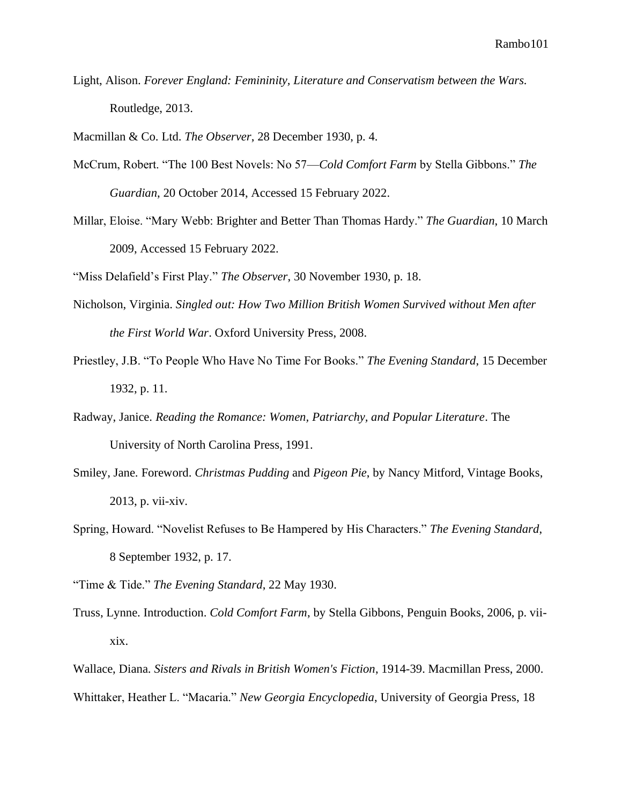Light, Alison. *Forever England: Femininity, Literature and Conservatism between the Wars.* Routledge, 2013.

Macmillan & Co. Ltd. *The Observer*, 28 December 1930, p. 4.

- McCrum, Robert. "The 100 Best Novels: No 57—*Cold Comfort Farm* by Stella Gibbons." *The Guardian*, 20 October 2014, Accessed 15 February 2022.
- Millar, Eloise. "Mary Webb: Brighter and Better Than Thomas Hardy." *The Guardian*, 10 March 2009, Accessed 15 February 2022.

"Miss Delafield's First Play." *The Observer*, 30 November 1930, p. 18.

- Nicholson, Virginia. *Singled out: How Two Million British Women Survived without Men after the First World War*. Oxford University Press, 2008.
- Priestley, J.B. "To People Who Have No Time For Books." *The Evening Standard*, 15 December 1932, p. 11.
- Radway, Janice. *Reading the Romance: Women, Patriarchy, and Popular Literature*. The University of North Carolina Press, 1991.
- Smiley, Jane. Foreword. *Christmas Pudding* and *Pigeon Pie*, by Nancy Mitford, Vintage Books, 2013, p. vii-xiv.
- Spring, Howard. "Novelist Refuses to Be Hampered by His Characters." *The Evening Standard*, 8 September 1932, p. 17.
- "Time & Tide." *The Evening Standard*, 22 May 1930.
- Truss, Lynne. Introduction. *Cold Comfort Farm*, by Stella Gibbons, Penguin Books, 2006, p. viixix.

Wallace, Diana. *Sisters and Rivals in British Women's Fiction*, 1914-39. Macmillan Press, 2000. Whittaker, Heather L. "Macaria." *New Georgia Encyclopedia*, University of Georgia Press, 18